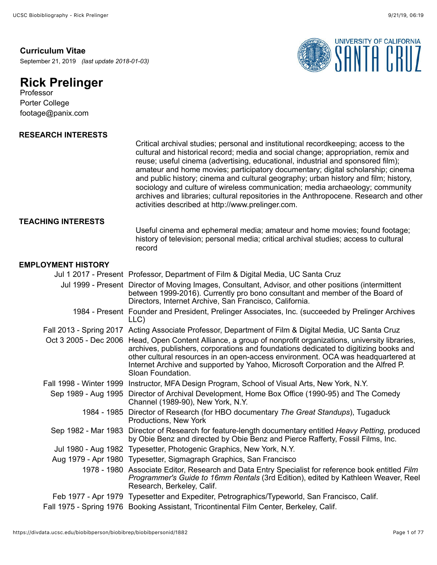# **Curriculum Vitae**

September 21, 2019 *(last update 2018-01-03)*

# **Rick Prelinger**

Professor Porter College footage@panix.com

| <b>RESEARCH INTERESTS</b> | Critical archival studies; personal and institutional recordkeeping; access to the<br>cultural and historical record; media and social change; appropriation, remix and<br>reuse; useful cinema (advertising, educational, industrial and sponsored film);<br>amateur and home movies; participatory documentary; digital scholarship; cinema<br>and public history; cinema and cultural geography; urban history and film; history,<br>sociology and culture of wireless communication; media archaeology; community<br>archives and libraries; cultural repositories in the Anthropocene. Research and other<br>activities described at http://www.prelinger.com. |
|---------------------------|---------------------------------------------------------------------------------------------------------------------------------------------------------------------------------------------------------------------------------------------------------------------------------------------------------------------------------------------------------------------------------------------------------------------------------------------------------------------------------------------------------------------------------------------------------------------------------------------------------------------------------------------------------------------|
| <b>TEACHING INTERESTS</b> |                                                                                                                                                                                                                                                                                                                                                                                                                                                                                                                                                                                                                                                                     |
|                           | Useful cinema and ephemeral media; amateur and home movies; found footage;<br>history of television; personal media; critical archival studies; access to cultural<br>record                                                                                                                                                                                                                                                                                                                                                                                                                                                                                        |
| <b>EMPLOYMENT HISTORY</b> |                                                                                                                                                                                                                                                                                                                                                                                                                                                                                                                                                                                                                                                                     |
|                           | Jul 1 2017 - Present Professor, Department of Film & Digital Media, UC Santa Cruz                                                                                                                                                                                                                                                                                                                                                                                                                                                                                                                                                                                   |
|                           | Jul 1999 - Present Director of Moving Images, Consultant, Advisor, and other positions (intermittent<br>between 1999-2016). Currently pro bono consultant and member of the Board of<br>Directors, Internet Archive, San Francisco, California.                                                                                                                                                                                                                                                                                                                                                                                                                     |
|                           | 1984 - Present Founder and President, Prelinger Associates, Inc. (succeeded by Prelinger Archives<br>LLC)                                                                                                                                                                                                                                                                                                                                                                                                                                                                                                                                                           |
|                           | Fall 2013 - Spring 2017 Acting Associate Professor, Department of Film & Digital Media, UC Santa Cruz                                                                                                                                                                                                                                                                                                                                                                                                                                                                                                                                                               |
|                           | Oct 3 2005 - Dec 2006 Head, Open Content Alliance, a group of nonprofit organizations, university libraries,<br>archives, publishers, corporations and foundations dedicated to digitizing books and<br>other cultural resources in an open-access environment. OCA was headquartered at<br>Internet Archive and supported by Yahoo, Microsoft Corporation and the Alfred P.<br>Sloan Foundation.                                                                                                                                                                                                                                                                   |
|                           | Fall 1998 - Winter 1999 Instructor, MFA Design Program, School of Visual Arts, New York, N.Y.                                                                                                                                                                                                                                                                                                                                                                                                                                                                                                                                                                       |
|                           | Sep 1989 - Aug 1995 Director of Archival Development, Home Box Office (1990-95) and The Comedy<br>Channel (1989-90), New York, N.Y.                                                                                                                                                                                                                                                                                                                                                                                                                                                                                                                                 |
|                           | 1984 - 1985 Director of Research (for HBO documentary The Great Standups), Tugaduck<br>Productions, New York                                                                                                                                                                                                                                                                                                                                                                                                                                                                                                                                                        |
|                           | Sep 1982 - Mar 1983 Director of Research for feature-length documentary entitled Heavy Petting, produced<br>by Obie Benz and directed by Obie Benz and Pierce Rafferty, Fossil Films, Inc.                                                                                                                                                                                                                                                                                                                                                                                                                                                                          |
|                           | Jul 1980 - Aug 1982 Typesetter, Photogenic Graphics, New York, N.Y.                                                                                                                                                                                                                                                                                                                                                                                                                                                                                                                                                                                                 |
|                           | Aug 1979 - Apr 1980 Typesetter, Sigmagraph Graphics, San Francisco                                                                                                                                                                                                                                                                                                                                                                                                                                                                                                                                                                                                  |
|                           | 1978 - 1980 Associate Editor, Research and Data Entry Specialist for reference book entitled Film<br>Programmer's Guide to 16mm Rentals (3rd Edition), edited by Kathleen Weaver, Reel<br>Research, Berkeley, Calif.                                                                                                                                                                                                                                                                                                                                                                                                                                                |
|                           | Feb 1977 - Apr 1979 Typesetter and Expediter, Petrographics/Typeworld, San Francisco, Calif.                                                                                                                                                                                                                                                                                                                                                                                                                                                                                                                                                                        |
|                           | Fall 1975 - Spring 1976 Booking Assistant, Tricontinental Film Center, Berkeley, Calif.                                                                                                                                                                                                                                                                                                                                                                                                                                                                                                                                                                             |

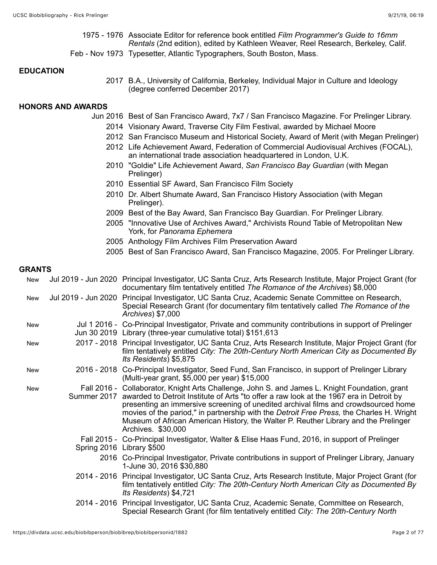| 1975 - 1976 Associate Editor for reference book entitled Film Programmer's Guide to 16mm<br>Rentals (2nd edition), edited by Kathleen Weaver, Reel Research, Berkeley, Calif. |
|-------------------------------------------------------------------------------------------------------------------------------------------------------------------------------|
| Feb - Nov 1973 Typesetter, Atlantic Typographers, South Boston, Mass.                                                                                                         |

#### **EDUCATION**

2017 B.A., University of California, Berkeley, Individual Major in Culture and Ideology (degree conferred December 2017)

### **HONORS AND AWARDS**

- Jun 2016 Best of San Francisco Award, 7x7 / San Francisco Magazine. For Prelinger Library.
	- 2014 Visionary Award, Traverse City Film Festival, awarded by Michael Moore
	- 2012 San Francisco Museum and Historical Society, Award of Merit (with Megan Prelinger)
	- 2012 Life Achievement Award, Federation of Commercial Audiovisual Archives (FOCAL), an international trade association headquartered in London, U.K.
	- 2010 "Goldie" Life Achievement Award, *San Francisco Bay Guardian* (with Megan Prelinger)
	- 2010 Essential SF Award, San Francisco Film Society
	- 2010 Dr. Albert Shumate Award, San Francisco History Association (with Megan Prelinger).
	- 2009 Best of the Bay Award, San Francisco Bay Guardian. For Prelinger Library.
	- 2005 "Innovative Use of Archives Award," Archivists Round Table of Metropolitan New York, for *Panorama Ephemera*
	- 2005 Anthology Film Archives Film Preservation Award
	- 2005 Best of San Francisco Award, San Francisco Magazine, 2005. For Prelinger Library.

#### **GRANTS**

| New        | Jul 2019 - Jun 2020 Principal Investigator, UC Santa Cruz, Arts Research Institute, Major Project Grant (for<br>documentary film tentatively entitled The Romance of the Archives) \$8,000                                                                                                                                                                                                                                                                                                                   |
|------------|--------------------------------------------------------------------------------------------------------------------------------------------------------------------------------------------------------------------------------------------------------------------------------------------------------------------------------------------------------------------------------------------------------------------------------------------------------------------------------------------------------------|
| <b>New</b> | Jul 2019 - Jun 2020 Principal Investigator, UC Santa Cruz, Academic Senate Committee on Research,<br>Special Research Grant (for documentary film tentatively called The Romance of the<br>Archives) \$7,000                                                                                                                                                                                                                                                                                                 |
| <b>New</b> | Jul 1 2016 - Co-Principal Investigator, Private and community contributions in support of Prelinger<br>Jun 30 2019 Library (three-year cumulative total) \$151,613                                                                                                                                                                                                                                                                                                                                           |
| <b>New</b> | 2017 - 2018 Principal Investigator, UC Santa Cruz, Arts Research Institute, Major Project Grant (for<br>film tentatively entitled City: The 20th-Century North American City as Documented By<br>Its Residents) \$5,875                                                                                                                                                                                                                                                                                      |
| <b>New</b> | 2016 - 2018 Co-Principal Investigator, Seed Fund, San Francisco, in support of Prelinger Library<br>(Multi-year grant, \$5,000 per year) \$15,000                                                                                                                                                                                                                                                                                                                                                            |
| <b>New</b> | Fall 2016 - Collaborator, Knight Arts Challenge, John S. and James L. Knight Foundation, grant<br>Summer 2017 awarded to Detroit Institute of Arts "to offer a raw look at the 1967 era in Detroit by<br>presenting an immersive screening of unedited archival films and crowdsourced home<br>movies of the pariod," in partnership with the <i>Detroit Free Press</i> , the Charles H. Wright<br>Museum of African American History, the Walter P. Reuther Library and the Prelinger<br>Archives. \$30,000 |
|            | Fall 2015 - Co-Principal Investigator, Walter & Elise Haas Fund, 2016, in support of Prelinger<br>Spring 2016 Library \$500                                                                                                                                                                                                                                                                                                                                                                                  |
|            | 2016 Co-Principal Investigator, Private contributions in support of Prelinger Library, January<br>1-June 30, 2016 \$30,880                                                                                                                                                                                                                                                                                                                                                                                   |
|            | 2014 - 2016 Principal Investigator, UC Santa Cruz, Arts Research Institute, Major Project Grant (for<br>film tentatively entitled City: The 20th-Century North American City as Documented By<br>Its Residents) \$4,721                                                                                                                                                                                                                                                                                      |
|            | 2014 - 2016 Principal Investigator, UC Santa Cruz, Academic Senate, Committee on Research,<br>Special Research Grant (for film tentatively entitled City: The 20th-Century North                                                                                                                                                                                                                                                                                                                             |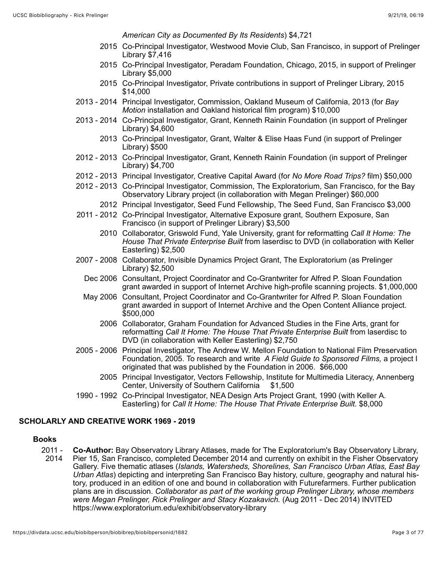*American City as Documented By Its Residents*) \$4,721

- 2015 Co-Principal Investigator, Westwood Movie Club, San Francisco, in support of Prelinger Library \$7,416
- 2015 Co-Principal Investigator, Peradam Foundation, Chicago, 2015, in support of Prelinger Library \$5,000
- 2015 Co-Principal Investigator, Private contributions in support of Prelinger Library, 2015 \$14,000
- 2013 2014 Principal Investigator, Commission, Oakland Museum of California, 2013 (for *Bay Motion* installation and Oakland historical film program) \$10,000
- 2013 2014 Co-Principal Investigator, Grant, Kenneth Rainin Foundation (in support of Prelinger Library) \$4,600
	- 2013 Co-Principal Investigator, Grant, Walter & Elise Haas Fund (in support of Prelinger Library) \$500
- 2012 2013 Co-Principal Investigator, Grant, Kenneth Rainin Foundation (in support of Prelinger Library) \$4,700
- 2012 2013 Principal Investigator, Creative Capital Award (for *No More Road Trips?* film) \$50,000
- 2012 2013 Co-Principal Investigator, Commission, The Exploratorium, San Francisco, for the Bay Observatory Library project (in collaboration with Megan Prelinger) \$60,000
	- 2012 Principal Investigator, Seed Fund Fellowship, The Seed Fund, San Francisco \$3,000
- 2011 2012 Co-Principal Investigator, Alternative Exposure grant, Southern Exposure, San Francisco (in support of Prelinger Library) \$3,500
	- 2010 Collaborator, Griswold Fund, Yale University, grant for reformatting *Call It Home: The House That Private Enterprise Built* from laserdisc to DVD (in collaboration with Keller Easterling) \$2,500
- 2007 2008 Collaborator, Invisible Dynamics Project Grant, The Exploratorium (as Prelinger Library) \$2,500
	- Dec 2006 Consultant, Project Coordinator and Co-Grantwriter for Alfred P. Sloan Foundation grant awarded in support of Internet Archive high-profile scanning projects. \$1,000,000
	- May 2006 Consultant, Project Coordinator and Co-Grantwriter for Alfred P. Sloan Foundation grant awarded in support of Internet Archive and the Open Content Alliance project. \$500,000
		- 2006 Collaborator, Graham Foundation for Advanced Studies in the Fine Arts, grant for reformatting *Call It Home: The House That Private Enterprise Built* from laserdisc to DVD (in collaboration with Keller Easterling) \$2,750
- 2005 2006 Principal Investigator, The Andrew W. Mellon Foundation to National Film Preservation Foundation, 2005. To research and write *A Field Guide to Sponsored Films,* a project I originated that was published by the Foundation in 2006. \$66,000
	- 2005 Principal Investigator, Vectors Fellowship, Institute for Multimedia Literacy, Annenberg Center, University of Southern California \$1,500
- 1990 1992 Co-Principal Investigator, NEA Design Arts Project Grant, 1990 (with Keller A. Easterling) for *Call It Home: The House That Private Enterprise Built.* \$8,000

## **SCHOLARLY AND CREATIVE WORK 1969 - 2019**

## **Books**

 $2011 -$ 2014 **Co-Author:** Bay Observatory Library Atlases, made for The Exploratorium's Bay Observatory Library, Pier 15, San Francisco, completed December 2014 and currently on exhibit in the Fisher Observatory Gallery. Five thematic atlases (*Islands, Watersheds, Shorelines, San Francisco Urban Atlas, East Bay Urban Atlas*) depicting and interpreting San Francisco Bay history, culture, geography and natural history, produced in an edition of one and bound in collaboration with Futurefarmers. Further publication plans are in discussion. *Collaborator as part of the working group Prelinger Library, whose members were Megan Prelinger, Rick Prelinger and Stacy Kozakavich.* (Aug 2011 - Dec 2014) INVITED https://www.exploratorium.edu/exhibit/observatory-library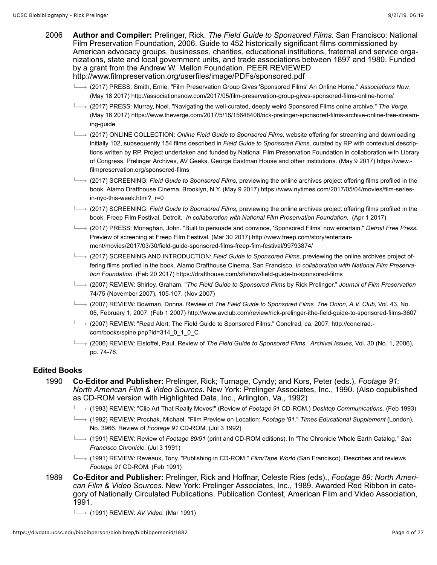- 2006 **Author and Compiler:** Prelinger, Rick. *The Field Guide to Sponsored Films.* San Francisco: National Film Preservation Foundation, 2006. Guide to 452 historically significant films commissioned by American advocacy groups, businesses, charities, educational institutions, fraternal and service organizations, state and local government units, and trade associations between 1897 and 1980. Funded by a grant from the Andrew W. Mellon Foundation. PEER REVIEWED http://www.filmpreservation.org/userfiles/image/PDFs/sponsored.pdf
	- (2017) PRESS: Smith, Ernie. "Film Preservation Group Gives 'Sponsored Films' An Online Home." *Associations Now.* (May 18 2017) http://associationsnow.com/2017/05/film-preservation-group-gives-sponsored-films-online-home/
	- (2017) PRESS: Murray, Noel. "Navigating the well-curated, deeply weird Sponsored Films onine archive." *The Verge.* (May 16 2017) https://www.theverge.com/2017/5/16/15648408/rick-prelinger-sponsored-films-archive-online-free-streaming-guide
	- → (2017) ONLINE COLLECTION: *Online Field Guide to Sponsored Films*, website offering for streaming and downloading initially 102, subsequently 154 films described in *Field Guide to Sponsored Films,* curated by RP with contextual descriptions written by RP. Project undertaken and funded by National Film Preservation Foundation in collaboration with Library of Congress, Prelinger Archives, AV Geeks, George Eastman House and other institutions. (May 9 2017) https://www. filmpreservation.org/sponsored-films
	- (2017) SCREENING: *Field Guide to Sponsored Films,* previewing the online archives project offering films profiled in the book. Alamo Drafthouse Cinema, Brooklyn, N.Y. (May 9 2017) https://www.nytimes.com/2017/05/04/movies/film-seriesin-nyc-this-week.html? r=0
	- (2017) SCREENING: *Field Guide to Sponsored Films,* previewing the online archives project offering films profiled in the book. Freep Film Festival, Detroit. *In collaboration with National Film Preservation Foundation.* (Apr 1 2017)
	- (2017) PRESS: Monaghan, John. "Built to persuade and convince, 'Sponsored Films' now entertain." *Detroit Free Press.* Preview of screening at Freep Film Festival. (Mar 30 2017) http://www.freep.com/story/entertainment/movies/2017/03/30/field-guide-sponsored-films-freep-film-festival/99793874/
	- → (2017) SCREENING AND INTRODUCTION: Field Guide to Sponsored Films, previewing the online archives project offering films profiled in the book. Alamo Drafthouse Cinema, San Francisco. *In collaboration with National Film Preservation Foundation.* (Feb 20 2017) https://drafthouse.com/sf/show/field-guide-to-sponsored-films
	- (2007) REVIEW: Shirley, Graham. "*The Field Guide to Sponsored Films* by Rick Prelinger." *Journal of Film Preservation* 74/75 (November 2007), 105-107. (Nov 2007)
	- (2007) REVIEW: Bowman, Donna. Review of *The Field Guide to Sponsored Films. The Onion, A.V. Club,* Vol. 43, No. 05, February 1, 2007. (Feb 1 2007) http://www.avclub.com/review/rick-prelinger-ithe-field-guide-to-sponsored-films-3607
	- → (2007) REVIEW: "Read Alert: The Field Guide to Sponsored Films." Conelrad, ca. 2007. http://conelrad.com/books/spine.php?id=314\_0\_1\_0\_C
	- (2006) REVIEW: Eisloffel, Paul. Review of *The Field Guide to Sponsored Films. Archival Issues,* Vol. 30 (No. 1, 2006), pp. 74-76.

# **Edited Books**

- 1990 **Co-Editor and Publisher:** Prelinger, Rick; Turnage, Cyndy; and Kors, Peter (eds.), *Footage 91: North American Film & Video Sources.* New York: Prelinger Associates, Inc., 1990. (Also copublished as CD-ROM version with Highlighted Data, Inc., Arlington, Va., 1992)
	- (1993) REVIEW: "Clip Art That Really Moves!" (Review of *Footage 91* CD-ROM.) *Desktop Communications.* (Feb 1993)
	- (1992) REVIEW: Prochak, Michael. "Film Preview on Location: *Footage '91.*" *Times Educational Supplement* (London), No. 3966. Review of *Footage 91* CD-ROM. (Jul 3 1992)
	- (1991) REVIEW: Review of *Footage 89/91* (print and CD-ROM editions). In "The Chronicle Whole Earth Catalog." *San Francisco Chronicle.* (Jul 3 1991)
	- (1991) REVIEW: Reveaux, Tony. "Publishing in CD-ROM." *Film/Tape World* (San Francisco). Describes and reviews *Footage 91* CD-ROM. (Feb 1991)
- 1989 **Co-Editor and Publisher:** Prelinger, Rick and Hoffnar, Celeste Ries (eds)., *Footage 89: North American Film & Video Sources.* New York: Prelinger Associates, Inc., 1989. Awarded Red Ribbon in category of Nationally Circulated Publications, Publication Contest, American Film and Video Association, 1991.
	- (1991) REVIEW: *AV Video.* (Mar 1991)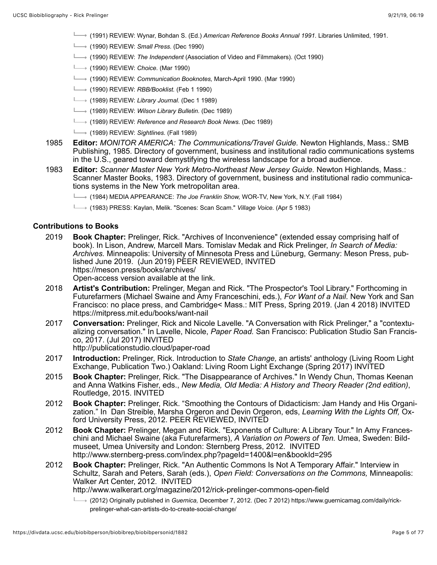- (1991) REVIEW: Wynar, Bohdan S. (Ed.) *American Reference Books Annual 1991.* Libraries Unlimited, 1991.
- (1990) REVIEW: *Small Press.* (Dec 1990)
- (1990) REVIEW: *The Independent* (Association of Video and Filmmakers). (Oct 1990)
- (1990) REVIEW: *Choice.* (Mar 1990)
- (1990) REVIEW: *Communication Booknotes,* March-April 1990. (Mar 1990)
- (1990) REVIEW: *RBB/Booklist.* (Feb 1 1990)
- (1989) REVIEW: *Library Journal.* (Dec 1 1989)
- (1989) REVIEW: *Wilson Library Bulletin.* (Dec 1989)
- (1989) REVIEW: *Reference and Research Book News.* (Dec 1989)
- (1989) REVIEW: *Sightlines.* (Fall 1989)
- 1985 **Editor:** *MONITOR AMERICA: The Communications/Travel Guide.* Newton Highlands, Mass.: SMB Publishing, 1985. Directory of government, business and institutional radio communications systems in the U.S., geared toward demystifying the wireless landscape for a broad audience.
- 1983 **Editor:** *Scanner Master New York Metro-Northeast New Jersey Guide.* Newton Highlands, Mass.: Scanner Master Books, 1983. Directory of government, business and institutional radio communications systems in the New York metropolitan area.
	- (1984) MEDIA APPEARANCE: *The Joe Franklin Show,* WOR-TV, New York, N.Y. (Fall 1984)
	- (1983) PRESS: Kaylan, Melik. "Scenes: Scan Scam." *Village Voice.* (Apr 5 1983)

### **Contributions to Books**

2019 **Book Chapter:** Prelinger, Rick. "Archives of Inconvenience" (extended essay comprising half of book). In Lison, Andrew, Marcell Mars. Tomislav Medak and Rick Prelinger, *In Search of Media: Archives.* Minneapolis: University of Minnesota Press and Lüneburg, Germany: Meson Press, published June 2019. (Jun 2019) PEER REVIEWED, INVITED https://meson.press/books/archives/

Open-access version available at the link.

- 2018 **Artist's Contribution:** Prelinger, Megan and Rick. "The Prospector's Tool Library." Forthcoming in Futurefarmers (Michael Swaine and Amy Franceschini, eds.), *For Want of a Nail.* New York and San Francisco: no place press, and Cambridge< Mass.: MIT Press, Spring 2019. (Jan 4 2018) INVITED https://mitpress.mit.edu/books/want-nail
- 2017 **Conversation:** Prelinger, Rick and Nicole Lavelle. "A Conversation with Rick Prelinger," a "contextualizing conversation." In Lavelle, Nicole, *Paper Road.* San Francisco: Publication Studio San Francisco, 2017. (Jul 2017) INVITED http://publicationstudio.cloud/paper-road
- 2017 **Introduction:** Prelinger, Rick. Introduction to *State Change,* an artists' anthology (Living Room Light Exchange, Publication Two.) Oakland: Living Room Light Exchange (Spring 2017) INVITED
- 2015 **Book Chapter:** Prelinger, Rick. "The Disappearance of Archives." In Wendy Chun, Thomas Keenan and Anna Watkins Fisher, eds., *New Media, Old Media: A History and Theory Reader (2nd edition)*, Routledge, 2015. INVITED
- 2012 **Book Chapter:** Prelinger, Rick. "Smoothing the Contours of Didacticism: Jam Handy and His Organization." In Dan Streible, Marsha Orgeron and Devin Orgeron, eds, *Learning With the Lights Off,* Oxford University Press, 2012. PEER REVIEWED, INVITED
- 2012 **Book Chapter:** Prelinger, Megan and Rick. "Exponents of Culture: A Library Tour." In Amy Franceschini and Michael Swaine (aka Futurefarmers), *A Variation on Powers of Ten.* Umea, Sweden: Bildmuseet, Umea University and London: Sternberg Press, 2012. INVITED http://www.sternberg-press.com/index.php?pageId=1400&l=en&bookId=295
- 2012 **Book Chapter:** Prelinger, Rick. "An Authentic Commons Is Not A Temporary Affair." Interview in Schultz, Sarah and Peters, Sarah (eds.), *Open Field: Conversations on the Commons,* Minneapolis: Walker Art Center, 2012. INVITED http://www.walkerart.org/magazine/2012/rick-prelinger-commons-open-field
	- (2012) Originally published in *Guernica,* December 7, 2012. (Dec 7 2012) https://www.guernicamag.com/daily/rickprelinger-what-can-artists-do-to-create-social-change/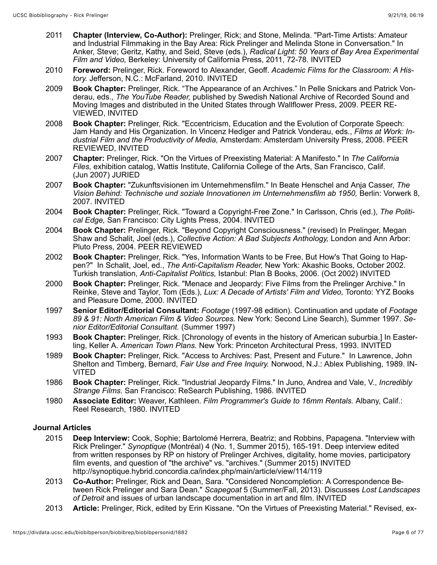- 2011 **Chapter (Interview, Co-Author):** Prelinger, Rick; and Stone, Melinda. "Part-Time Artists: Amateur and Industrial Filmmaking in the Bay Area: Rick Prelinger and Melinda Stone in Conversation." In Anker, Steve; Geritz, Kathy, and Seid, Steve (eds.), *Radical Light: 50 Years of Bay Area Experimental Film and Video,* Berkeley: University of California Press, 2011, 72-78. INVITED
- 2010 **Foreword:** Prelinger, Rick. Foreword to Alexander, Geoff. *Academic Films for the Classroom: A History.* Jefferson, N.C.: McFarland, 2010. INVITED
- 2009 **Book Chapter:** Prelinger, Rick. "The Appearance of an Archives." In Pelle Snickars and Patrick Vonderau, eds., *The YouTube Reader,* published by Swedish National Archive of Recorded Sound and Moving Images and distributed in the United States through Wallflower Press, 2009. PEER RE-VIEWED, INVITED
- 2008 **Book Chapter:** Prelinger, Rick. "Eccentricism, Education and the Evolution of Corporate Speech: Jam Handy and His Organization. In Vincenz Hediger and Patrick Vonderau, eds., *Films at Work: Industrial Film and the Productivity of Media,* Amsterdam: Amsterdam University Press, 2008. PEER REVIEWED, INVITED
- 2007 **Chapter:** Prelinger, Rick. "On the Virtues of Preexisting Material: A Manifesto." In *The California Files,* exhibition catalog, Wattis Institute, California College of the Arts, San Francisco, Calif. (Jun 2007) JURIED
- 2007 **Book Chapter:** "Zukunftsvisionen im Unternehmensfilm." In Beate Henschel and Anja Casser, *The Vision Behind: Technische und soziale Innovationen im Unternehmensfilm ab 1950,* Berlin: Vorwerk 8, 2007. INVITED
- 2004 **Book Chapter:** Prelinger, Rick. "Toward a Copyright-Free Zone." In Carlsson, Chris (ed.), *The Political Edge,* San Francisco: City Lights Press, 2004. INVITED
- 2004 **Book Chapter:** Prelinger, Rick. "Beyond Copyright Consciousness." (revised) In Prelinger, Megan Shaw and Schalit, Joel (eds.), *Collective Action: A Bad Subjects Anthology,* London and Ann Arbor: Pluto Press, 2004. PEER REVIEWED
- 2002 **Book Chapter:** Prelinger, Rick. "Yes, Information Wants to be Free, But How's That Going to Happen?" In Schalit, Joel, ed., *The Anti-Capitalism Reader,* New York: Akashic Books, October 2002. Turkish translation, *Anti-Capitalist Politics,* Istanbul: Plan B Books, 2006. (Oct 2002) INVITED
- 2000 **Book Chapter:** Prelinger, Rick. "Menace and Jeopardy: Five Films from the Prelinger Archive." In Reinke, Steve and Taylor, Tom (Eds.), *Lux: A Decade of Artists' Film and Video,* Toronto: YYZ Books and Pleasure Dome, 2000. INVITED
- 1997 **Senior Editor/Editorial Consultant:** *Footage* (1997-98 edition). Continuation and update of *Footage 89 & 91: North American Film & Video Sources.* New York: Second Line Search), Summer 1997. *Senior Editor/Editorial Consultant.* (Summer 1997)
- 1993 **Book Chapter:** Prelinger, Rick. [Chronology of events in the history of American suburbia.] In Easterling, Keller A. *American Town Plans.* New York: Princeton Architectural Press, 1993. INVITED
- 1989 **Book Chapter:** Prelinger, Rick. "Access to Archives: Past, Present and Future." In Lawrence, John Shelton and Timberg, Bernard, *Fair Use and Free Inquiry.* Norwood, N.J.: Ablex Publishing, 1989. IN-VITED
- 1986 **Book Chapter:** Prelinger, Rick. "Industrial Jeopardy Films." In Juno, Andrea and Vale, V., *Incredibly Strange Films.* San Francisco: ReSearch Publishing, 1986. INVITED
- 1980 **Associate Editor:** Weaver, Kathleen. *Film Programmer's Guide to 16mm Rentals.* Albany, Calif.: Reel Research, 1980. INVITED

## **Journal Articles**

- 2015 **Deep Interview:** Cook, Sophie; Bartolomé Herrera, Beatriz; and Robbins, Papagena. "Interview with Rick Prelinger." *Synoptique* (Montréal) 4 (No. 1, Summer 2015), 165-191. Deep interview edited from written responses by RP on history of Prelinger Archives, digitality, home movies, participatory film events, and question of "the archive" vs. "archives." (Summer 2015) INVITED http://synoptique.hybrid.concordia.ca/index.php/main/article/view/114/119
- 2013 **Co-Author:** Prelinger, Rick and Dean, Sara. "Considered Noncompletion: A Correspondence Between Rick Prelinger and Sara Dean." *Scapegoat* 5 (Summer/Fall, 2013). Discusses *Lost Landscapes of Detroit* and issues of urban landscape documentation in art and film. INVITED
- 2013 **Article:** Prelinger, Rick, edited by Erin Kissane. "On the Virtues of Preexisting Material." Revised, ex-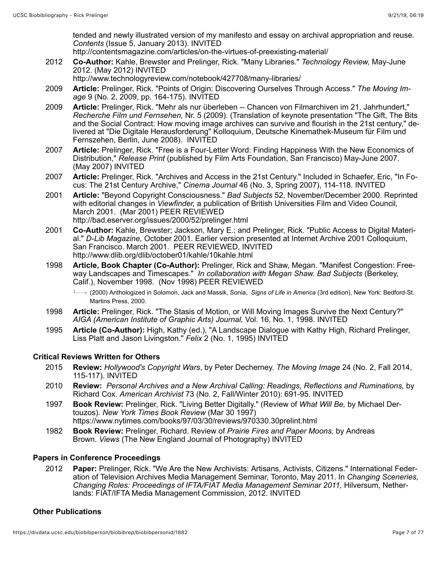tended and newly illustrated version of my manifesto and essay on archival appropriation and reuse. *Contents* (Issue 5, January 2013). INVITED

http://contentsmagazine.com/articles/on-the-virtues-of-preexisting-material/

2012 **Co-Author:** Kahle, Brewster and Prelinger, Rick. "Many Libraries." *Technology Review,* May-June 2012. (May 2012) INVITED

http://www.technologyreview.com/notebook/427708/many-libraries/

- 2009 **Article:** Prelinger, Rick. "Points of Origin: Discovering Ourselves Through Access." *The Moving Image* 9 (No. 2, 2009, pp. 164-175). INVITED
- 2009 **Article:** Prelinger, Rick. "Mehr als nur überleben -- Chancen von Filmarchiven im 21. Jahrhundert," *Recherche Film und Fernsehen,* Nr. 5 (2009). (Translation of keynote presentation "The Gift, The Bits and the Social Contract: How moving image archives can survive and flourish in the 21st century," delivered at "Die Digitale Herausforderung" Kolloquium, Deutsche Kinemathek-Museum für Film und Fernszehen, Berlin, June 2008). INVITED
- 2007 **Article:** Prelinger, Rick. "Free is a Four-Letter Word: Finding Happiness With the New Economics of Distribution," *Release Print* (published by Film Arts Foundation, San Francisco) May-June 2007. (May 2007) INVITED
- 2007 **Article:** Prelinger, Rick. "Archives and Access in the 21st Century." Included in Schaefer, Eric, "In Focus: The 21st Century Archive," *Cinema Journal* 46 (No. 3, Spring 2007), 114-118. INVITED
- 2001 **Article:** "Beyond Copyright Consciousness." *Bad Subjects* 52, November/December 2000. Reprinted with editorial changes in *Viewfinder,* a publication of British Universities Film and Video Council*,* March 2001. (Mar 2001) PEER REVIEWED http://bad.eserver.org/issues/2000/52/prelinger.html
- 2001 **Co-Author:** Kahle, Brewster; Jackson, Mary E.; and Prelinger, Rick. "Public Access to Digital Material." *D-Lib Magazine,* October 2001. Earlier version presented at Internet Archive 2001 Colloquium, San Francisco. March 2001. PEER REVIEWED, INVITED http://www.dlib.org/dlib/october01/kahle/10kahle.html
- 1998 **Article, Book Chapter (Co-Author):** Prelinger, Rick and Shaw, Megan. "Manifest Congestion: Freeway Landscapes and Timescapes." *In collaboration with Megan Shaw. Bad Subjects* (Berkeley, Calif.), November 1998. (Nov 1998) PEER REVIEWED
	- (2000) Anthologized in Solomon, Jack and Massik, Sonia, *Signs of Life in America* (3rd edition), New York: Bedford-St. Martins Press, 2000.
- 1998 **Article:** Prelinger, Rick. "The Stasis of Motion, or Will Moving Images Survive the Next Century?" *AIGA (American Institute of Graphic Arts) Journal,* Vol. 16, No. 1, 1998. INVITED
- 1995 **Article (Co-Author):** High, Kathy (ed.), "A Landscape Dialogue with Kathy High, Richard Prelinger, Liss Platt and Jason Livingston." *Felix* 2 (No. 1, 1995) INVITED

## **Critical Reviews Written for Others**

- 2015 **Review:** *Hollywood's Copyright Wars*, by Peter Decherney. *The Moving Image* 24 (No. 2, Fall 2014, 115-117). INVITED
- 2010 **Review:** *Personal Archives and a New Archival Calling: Readings, Reflections and Ruminations,* by Richard Cox. *American Archivist* 73 (No. 2, Fall/Winter 2010): 691-95. INVITED
- 1997 **Book Review:** Prelinger, Rick. "Living Better Digitally." (Review of *What Will Be,* by Michael Dertouzos). *New York Times Book Review* (Mar 30 1997) https://www.nytimes.com/books/97/03/30/reviews/970330.30prelint.html
- 1982 **Book Review:** Prelinger, Richard. Review of *Prairie Fires and Paper Moons,* by Andreas Brown. *Views* (The New England Journal of Photography) INVITED

## **Papers in Conference Proceedings**

2012 **Paper:** Prelinger, Rick. "We Are the New Archivists: Artisans, Activists, Citizens." International Federation of Television Archives Media Management Seminar, Toronto, May 2011. In *Changing Sceneries, Changing Roles: Proceedings of IFTA/FIAT Media Management Seminar 2011,* Hilversum, Netherlands: FIAT/IFTA Media Management Commission, 2012. INVITED

## **Other Publications**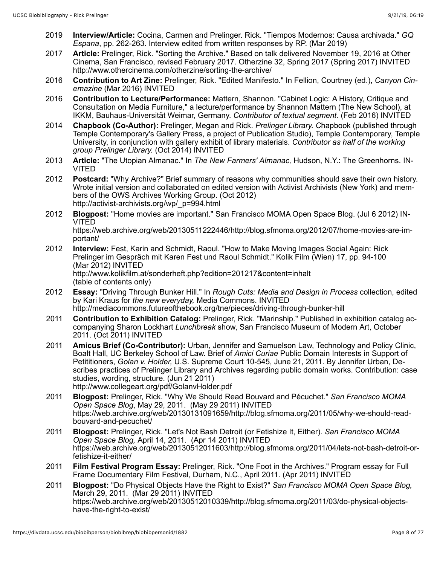- 2019 **Interview/Article:** Cocina, Carmen and Prelinger. Rick. "Tiempos Modernos: Causa archivada." *GQ Espana*, pp. 262-263. Interview edited from written responses by RP. (Mar 2019)
- 2017 **Article:** Prelinger, Rick. "Sorting the Archive." Based on talk delivered November 19, 2016 at Other Cinema, San Francisco, revised February 2017. Otherzine 32, Spring 2017 (Spring 2017) INVITED http://www.othercinema.com/otherzine/sorting-the-archive/
- 2016 **Contribution to Art Zine:** Prelinger, Rick. "Edited Manifesto." In Fellion, Courtney (ed.), *Canyon Cinemazine* (Mar 2016) INVITED
- 2016 **Contribution to Lecture/Performance:** Mattern, Shannon. "Cabinet Logic: A History, Critique and Consultation on Media Furniture," a lecture/performance by Shannon Mattern (The New School), at IKKM, Bauhaus-Universität Weimar, Germany. *Contributor of textual segment.* (Feb 2016) INVITED
- 2014 **Chapbook (Co-Author):** Prelinger, Megan and Rick. *Prelinger Library. C*hapbook (published through Temple Contemporary's Gallery Press, a project of Publication Studio), Temple Contemporary, Temple University, in conjunction with gallery exhibit of library materials. *Contributor as half of the working group Prelinger Library.* (Oct 2014) INVITED
- 2013 **Article:** "The Utopian Almanac." In *The New Farmers' Almanac,* Hudson, N.Y.: The Greenhorns. IN-VITED
- 2012 **Postcard:** "Why Archive?" Brief summary of reasons why communities should save their own history. Wrote initial version and collaborated on edited version with Activist Archivists (New York) and members of the OWS Archives Working Group. (Oct 2012) http://activist-archivists.org/wp/\_p=994.html
- 2012 **Blogpost:** "Home movies are important." San Francisco MOMA Open Space Blog. (Jul 6 2012) IN-VITED

https://web.archive.org/web/20130511222446/http://blog.sfmoma.org/2012/07/home-movies-are-important/

- 2012 **Interview:** Fest, Karin and Schmidt, Raoul. "How to Make Moving Images Social Again: Rick Prelinger im Gespräch mit Karen Fest und Raoul Schmidt." Kolik Film (Wien) 17, pp. 94-100 (Mar 2012) INVITED http://www.kolikfilm.at/sonderheft.php?edition=201217&content=inhalt (table of contents only)
- 2012 **Essay:** "Driving Through Bunker Hill." In *Rough Cuts: Media and Design in Process* collection, edited by Kari Kraus for *the new everyday,* Media Commons. INVITED http://mediacommons.futureofthebook.org/tne/pieces/driving-through-bunker-hill
- 2011 **Contribution to Exhibition Catalog:** Prelinger, Rick. "Marinship." Published in exhibition catalog accompanying Sharon Lockhart *Lunchbreak* show, San Francisco Museum of Modern Art, October 2011. (Oct 2011) INVITED
- 2011 **Amicus Brief (Co-Contributor):** Urban, Jennifer and Samuelson Law, Technology and Policy Clinic, Boalt Hall, UC Berkeley School of Law. Brief of *Amici Curiae* Public Domain Interests in Support of Petititioners, *Golan v. Holder,* U.S. Supreme Court 10-545, June 21, 2011. By Jennifer Urban, Describes practices of Prelinger Library and Archives regarding public domain works. Contribution: case studies, wording, structure. (Jun 21 2011) http://www.collegeart.org/pdf/GolanvHolder.pdf
- 2011 **Blogpost:** Prelinger, Rick. "Why We Should Read Bouvard and Pécuchet." *San Francisco MOMA Open Space Blog*, May 29, 2011. (May 29 2011) INVITED https://web.archive.org/web/20130131091659/http://blog.sfmoma.org/2011/05/why-we-should-readbouvard-and-pecuchet/
- 2011 **Blogpost:** Prelinger, Rick. "Let's Not Bash Detroit (or Fetishize It, Either). *San Francisco MOMA Open Space Blog,* April 14, 2011. (Apr 14 2011) INVITED https://web.archive.org/web/20130512011603/http://blog.sfmoma.org/2011/04/lets-not-bash-detroit-orfetishize-it-either/
- 2011 **Film Festival Program Essay:** Prelinger, Rick. "One Foot in the Archives." Program essay for Full Frame Documentary Film Festival, Durham, N.C., April 2011. (Apr 2011) INVITED
- 2011 **Blogpost:** "Do Physical Objects Have the Right to Exist?" *San Francisco MOMA Open Space Blog,* March 29, 2011. (Mar 29 2011) INVITED https://web.archive.org/web/20130512010339/http://blog.sfmoma.org/2011/03/do-physical-objectshave-the-right-to-exist/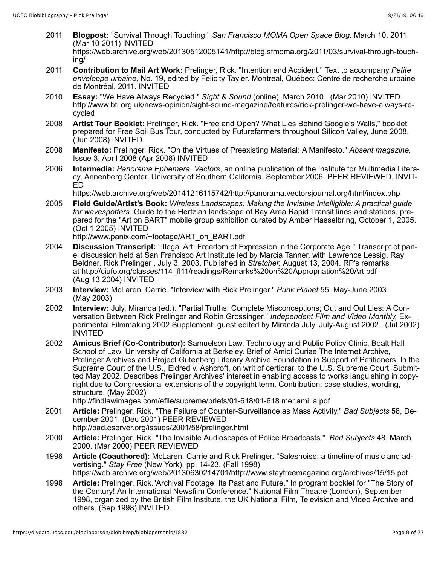- 2011 **Blogpost:** "Survival Through Touching." *San Francisco MOMA Open Space Blog,* March 10, 2011. (Mar 10 2011) INVITED https://web.archive.org/web/20130512005141/http://blog.sfmoma.org/2011/03/survival-through-touching/
- 2011 **Contribution to Mail Art Work:** Prelinger, Rick. "Intention and Accident." Text to accompany *Petite enveloppe urbaine,* No. 19, edited by Felicity Tayler. Montréal, Québec: Centre de recherche urbaine de Montréal, 2011. INVITED
- 2010 **Essay:** "We Have Always Recycled." *Sight & Sound* (online), March 2010. (Mar 2010) INVITED http://www.bfi.org.uk/news-opinion/sight-sound-magazine/features/rick-prelinger-we-have-always-recycled
- 2008 **Artist Tour Booklet:** Prelinger, Rick. "Free and Open? What Lies Behind Google's Walls," booklet prepared for Free Soil Bus Tour, conducted by Futurefarmers throughout Silicon Valley, June 2008. (Jun 2008) INVITED
- 2008 **Manifesto:** Prelinger, Rick. "On the Virtues of Preexisting Material: A Manifesto." *Absent magazine,* Issue 3, April 2008 (Apr 2008) INVITED
- 2006 **Intermedia:** *Panorama Ephemera. Vectors*, an online publication of the Institute for Multimedia Literacy, Annenberg Center, University of Southern California, September 2006. PEER REVIEWED, INVIT-ED

https://web.archive.org/web/20141216115742/http://panorama.vectorsjournal.org/html/index.php

2005 **Field Guide/Artist's Book:** *Wireless Landscapes: Making the Invisible Intelligible: A practical guide for wavespotters.* Guide to the Hertzian landscape of Bay Area Rapid Transit lines and stations, prepared for the "Art on BART" mobile group exhibition curated by Amber Hasselbring, October 1, 2005. (Oct 1 2005) INVITED

http://www.panix.com/~footage/ART\_on\_BART.pdf

- 2004 **Discussion Transcript:** "Illegal Art: Freedom of Expression in the Corporate Age." Transcript of panel discussion held at San Francisco Art Institute led by Marcia Tanner, with Lawrence Lessig, Ray Beldner, Rick Prelinger , July 3, 2003. Published in *Stretcher,* August 13, 2004. RP's remarks at http://ciufo.org/classes/114\_fl11/readings/Remarks%20on%20Appropriation%20Art.pdf (Aug 13 2004) INVITED
- 2003 **Interview:** McLaren, Carrie. "Interview with Rick Prelinger." *Punk Planet* 55, May-June 2003. (May 2003)
- 2002 **Interview:** July, Miranda (ed.). "Partial Truths; Complete Misconceptions; Out and Out Lies: A Conversation Between Rick Prelinger and Robin Grossinger." *Independent Film and Video Monthly,* Experimental Filmmaking 2002 Supplement, guest edited by Miranda July, July-August 2002. (Jul 2002) INVITED
- 2002 **Amicus Brief (Co-Contributor):** Samuelson Law, Technology and Public Policy Clinic, Boalt Hall School of Law, University of California at Berkeley. Brief of Amici Curiae The Internet Archive, Prelinger Archives and Project Gutenberg Literary Archive Foundation in Support of Petitioners. In the Supreme Court of the U.S., Eldred v. Ashcroft, on writ of certiorari to the U.S. Supreme Court. Submitted May 2002. Describes Prelinger Archives' interest in enabling access to works languishing in copyright due to Congressional extensions of the copyright term. Contribution: case studies, wording, structure. (May 2002)

http://findlawimages.com/efile/supreme/briefs/01-618/01-618.mer.ami.ia.pdf

- 2001 **Article:** Prelinger, Rick. "The Failure of Counter-Surveillance as Mass Activity." *Bad Subjects* 58, December 2001. (Dec 2001) PEER REVIEWED http://bad.eserver.org/issues/2001/58/prelinger.html
- 2000 **Article:** Prelinger, Rick. "The Invisible Audioscapes of Police Broadcasts." *Bad Subjects* 48, March 2000. (Mar 2000) PEER REVIEWED
- 1998 **Article (Coauthored):** McLaren, Carrie and Rick Prelinger. "Salesnoise: a timeline of music and advertising." *Stay Free* (New York), pp. 14-23. (Fall 1998) https://web.archive.org/web/20130630214701/http://www.stayfreemagazine.org/archives/15/15.pdf
- 1998 **Article:** Prelinger, Rick."Archival Footage: Its Past and Future." In program booklet for "The Story of the Century! An International Newsfilm Conference." National Film Theatre (London), September 1998, organized by the British Film Institute, the UK National Film, Television and Video Archive and others. (Sep 1998) INVITED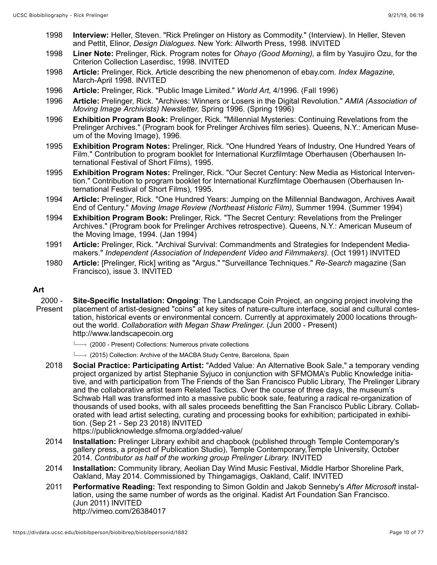- 1998 **Interview:** Heller, Steven. "Rick Prelinger on History as Commodity." (Interview). In Heller, Steven and Pettit, Elinor, *Design Dialogues.* New York: Allworth Press, 1998. INVITED
- 1998 **Liner Note:** Prelinger, Rick. Program notes for *Ohayo (Good Morning),* a film by Yasujiro Ozu, for the Criterion Collection Laserdisc, 1998. INVITED
- 1998 **Article:** Prelinger, Rick. Article describing the new phenomenon of ebay.com. *Index Magazine,* March-April 1998. INVITED
- 1996 **Article:** Prelinger, Rick. "Public Image Limited." *World Art,* 4/1996. (Fall 1996)
- 1996 **Article:** Prelinger, Rick. "Archives: Winners or Losers in the Digital Revolution." *AMIA (Association of Moving Image Archivists) Newsletter,* Spring 1996. (Spring 1996)
- 1996 **Exhibition Program Book:** Prelinger, Rick. "Millennial Mysteries: Continuing Revelations from the Prelinger Archives." (Program book for Prelinger Archives film series). Queens, N.Y.: American Museum of the Moving Image), 1996.
- 1995 **Exhibition Program Notes:** Prelinger, Rick. "One Hundred Years of Industry, One Hundred Years of Film." Contribution to program booklet for International Kurzfilmtage Oberhausen (Oberhausen International Festival of Short Films), 1995.
- 1995 **Exhibition Program Notes:** Prelinger, Rick. "Our Secret Century: New Media as Historical Intervention." Contribution to program booklet for International Kurzfilmtage Oberhausen (Oberhausen International Festival of Short Films), 1995.
- 1994 **Article:** Prelinger, Rick. "One Hundred Years: Jumping on the Millennial Bandwagon, Archives Await End of Century." *Moving Image Review (Northeast Historic Film),* Summer 1994. (Summer 1994)
- 1994 **Exhibition Program Book:** Prelinger, Rick. "The Secret Century: Revelations from the Prelinger Archives." (Program book for Prelinger Archives retrospective). Queens, N.Y.: American Museum of the Moving Image, 1994. (Jan 1994)
- 1991 **Article:** Prelinger, Rick. "Archival Survival: Commandments and Strategies for Independent Mediamakers." *Independent (Association of Independent Video and Filmmakers).* (Oct 1991) INVITED
- 1980 **Article:** [Prelinger, Rick] writing as "Argus." "Surveillance Techniques." *Re-Search* magazine (San Francisco), issue 3. INVITED

# **Art**

- 2000 Present **Site-Specific Installation: Ongoing**: The Landscape Coin Project, an ongoing project involving the placement of artist-designed "coins" at key sites of nature-culture interface, social and cultural contestation, historical events or environmental concern. Currently at approximately 2000 locations throughout the world. *Collaboration with Megan Shaw Prelinger.* (Jun 2000 - Present) http://www.landscapecoin.org
	- $\longmapsto$  (2000 Present) Collections: Numerous private collections
	- $\rightarrow$  (2015) Collection: Archive of the MACBA Study Centre, Barcelona, Spain
	- 2018 **Social Practice: Participating Artist:** "Added Value: An Alternative Book Sale," a temporary vending project organized by artist Stephanie Syjuco in conjunction with SFMOMA's Public Knowledge initiative, and with participation from The Friends of the San Francisco Public Library, The Prelinger Library and the collaborative artist team Related Tactics. Over the course of three days, the museum's Schwab Hall was transformed into a massive public book sale, featuring a radical re-organization of thousands of used books, with all sales proceeds benefitting the San Francisco Public Library. Collaborated with lead artist selecting, curating and processing books for exhibition; participated in exhibition. (Sep 21 - Sep 23 2018) INVITED

https://publicknowledge.sfmoma.org/added-value/

- 2014 **Installation:** Prelinger Library exhibit and chapbook (published through Temple Contemporary's gallery press, a project of Publication Studio), Temple Contemporary,Temple University, October 2014. *Contributor as half of the working group Prelinger Library.* INVITED
- 2014 **Installation:** Community library, Aeolian Day Wind Music Festival, Middle Harbor Shoreline Park, Oakland, May 2014. Commissioned by Thingamagigs, Oakland, Calif. INVITED
- 2011 **Performative Reading:** Text responding to Simon Goldin and Jakob Senneby's *After Microsoft* installation, using the same number of words as the original. Kadist Art Foundation San Francisco. (Jun 2011) INVITED http://vimeo.com/26384017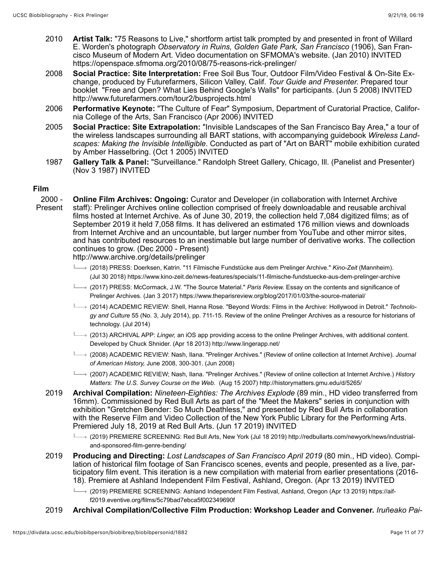- 2010 **Artist Talk:** "75 Reasons to Live," shortform artist talk prompted by and presented in front of Willard E. Worden's photograph *Observatory in Ruins, Golden Gate Park, San Francisco* (1906), San Francisco Museum of Modern Art. Video documentation on SFMOMA's website. (Jan 2010) INVITED https://openspace.sfmoma.org/2010/08/75-reasons-rick-prelinger/
- 2008 **Social Practice: Site Interpretation:** Free Soil Bus Tour, Outdoor Film/Video Festival & On-Site Exchange, produced by Futurefarmers, Silicon Valley, Calif. *Tour Guide and Presenter.* Prepared tour booklet "Free and Open? What Lies Behind Google's Walls" for participants. (Jun 5 2008) INVITED http://www.futurefarmers.com/tour2/busprojects.html
- 2006 **Performative Keynote:** "The Culture of Fear" Symposium, Department of Curatorial Practice, California College of the Arts, San Francisco (Apr 2006) INVITED
- 2005 **Social Practice: Site Extrapolation:** "Invisible Landscapes of the San Francisco Bay Area," a tour of the wireless landscapes surrounding all BART stations, with accompanying guidebook *Wireless Landscapes: Making the Invisible Intelligible*. Conducted as part of "Art on BART" mobile exhibition curated by Amber Hasselbring. (Oct 1 2005) INVITED
- 1987 **Gallery Talk & Panel:** "Surveillance." Randolph Street Gallery, Chicago, Ill. (Panelist and Presenter) (Nov 3 1987) INVITED

### **Film**

2000 - Present **Online Film Archives: Ongoing:** Curator and Developer (in collaboration with Internet Archive staff): Prelinger Archives online collection comprised of freely downloadable and reusable archival films hosted at Internet Archive. As of June 30, 2019, the collection held 7,084 digitized films; as of September 2019 it held 7,058 films. It has delivered an estimated 176 million views and downloads from Internet Archive and an uncountable, but larger number from YouTube and other mirror sites, and has contributed resources to an inestimable but large number of derivative works. The collection continues to grow. (Dec 2000 - Present)

http://www.archive.org/details/prelinger

- (2018) PRESS: Doerksen, Katrin. "11 Filmische Fundstücke aus dem Prelinger Archive." *Kino-Zeit* (Mannheim). (Jul 30 2018) https://www.kino-zeit.de/news-features/specials/11-filmische-fundstuecke-aus-dem-prelinger-archive
- → (2017) PRESS: McCormack, J.W. "The Source Material." *Paris Review.* Essay on the contents and significance of Prelinger Archives. (Jan 3 2017) https://www.theparisreview.org/blog/2017/01/03/the-source-material/
- (2014) ACADEMIC REVIEW: Shell, Hanna Rose. "Beyond Words: Films in the Archive: Hollywood in Detroit." *Technology and Culture* 55 (No. 3, July 2014), pp. 711-15. Review of the online Prelinger Archives as a resource for historians of technology. (Jul 2014)
- (2013) ARCHIVAL APP: *Linger,* an iOS app providing access to the online Prelinger Archives, with additional content. Developed by Chuck Shnider. (Apr 18 2013) http://www.lingerapp.net/
- → (2008) ACADEMIC REVIEW: Nash, Ilana. "Prelinger Archives." (Review of online collection at Internet Archive). *Journal of American History,* June 2008, 300-301. (Jun 2008)
- (2007) ACADEMIC REVIEW; Nash, Ilana. "Prelinger Archives." (Review of online collection at Internet Archive.) *History Matters: The U.S. Survey Course on the Web.* (Aug 15 2007) http://historymatters.gmu.edu/d/5265/
- 2019 **Archival Compilation:** *Nineteen-Eighties: The Archives Explode* (89 min., HD video transferred from 16mm). Commissioned by Red Bull Arts as part of the "Meet the Makers" series in conjunction with exhibition "Gretchen Bender: So Much Deathless," and presented by Red Bull Arts in collaboration with the Reserve Film and Video Collection of the New York Public Library for the Performing Arts. Premiered July 18, 2019 at Red Bull Arts. (Jun 17 2019) INVITED
	- (2019) PREMIERE SCREENING: Red Bull Arts, New York (Jul 18 2019) http://redbullarts.com/newyork/news/industrialand-sponsored-film-genre-bending/
- 2019 **Producing and Directing:** *Lost Landscapes of San Francisco April 2019* (80 min., HD video). Compilation of historical film footage of San Francisco scenes, events and people, presented as a live, participatory film event. This iteration is a new compilation with material from earlier presentations (2016- 18). Premiere at Ashland Independent Film Festival, Ashland, Oregon. (Apr 13 2019) INVITED
	- (2019) PREMIERE SCREENING: Ashland Independent Film Festival, Ashland, Oregon (Apr 13 2019) https://aiff2019.eventive.org/films/5c79bad7ebca5f002349690f
- 2019 **Archival Compilation/Collective Film Production: Workshop Leader and Convener.** *Iruñeako Pai-*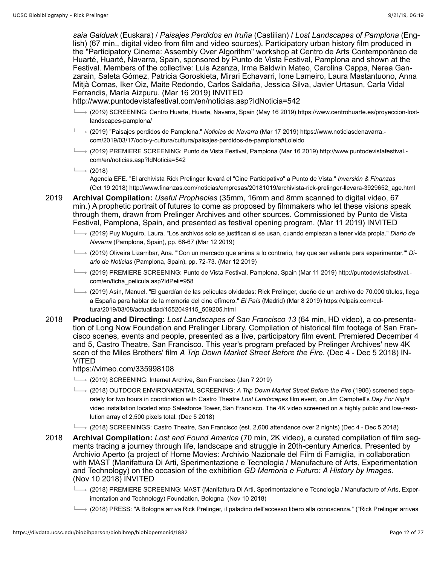*saia Galduak* (Euskara) / *Paisajes Perdidos en Iruña* (Castilian) / *Lost Landscapes of Pamplona* (English) (67 min., digital video from film and video sources). Participatory urban history film produced in the "Participatory Cinema: Assembly Over Algorithm" workshop at Centro de Arts Contemporáneo de Huarté, Huarté, Navarra, Spain, sponsored by Punto de Vista Festival, Pamplona and shown at the Festival. Members of the collective: Luis Azanza, Irma Baldwin Mateo, Carolina Cappa, Nerea Ganzarain, Saleta Gómez, Patricia Goroskieta, Mirari Echavarri, Ione Lameiro, Laura Mastantuono, Anna Mitjà Comas, Iker Oiz, Maite Redondo, Carlos Saldaña, Jessica Silva, Javier Urtasun, Carla Vidal Ferrandis, María Aizpuru. (Mar 16 2019) INVITED

http://www.puntodevistafestival.com/en/noticias.asp?IdNoticia=542

- (2019) SCREENING: Centro Huarte, Huarte, Navarra, Spain (May 16 2019) https://www.centrohuarte.es/proyeccion-lostlandscapes-pamplona/
- (2019) "Paisajes perdidos de Pamplona." *Noticias de Navarra* (Mar 17 2019) https://www.noticiasdenavarra. com/2019/03/17/ocio-y-cultura/cultura/paisajes-perdidos-de-pamplona#Loleido
- (2019) PREMIERE SCREENING: Punto de Vista Festival, Pamplona (Mar 16 2019) http://www.puntodevistafestival. com/en/noticias.asp?IdNoticia=542
- $\rightarrow$  (2018) Agencia EFE. "El archivista Rick Prelinger llevará el "Cine Participativo" a Punto de Vista." *Inversión & Finanzas* (Oct 19 2018) http://www.finanzas.com/noticias/empresas/20181019/archivista-rick-prelinger-llevara-3929652\_age.html
- 2019 **Archival Compilation:** *Useful Prophecies* (35mm, 16mm and 8mm scanned to digital video, 67 min.) A prophetic portrait of futures to come as proposed by filmmakers who let these visions speak through them, drawn from Prelinger Archives and other sources. Commissioned by Punto de Vista Festival, Pamplona, Spain, and presented as festival opening program. (Mar 11 2019) INVITED
	- (2019) Puy Muguiro, Laura. "Los archivos solo se justifican si se usan, cuando empiezan a tener vida propia." *Diario de Navarra* (Pamplona, Spain), pp. 66-67 (Mar 12 2019)
	- (2019) Oliveira Lizarribar, Ana. "'Con un mercado que anima a lo contrario, hay que ser valiente para experimentar.'" *Diario de Noticias* (Pamplona, Spain), pp. 72-73. (Mar 12 2019)
	- (2019) PREMIERE SCREENING: Punto de Vista Festival, Pamplona, Spain (Mar 11 2019) http://puntodevistafestival. com/en/ficha\_pelicula.asp?IdPeli=958
	- (2019) Asín, Manuel. "El guardían de las películas olvidadas: Rick Prelinger, dueño de un archivo de 70.000 títulos, llega a España para hablar de la memoria del cine efímero." *El País* (Madrid) (Mar 8 2019) https://elpais.com/cultura/2019/03/08/actualidad/1552049115\_509205.html
- 2018 **Producing and Directing:** *Lost Landscapes of San Francisco 13* (64 min, HD video), a co-presentation of Long Now Foundation and Prelinger Library. Compilation of historical film footage of San Francisco scenes, events and people, presented as a live, participatory film event. Premiered December 4 and 5, Castro Theatre, San Francisco. This year's program prefaced by Prelinger Archives' new 4K scan of the Miles Brothers' film *A Trip Down Market Street Before the Fire.* (Dec 4 - Dec 5 2018) IN-VITED

https://vimeo.com/335998108

- $\rightarrow$  (2019) SCREENING: Internet Archive, San Francisco (Jan 7 2019)
- → (2018) OUTDOOR ENVIRONMENTAL SCREENING: *A Trip Down Market Street Before the Fire* (1906) screened separately for two hours in coordination with Castro Theatre *Lost Landscapes* film event, on Jim Campbell's *Day For Night* video installation located atop Salesforce Tower, San Francisco. The 4K video screened on a highly public and low-resolution array of 2,500 pixels total. (Dec 5 2018)
- (2018) SCREENINGS: Castro Theatre, San Francisco (est. 2,600 attendance over 2 nights) (Dec 4 Dec 5 2018)
- 2018 **Archival Compilation:** *Lost and Found America* (70 min, 2K video), a curated compilation of film segments tracing a journey through life, landscape and struggle in 20th-century America. Presented by Archivio Aperto (a project of Home Movies: Archivio Nazionale del Film di Famiglia, in collaboration with MAST (Manifattura Di Arti, Sperimentazione e Tecnologia / Manufacture of Arts, Experimentation and Technology) on the occasion of the exhibition *GD Memoria e Futuro: A History by Images.* (Nov 10 2018) INVITED
	- (2018) PREMIERE SCREENING: MAST (Manifattura Di Arti, Sperimentazione e Tecnologia / Manufacture of Arts, Experimentation and Technology) Foundation, Bologna (Nov 10 2018)
	- (2018) PRESS: "A Bologna arriva Rick Prelinger, il paladino dell'accesso libero alla conoscenza." ("Rick Prelinger arrives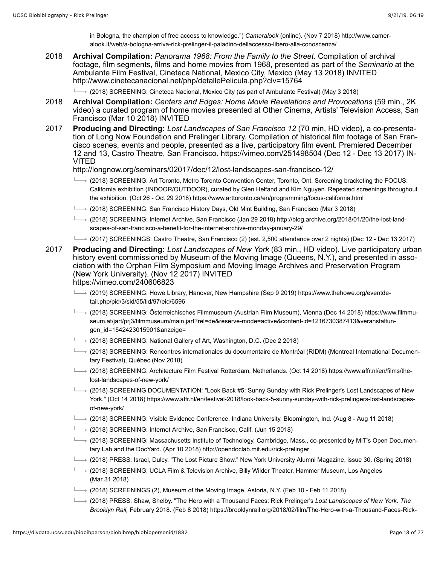in Bologna, the champion of free access to knowledge.") *Cameralook* (online). (Nov 7 2018) http://www.cameralook.it/web/a-bologna-arriva-rick-prelinger-il-paladino-dellaccesso-libero-alla-conoscenza/

2018 **Archival Compilation:** *Panorama 1968: From the Family to the Street.* Compilation of archival footage, film segments, films and home movies from 1968, presented as part of the *Seminario* at the Ambulante Film Festival, Cineteca National, Mexico City, Mexico (May 13 2018) INVITED http://www.cinetecanacional.net/php/detallePelicula.php?clv=15764

(2018) SCREENING: Cineteca Nacional, Mexico City (as part of Ambulante Festival) (May 3 2018)

- 2018 **Archival Compilation:** *Centers and Edges: Home Movie Revelations and Provocations* (59 min., 2K video) a curated program of home movies presented at Other Cinema, Artists' Television Access, San Francisco (Mar 10 2018) INVITED
- 2017 **Producing and Directing:** *Lost Landscapes of San Francisco 12* (70 min, HD video), a co-presentation of Long Now Foundation and Prelinger Library. Compilation of historical film footage of San Francisco scenes, events and people, presented as a live, participatory film event. Premiered December 12 and 13, Castro Theatre, San Francisco. https://vimeo.com/251498504 (Dec 12 - Dec 13 2017) IN-VITED

http://longnow.org/seminars/02017/dec/12/lost-landscapes-san-francisco-12/

- → (2018) SCREENING: Art Toronto, Metro Toronto Convention Center, Toronto, Ont. Screening bracketing the FOCUS: California exhibition (INDOOR/OUTDOOR), curated by Glen Helfand and Kim Nguyen. Repeated screenings throughout the exhibition. (Oct 26 - Oct 29 2018) https://www.arttoronto.ca/en/programming/focus-california.html
- (2018) SCREENING: San Francisco History Days, Old Mint Building, San Francisco (Mar 3 2018)
- (2018) SCREENING: Internet Archive, San Francisco (Jan 29 2018) http://blog.archive.org/2018/01/20/the-lost-landscapes-of-san-francisco-a-benefit-for-the-internet-archive-monday-january-29/
- (2017) SCREENINGS: Castro Theatre, San Francisco (2) (est. 2,500 attendance over 2 nights) (Dec 12 Dec 13 2017)
- 2017 **Producing and Directing:** *Lost Landscapes of New York* (83 min., HD video). Live participatory urban history event commissioned by Museum of the Moving Image (Queens, N.Y.), and presented in association with the Orphan Film Symposium and Moving Image Archives and Preservation Program (New York University). (Nov 12 2017) INVITED https://vimeo.com/240606823

- → (2019) SCREENING: Howe Library, Hanover, New Hampshire (Sep 9 2019) https://www.thehowe.org/eventdetail.php/pid/3/sid/55/tid/97/eid/6596
- (2018) SCREENING: Österreichisches Filmmuseum (Austrian Film Museum), Vienna (Dec 14 2018) https://www.filmmuseum.at/jart/prj3/filmmuseum/main.jart?rel=de&reserve-mode=active&content-id=1216730387413&veranstaltungen\_id=1542423015901&anzeige=
- → (2018) SCREENING: National Gallery of Art, Washington, D.C. (Dec 2 2018)
- (2018) SCREENING: Rencontres internationales du documentaire de Montréal (RIDM) (Montreal International Documentary Festival), Québec (Nov 2018)
- (2018) SCREENING: Architecture Film Festival Rotterdam, Netherlands. (Oct 14 2018) https://www.affr.nl/en/films/thelost-landscapes-of-new-york/
- $\rightarrow$  (2018) SCREENING DOCUMENTATION: "Look Back #5: Sunny Sunday with Rick Prelinger's Lost Landscapes of New York." (Oct 14 2018) https://www.affr.nl/en/festival-2018/look-back-5-sunny-sunday-with-rick-prelingers-lost-landscapesof-new-york/
- (2018) SCREENING: Visible Evidence Conference, Indiana University, Bloomington, Ind. (Aug 8 Aug 11 2018)
- $\rightarrow$  (2018) SCREENING: Internet Archive, San Francisco, Calif. (Jun 15 2018)
- (2018) SCREENING: Massachusetts Institute of Technology, Cambridge, Mass., co-presented by MIT's Open Documentary Lab and the DocYard. (Apr 10 2018) http://opendoclab.mit.edu/rick-prelinger
- (2018) PRESS: Israel, Dulcy. "The Lost Picture Show." New York University Alumni Magazine, issue 30. (Spring 2018)
- (2018) SCREENING: UCLA Film & Television Archive, Billy Wilder Theater, Hammer Museum, Los Angeles (Mar 31 2018)
- $\rightarrow$  (2018) SCREENINGS (2), Museum of the Moving Image, Astoria, N.Y. (Feb 10 Feb 11 2018)
- (2018) PRESS: Shaw, Shelby. "The Hero with a Thousand Faces: Rick Prelinger's *Lost Landscapes of New York. The Brooklyn Rail,* February 2018. (Feb 8 2018) https://brooklynrail.org/2018/02/film/The-Hero-with-a-Thousand-Faces-Rick-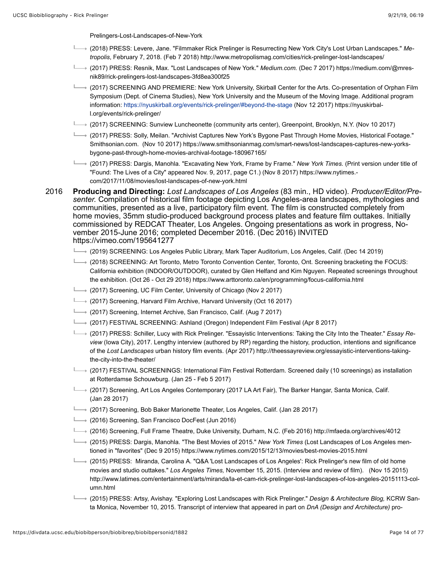Prelingers-Lost-Landscapes-of-New-York

- (2018) PRESS: Levere, Jane. "Filmmaker Rick Prelinger is Resurrecting New York City's Lost Urban Landscapes." *Metropolis*, February 7, 2018. (Feb 7 2018) http://www.metropolismag.com/cities/rick-prelinger-lost-landscapes/
- (2017) PRESS: Resnik, Max. "Lost Landscapes of New York." *Medium.com.* (Dec 7 2017) https://medium.com/@mresnik89/rick-prelingers-lost-landscapes-3fd8ea300f25
- (2017) SCREENING AND PREMIERE: New York University, Skirball Center for the Arts. Co-presentation of Orphan Film Symposium (Dept. of Cinema Studies), New York University and the Museum of the Moving Image. Additional program information: https://nyuskirball.org/events/rick-prelinger/#beyond-the-stage (Nov 12 2017) https://nyuskirball.org/events/rick-prelinger/
- (2017) SCREENING: Sunview Luncheonette (community arts center), Greenpoint, Brooklyn, N.Y. (Nov 10 2017)
- → (2017) PRESS: Solly, Meilan. "Archivist Captures New York's Bygone Past Through Home Movies, Historical Footage." Smithsonian.com. (Nov 10 2017) https://www.smithsonianmag.com/smart-news/lost-landscapes-captures-new-yorksbygone-past-through-home-movies-archival-footage-180967165/
- (2017) PRESS: Dargis, Manohla. "Excavating New York, Frame by Frame." *New York Times.* (Print version under title of "Found: The Lives of a City" appeared Nov. 9, 2017, page C1.) (Nov 8 2017) https://www.nytimes. com/2017/11/08/movies/lost-landscapes-of-new-york.html
- 2016 **Producing and Directing:** *Lost Landscapes of Los Angeles* (83 min., HD video). *Producer/Editor/Presenter.* Compilation of historical film footage depicting Los Angeles-area landscapes, mythologies and communities, presented as a live, participatory film event. The film is constructed completely from home movies, 35mm studio-produced background process plates and feature film outtakes. Initially commissioned by REDCAT Theater, Los Angeles. Ongoing presentations as work in progress, November 2015-June 2016; completed December 2016. (Dec 2016) INVITED https://vimeo.com/195641277
	- (2019) SCREENING: Los Angeles Public Library, Mark Taper Auditorium, Los Angeles, Calif. (Dec 14 2019)
	- (2018) SCREENING: Art Toronto, Metro Toronto Convention Center, Toronto, Ont. Screening bracketing the FOCUS: California exhibition (INDOOR/OUTDOOR), curated by Glen Helfand and Kim Nguyen. Repeated screenings throughout the exhibition. (Oct 26 - Oct 29 2018) https://www.arttoronto.ca/en/programming/focus-california.html
	- $\rightarrow$  (2017) Screening, UC Film Center, University of Chicago (Nov 2 2017)
	- $\rightarrow$  (2017) Screening, Harvard Film Archive, Harvard University (Oct 16 2017)
	- (2017) Screening, Internet Archive, San Francisco, Calif. (Aug 7 2017)
	- (2017) FESTIVAL SCREENING: Ashland (Oregon) Independent Film Festival (Apr 8 2017)
	- (2017) PRESS: Schiller, Lucy with Rick Prelinger. "Essayistic Interventions: Taking the City Into the Theater." *Essay Review* (Iowa City), 2017. Lengthy interview (authored by RP) regarding the history, production, intentions and significance of the *Lost Landscapes* urban history film events. (Apr 2017) http://theessayreview.org/essayistic-interventions-takingthe-city-into-the-theater/
	- (2017) FESTIVAL SCREENINGS: International Film Festival Rotterdam. Screened daily (10 screenings) as installation at Rotterdamse Schouwburg. (Jan 25 - Feb 5 2017)
	- (2017) Screening, Art Los Angeles Contemporary (2017 LA Art Fair), The Barker Hangar, Santa Monica, Calif. (Jan 28 2017)
	- (2017) Screening, Bob Baker Marionette Theater, Los Angeles, Calif. (Jan 28 2017)
	- $\rightarrow$  (2016) Screening, San Francisco DocFest (Jun 2016)
	- (2016) Screening, Full Frame Theatre, Duke University, Durham, N.C. (Feb 2016) http://mfaeda.org/archives/4012
	- (2015) PRESS: Dargis, Manohla. "The Best Movies of 2015." *New York Times* (Lost Landscapes of Los Angeles mentioned in "favorites" (Dec 9 2015) https://www.nytimes.com/2015/12/13/movies/best-movies-2015.html
	- (2015) PRESS: Miranda, Carolina A. "Q&A 'Lost Landscapes of Los Angeles': Rick Prelinger's new film of old home movies and studio outtakes." *Los Angeles Times,* November 15, 2015. (Interview and review of film). (Nov 15 2015) http://www.latimes.com/entertainment/arts/miranda/la-et-cam-rick-prelinger-lost-landscapes-of-los-angeles-20151113-column.html
	- (2015) PRESS: Artsy, Avishay. "Exploring Lost Landscapes with Rick Prelinger." *Design & Architecture Blog,* KCRW Santa Monica, November 10, 2015. Transcript of interview that appeared in part on *DnA (Design and Architecture)* pro-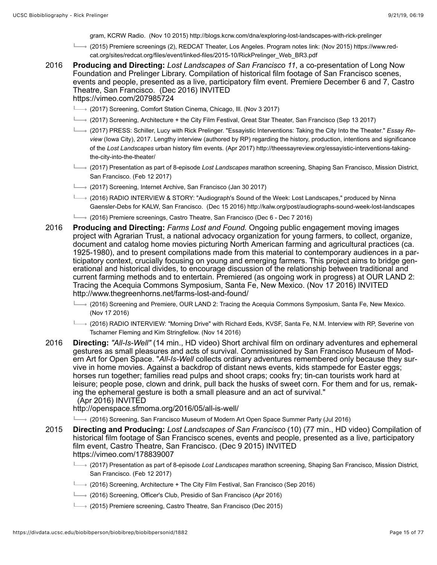- gram, KCRW Radio. (Nov 10 2015) http://blogs.kcrw.com/dna/exploring-lost-landscapes-with-rick-prelinger
- (2015) Premiere screenings (2), REDCAT Theater, Los Angeles. Program notes link: (Nov 2015) https://www.redcat.org/sites/redcat.org/files/event/linked-files/2015-10/RickPrelinger\_Web\_BR3.pdf
- 2016 **Producing and Directing:** *Lost Landscapes of San Francisco 11*, a co-presentation of Long Now Foundation and Prelinger Library. Compilation of historical film footage of San Francisco scenes, events and people, presented as a live, participatory film event. Premiere December 6 and 7, Castro Theatre, San Francisco. (Dec 2016) INVITED https://vimeo.com/207985724

- $\rightarrow$  (2017) Screening, Comfort Station Cinema, Chicago, Ill. (Nov 3 2017)
- $\rightarrow$  (2017) Screening, Architecture + the City Film Festival, Great Star Theater, San Francisco (Sep 13 2017)
- (2017) PRESS: Schiller, Lucy with Rick Prelinger. "Essayistic Interventions: Taking the City Into the Theater." *Essay Review* (Iowa City), 2017. Lengthy interview (authored by RP) regarding the history, production, intentions and significance of the *Lost Landscapes* urban history film events. (Apr 2017) http://theessayreview.org/essayistic-interventions-takingthe-city-into-the-theater/
- (2017) Presentation as part of 8-episode *Lost Landscapes* marathon screening, Shaping San Francisco, Mission District, San Francisco. (Feb 12 2017)
- $\rightarrow$  (2017) Screening, Internet Archive, San Francisco (Jan 30 2017)
- (2016) RADIO INTERVIEW & STORY: "Audiograph's Sound of the Week: Lost Landscapes," produced by Ninna Gaensler-Debs for KALW, San Francisco. (Dec 15 2016) http://kalw.org/post/audiographs-sound-week-lost-landscapes
- (2016) Premiere screenings, Castro Theatre, San Francisco (Dec 6 Dec 7 2016)
- 2016 **Producing and Directing:** *Farms Lost and Found.* Ongoing public engagement moving images project with Agrarian Trust, a national advocacy organization for young farmers, to collect, organize, document and catalog home movies picturing North American farming and agricultural practices (ca. 1925-1980), and to present compilations made from this material to contemporary audiences in a participatory context, crucially focusing on young and emerging farmers. This project aims to bridge generational and historical divides, to encourage discussion of the relationship between traditional and current farming methods and to entertain. Premiered (as ongoing work in progress) at OUR LAND 2: Tracing the Acequia Commons Symposium, Santa Fe, New Mexico. (Nov 17 2016) INVITED http://www.thegreenhorns.net/farms-lost-and-found/
	- (2016) Screening and Premiere, OUR LAND 2: Tracing the Acequia Commons Symposium, Santa Fe, New Mexico. (Nov 17 2016)
	- → (2016) RADIO INTERVIEW: "Morning Drive" with Richard Eeds, KVSF, Santa Fe, N.M. Interview with RP, Severine von Tscharner Fleming and Kim Stringfellow. (Nov 14 2016)
- 2016 **Directing:** *"All-Is-Well"* (14 min., HD video) Short archival film on ordinary adventures and ephemeral gestures as small pleasures and acts of survival. Commissioned by San Francisco Museum of Modern Art for Open Space. "*All-Is-Well* collects ordinary adventures remembered only because they survive in home movies. Against a backdrop of distant news events, kids stampede for Easter eggs; horses run together; families read pulps and shoot craps; cooks fry; tin-can tourists work hard at leisure; people pose, clown and drink, pull back the husks of sweet corn. For them and for us, remaking the ephemeral gesture is both a small pleasure and an act of survival." (Apr 2016) INVITED

http://openspace.sfmoma.org/2016/05/all-is-well/

(2016) Screening, San Francisco Museum of Modern Art Open Space Summer Party (Jul 2016)

- 2015 **Directing and Producing:** *Lost Landscapes of San Francisco* (10) (77 min., HD video) Compilation of historical film footage of San Francisco scenes, events and people, presented as a live, participatory film event, Castro Theatre, San Francisco. (Dec 9 2015) INVITED https://vimeo.com/178839007
	- (2017) Presentation as part of 8-episode *Lost Landscapes* marathon screening, Shaping San Francisco, Mission District, San Francisco. (Feb 12 2017)
	- (2016) Screening, Architecture + The City Film Festival, San Francisco (Sep 2016)
	- (2016) Screening, Officer's Club, Presidio of San Francisco (Apr 2016)
	- $\rightarrow$  (2015) Premiere screening, Castro Theatre, San Francisco (Dec 2015)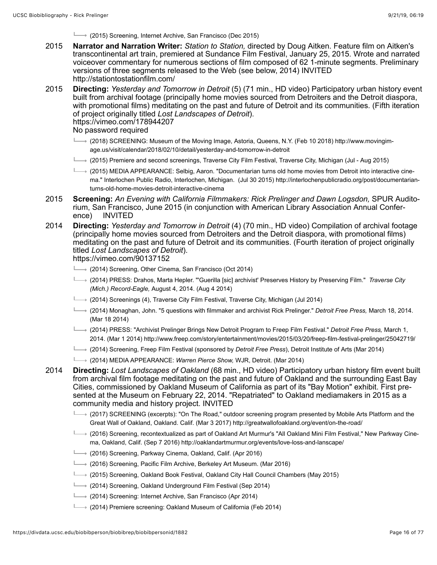(2015) Screening, Internet Archive, San Francisco (Dec 2015)

- 2015 **Narrator and Narration Writer:** *Station to Station,* directed by Doug Aitken. Feature film on Aitken's transcontinental art train, premiered at Sundance Film Festival, January 25, 2015. Wrote and narrated voiceover commentary for numerous sections of film composed of 62 1-minute segments. Preliminary versions of three segments released to the Web (see below, 2014) INVITED http://stationtostationfilm.com/
- 2015 **Directing:** *Yesterday and Tomorrow in Detroit* (5) (71 min., HD video) Participatory urban history event built from archival footage (principally home movies sourced from Detroiters and the Detroit diaspora, with promotional films) meditating on the past and future of Detroit and its communities. (Fifth iteration of project originally titled *Lost Landscapes of Detroit*). https://vimeo.com/178944207 No password required
	- (2018) SCREENING: Museum of the Moving Image, Astoria, Queens, N.Y. (Feb 10 2018) http://www.movingimage.us/visit/calendar/2018/02/10/detail/yesterday-and-tomorrow-in-detroit
	- (2015) Premiere and second screenings, Traverse City Film Festival, Traverse City, Michigan (Jul Aug 2015)
	- (2015) MEDIA APPEARANCE: Selbig, Aaron. "Documentarian turns old home movies from Detroit into interactive cinema." Interlochen Public Radio, Interlochen, Michigan. (Jul 30 2015) http://interlochenpublicradio.org/post/documentarianturns-old-home-movies-detroit-interactive-cinema
- 2015 **Screening:** *An Evening with California Filmmakers: Rick Prelinger and Dawn Logsdon,* SPUR Auditorium, San Francisco, June 2015 (in conjunction with American Library Association Annual Confer-**INVITED**
- 2014 **Directing:** *Yesterday and Tomorrow in Detroit* (4) (70 min., HD video) Compilation of archival footage (principally home movies sourced from Detroiters and the Detroit diaspora, with promotional films) meditating on the past and future of Detroit and its communities. (Fourth iteration of project originally titled *Lost Landscapes of Detroit*).

https://vimeo.com/90137152

- $\rightarrow$  (2014) Screening, Other Cinema, San Francisco (Oct 2014)
- (2014) PRESS: Drahos, Marta Hepler. "'Guerilla [sic] archivist' Preserves History by Preserving Film." *Traverse City (Mich.) Record-Eagle,* August 4, 2014. (Aug 4 2014)
- (2014) Screenings (4), Traverse City Film Festival, Traverse City, Michigan (Jul 2014)
- (2014) Monaghan, John. "5 questions with filmmaker and archivist Rick Prelinger." *Detroit Free Press,* March 18, 2014. (Mar 18 2014)
- → (2014) PRESS: "Archivist Prelinger Brings New Detroit Program to Freep Film Festival." *Detroit Free Press*, March 1, 2014. (Mar 1 2014) http://www.freep.com/story/entertainment/movies/2015/03/20/freep-film-festival-prelinger/25042719/
- (2014) Screening, Freep Film Festival (sponsored by *Detroit Free Press*), Detroit Institute of Arts (Mar 2014)
- (2014) MEDIA APPEARANCE: *Warren Pierce Show,* WJR, Detroit. (Mar 2014)
- 2014 **Directing:** *Lost Landscapes of Oakland* (68 min., HD video) Participatory urban history film event built from archival film footage meditating on the past and future of Oakland and the surrounding East Bay Cities, commissioned by Oakland Museum of California as part of its "Bay Motion" exhibit. First presented at the Museum on February 22, 2014. "Repatriated" to Oakland mediamakers in 2015 as a community media and history project. INVITED
	- $\rightarrow$  (2017) SCREENING (excerpts): "On The Road," outdoor screening program presented by Mobile Arts Platform and the Great Wall of Oakland, Oakland. Calif. (Mar 3 2017) http://greatwallofoakland.org/event/on-the-road/
	- (2016) Screening, recontextualized as part of Oakland Art Murmur's "All Oakland Mini Film Festival," New Parkway Cinema, Oakland, Calif. (Sep 7 2016) http://oaklandartmurmur.org/events/love-loss-and-lanscape/
	- (2016) Screening, Parkway Cinema, Oakland, Calif. (Apr 2016)
	- (2016) Screening, Pacific Film Archive, Berkeley Art Museum. (Mar 2016)
	- $\rightarrow$  (2015) Screening, Oakland Book Festival, Oakland City Hall Council Chambers (May 2015)
	- $\rightarrow$  (2014) Screening, Oakland Underground Film Festival (Sep 2014)
	- $\rightarrow$  (2014) Screening: Internet Archive, San Francisco (Apr 2014)
	- (2014) Premiere screening: Oakland Museum of California (Feb 2014)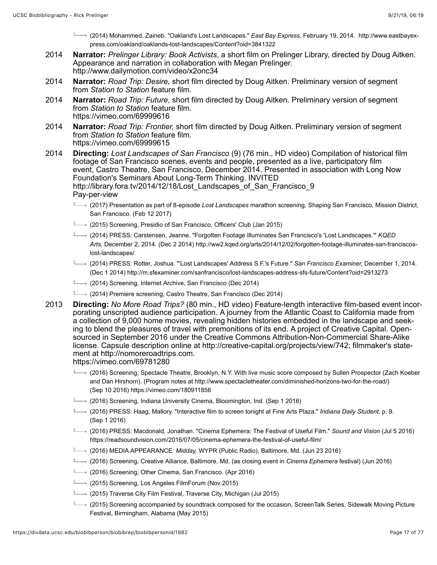- (2014) Mohammed, Zaineb. "Oakland's Lost Landscapes." *East Bay Express,* February 19. 2014. http://www.eastbayexpress.com/oakland/oaklands-lost-landscapes/Content?oid=3841322
- 2014 **Narrator:** *Prelinger Library: Book Activists*, a short film on Prelinger Library, directed by Doug Aitken. Appearance and narration in collaboration with Megan Prelinger. http://www.dailymotion.com/video/x2onc34
- 2014 **Narrator:** *Road Trip: Desire,* short film directed by Doug Aitken. Preliminary version of segment from *Station to Station* feature film.
- 2014 **Narrator:** *Road Trip: Future,* short film directed by Doug Aitken. Preliminary version of segment from *Station to Station* feature film. https://vimeo.com/69999616
- 2014 **Narrator:** *Road Trip: Frontier,* short film directed by Doug Aitken. Preliminary version of segment from *Station to Station* feature film. https://vimeo.com/69999615

2014 **Directing:** *Lost Landscapes of San Francisco* (9) (76 min., HD video) Compilation of historical film footage of San Francisco scenes, events and people, presented as a live, participatory film event, Castro Theatre, San Francisco, December 2014. Presented in association with Long Now Foundation's Seminars About Long-Term Thinking. INVITED http://library.fora.tv/2014/12/18/Lost\_Landscapes\_of\_San\_Francisco\_9 Pay-per-view

- (2017) Presentation as part of 8-episode *Lost Landscapes* marathon screening, Shaping San Francisco, Mission District, San Francisco. (Feb 12 2017)
- $\rightarrow$  (2015) Screening, Presidio of San Francisco, Officers' Club (Jan 2015)
- (2014) PRESS: Carstensen, Jeanne. "Forgotten Footage Illuminates San Francisco's 'Lost Landscapes.'" *KQED Arts,* December 2, 2014. (Dec 2 2014) http://ww2.kqed.org/arts/2014/12/02/forgotten-footage-illuminates-san-franciscoslost-landscapes/
- (2014) PRESS: Rotter, Joshua. "'Lost Landscapes' Address S.F.'s Future." *San Francisco Examiner,* December 1, 2014. (Dec 1 2014) http://m.sfexaminer.com/sanfrancisco/lost-landscapes-address-sfs-future/Content?oid=2913273
- $\rightarrow$  (2014) Screening, Internet Archive, San Francisco (Dec 2014)
- $\rightarrow$  (2014) Premiere screening, Castro Theatre, San Francisco (Dec 2014)
- 2013 **Directing:** *No More Road Trips?* (80 min., HD video) Feature-length interactive film-based event incorporating unscripted audience participation. A journey from the Atlantic Coast to California made from a collection of 9,000 home movies, revealing hidden histories embedded in the landscape and seeking to blend the pleasures of travel with premonitions of its end. A project of Creative Capital. Opensourced in September 2016 under the Creative Commons Attribution-Non-Commercial Share-Alike license. Capsule description online at http://creative-capital.org/projects/view/742; filmmaker's statement at http://nomoreroadtrips.com. https://vimeo.com/69781280
	- (2016) Screening, Spectacle Theatre, Brooklyn, N.Y. With live music score composed by Sullen Prospector (Zach Koeber and Dan Hirshorn). (Program notes at http://www.spectacletheater.com/diminished-horizons-two-for-the-road/) (Sep 10 2016) https://vimeo.com/180911856
	- (2016) Screening, Indiana University Cinema, Bloomington, Ind. (Sep 1 2016)
	- (2016) PRESS: Haag, Mallory. "Interactive film to screen tonight at Fine Arts Plaza." *Indiana Daily Student,* p. 9. (Sep 1 2016)
	- (2016) PRESS: Macdonald, Jonathan. "Cinema Ephemera: The Festival of Useful Film." *Sound and Vision* (Jul 5 2016) https://readsoundvision.com/2016/07/05/cinema-ephemera-the-festival-of-useful-film/
	- → (2016) MEDIA APPEARANCE: *Midday*, WYPR (Public Radio), Baltimore, Md. (Jun 23 2016)
	- (2016) Screening, Creative Alliance, Baltimore, Md. (as closing event in *Cinema Ephemera* festival) (Jun 2016)
	- (2016) Screening, Other Cinema, San Francisco. (Apr 2016)
	- $\rightarrow$  (2015) Screening, Los Angeles FilmForum (Nov 2015)
	- $\rightarrow$  (2015) Traverse City Film Festival, Traverse City, Michigan (Jul 2015)
	- → (2015) Screening accompanied by soundtrack composed for the occasion, ScreenTalk Series, Sidewalk Moving Picture Festival, Birmingham, Alabama (May 2015)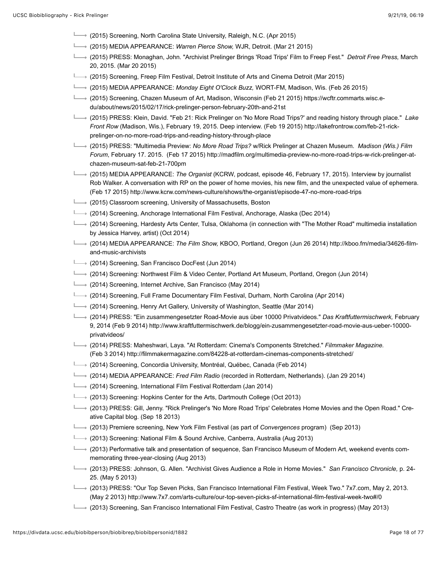- (2015) Screening, North Carolina State University, Raleigh, N.C. (Apr 2015)
- (2015) MEDIA APPEARANCE: *Warren Pierce Show,* WJR, Detroit. (Mar 21 2015)
- (2015) PRESS: Monaghan, John. "Archivist Prelinger Brings 'Road Trips' Film to Freep Fest." *Detroit Free Press,* March 20, 2015. (Mar 20 2015)
- (2015) Screening, Freep Film Festival, Detroit Institute of Arts and Cinema Detroit (Mar 2015)
- (2015) MEDIA APPEARANCE: *Monday Eight O'Clock Buzz,* WORT-FM, Madison, Wis. (Feb 26 2015)
- → (2015) Screening, Chazen Museum of Art, Madison, Wisconsin (Feb 21 2015) https://wcftr.commarts.wisc.edu/about/news/2015/02/17/rick-prelinger-person-february-20th-and-21st
- (2015) PRESS: Klein, David. "Feb 21: Rick Prelinger on 'No More Road Trips?' and reading history through place." *Lake Front Row* (Madison, Wis.), February 19, 2015. Deep interview. (Feb 19 2015) http://lakefrontrow.com/feb-21-rickprelinger-on-no-more-road-trips-and-reading-history-through-place
- (2015) PRESS: "Multimedia Preview: *No More Road Trips?* w/Rick Prelinger at Chazen Museum. *Madison (Wis.) Film Forum*, February 17. 2015. (Feb 17 2015) http://madfilm.org/multimedia-preview-no-more-road-trips-w-rick-prelinger-atchazen-museum-sat-feb-21-700pm
- (2015) MEDIA APPEARANCE: *The Organist* (KCRW, podcast, episode 46, February 17, 2015). Interview by journalist Rob Walker. A conversation with RP on the power of home movies, his new film, and the unexpected value of ephemera. (Feb 17 2015) http://www.kcrw.com/news-culture/shows/the-organist/episode-47-no-more-road-trips
- $\rightarrow$  (2015) Classroom screening, University of Massachusetts, Boston
- (2014) Screening, Anchorage International Film Festival, Anchorage, Alaska (Dec 2014)
- (2014) Screening, Hardesty Arts Center, Tulsa, Oklahoma (in connection with "The Mother Road" multimedia installation by Jessica Harvey, artist) (Oct 2014)
- (2014) MEDIA APPEARANCE: *The Film Show,* KBOO, Portland, Oregon (Jun 26 2014) http://kboo.fm/media/34626-filmand-music-archivists
- $\rightarrow$  (2014) Screening, San Francisco DocFest (Jun 2014)
- (2014) Screening: Northwest Film & Video Center, Portland Art Museum, Portland, Oregon (Jun 2014)
- $\rightarrow$  (2014) Screening, Internet Archive, San Francisco (May 2014)
- (2014) Screening, Full Frame Documentary Film Festival, Durham, North Carolina (Apr 2014)
- $\longmapsto$  (2014) Screening, Henry Art Gallery, University of Washington, Seattle (Mar 2014)
- (2014) PRESS: "Ein zusammengesetzter Road-Movie aus über 10000 Privatvideos." *Das Kraftfuttermischwerk,* February 9, 2014 (Feb 9 2014) http://www.kraftfuttermischwerk.de/blogg/ein-zusammengesetzter-road-movie-aus-ueber-10000 privatvideos/
- (2014) PRESS: Maheshwari, Laya. "At Rotterdam: Cinema's Components Stretched." *Filmmaker Magazine.* (Feb 3 2014) http://filmmakermagazine.com/84228-at-rotterdam-cinemas-components-stretched/
- $\rightarrow$  (2014) Screening, Concordia University, Montréal, Québec, Canada (Feb 2014)
- (2014) MEDIA APPEARANCE: *Fred Film Radio* (recorded in Rotterdam, Netherlands). (Jan 29 2014)
- (2014) Screening, International Film Festival Rotterdam (Jan 2014)
- (2013) Screening: Hopkins Center for the Arts, Dartmouth College (Oct 2013)
- (2013) PRESS: Gill, Jenny. "Rick Prelinger's 'No More Road Trips' Celebrates Home Movies and the Open Road." Creative Capital blog. (Sep 18 2013)
- (2013) Premiere screening, New York Film Festival (as part of *Convergences* program) (Sep 2013)
- (2013) Screening: National Film & Sound Archive, Canberra, Australia (Aug 2013)
- (2013) Performative talk and presentation of sequence, San Francisco Museum of Modern Art, weekend events commemorating three-year-closing (Aug 2013)
- (2013) PRESS: Johnson, G. Allen. "Archivist Gives Audience a Role in Home Movies." *San Francisco Chronicle,* p. 24- 25. (May 5 2013)
- (2013) PRESS: "Our Top Seven Picks, San Francisco International Film Festival, Week Two." 7x7.com, May 2, 2013. (May 2 2013) http://www.7x7.com/arts-culture/our-top-seven-picks-sf-international-film-festival-week-two#/0
- (2013) Screening, San Francisco International Film Festival, Castro Theatre (as work in progress) (May 2013)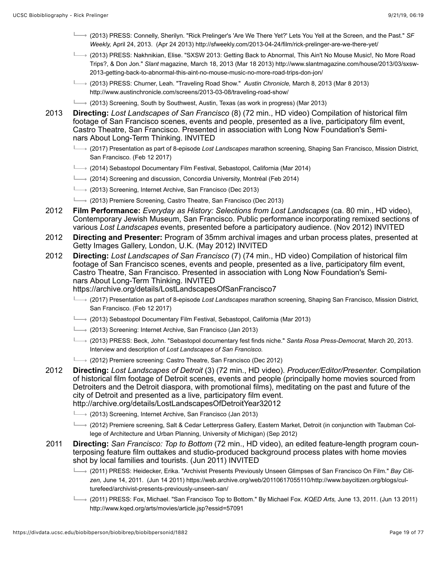- (2013) PRESS: Connelly, Sherilyn. "Rick Prelinger's 'Are We There Yet?' Lets You Yell at the Screen, and the Past." *SF Weekly,* April 24, 2013. (Apr 24 2013) http://sfweekly.com/2013-04-24/film/rick-prelinger-are-we-there-yet/
- (2013) PRESS: Nakhnikian, Elise. "SXSW 2013: Getting Back to Abnormal, This Ain't No Mouse Music!, No More Road Trips?, & Don Jon." *Slant* magazine, March 18, 2013 (Mar 18 2013) http://www.slantmagazine.com/house/2013/03/sxsw-2013-getting-back-to-abnormal-this-aint-no-mouse-music-no-more-road-trips-don-jon/
- (2013) PRESS: Churner, Leah. "Traveling Road Show." *Austin Chronicle,* March 8, 2013 (Mar 8 2013) http://www.austinchronicle.com/screens/2013-03-08/traveling-road-show/
- $\longmapsto$  (2013) Screening, South by Southwest, Austin, Texas (as work in progress) (Mar 2013)
- 2013 **Directing:** *Lost Landscapes of San Francisco* (8) (72 min., HD video) Compilation of historical film footage of San Francisco scenes, events and people, presented as a live, participatory film event, Castro Theatre, San Francisco. Presented in association with Long Now Foundation's Seminars About Long-Term Thinking. INVITED
	- (2017) Presentation as part of 8-episode *Lost Landscapes* marathon screening, Shaping San Francisco, Mission District, San Francisco. (Feb 12 2017)
	- (2014) Sebastopol Documentary Film Festival, Sebastopol, California (Mar 2014)
	- $\longmapsto$  (2014) Screening and discussion, Concordia University, Montréal (Feb 2014)
	- (2013) Screening, Internet Archive, San Francisco (Dec 2013)
	- $\rightarrow$  (2013) Premiere Screening, Castro Theatre, San Francisco (Dec 2013)
- 2012 **Film Performance:** *Everyday as History: Selections from Lost Landscapes* (ca. 80 min., HD video), Contemporary Jewish Museum, San Francisco. Public performance incorporating remixed sections of various *Lost Landscapes* events, presented before a participatory audience. (Nov 2012) INVITED
- 2012 **Directing and Presenter:** Program of 35mm archival images and urban process plates, presented at Getty Images Gallery, London, U.K. (May 2012) INVITED
- 2012 **Directing:** *Lost Landscapes of San Francisco* (7) (74 min., HD video) Compilation of historical film footage of San Francisco scenes, events and people, presented as a live, participatory film event, Castro Theatre, San Francisco. Presented in association with Long Now Foundation's Seminars About Long-Term Thinking. INVITED https://archive.org/details/LostLandscapesOfSanFrancisco7
	- (2017) Presentation as part of 8-episode *Lost Landscapes* marathon screening, Shaping San Francisco, Mission District, San Francisco. (Feb 12 2017)
	- $\rightarrow$  (2013) Sebastopol Documentary Film Festival, Sebastopol, California (Mar 2013)
	- $\rightarrow$  (2013) Screening: Internet Archive, San Francisco (Jan 2013)
	- (2013) PRESS: Beck, John. "Sebastopol documentary fest finds niche." *Santa Rosa Press-Democrat,* March 20, 2013. Interview and description of *Lost Landscapes of San Francisco.*
	- $\rightarrow$  (2012) Premiere screening: Castro Theatre, San Francisco (Dec 2012)
- 2012 **Directing:** *Lost Landscapes of Detroit* (3) (72 min., HD video). *Producer/Editor/Presenter.* Compilation of historical film footage of Detroit scenes, events and people (principally home movies sourced from Detroiters and the Detroit diaspora, with promotional films), meditating on the past and future of the city of Detroit and presented as a live, participatory film event. http://archive.org/details/LostLandscapesOfDetroitYear32012
	- $\rightarrow$  (2013) Screening, Internet Archive, San Francisco (Jan 2013)
	- (2012) Premiere screening, Salt & Cedar Letterpress Gallery, Eastern Market, Detroit (in conjunction with Taubman College of Architecture and Urban Planning, University of Michigan) (Sep 2012)
- 2011 **Directing:** *San Francisco: Top to Bottom* (72 min., HD video), an edited feature-length program counterposing feature film outtakes and studio-produced background process plates with home movies shot by local families and tourists. (Jun 2011) INVITED
	- (2011) PRESS: Heidecker, Erika. "Archivist Presents Previously Unseen Glimpses of San Francisco On Film." *Bay Citizen,* June 14, 2011. (Jun 14 2011) https://web.archive.org/web/20110617055110/http://www.baycitizen.org/blogs/culturefeed/archivist-presents-previously-unseen-san/
	- (2011) PRESS: Fox, Michael. "San Francisco Top to Bottom." By Michael Fox. *KQED Arts,* June 13, 2011. (Jun 13 2011) http://www.kqed.org/arts/movies/article.jsp?essid=57091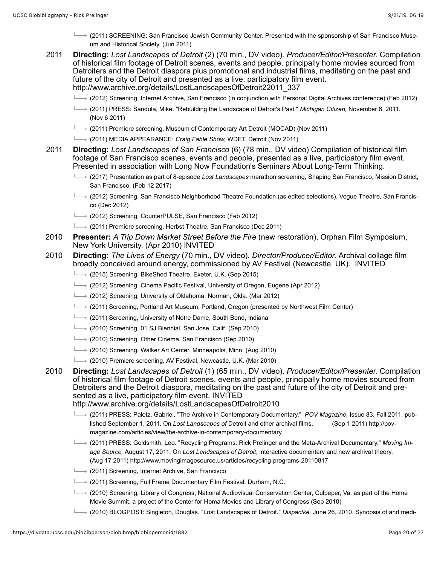- (2011) SCREENING: San Francisco Jewish Community Center. Presented with the sponsorship of San Francisco Museum and Historical Society. (Jun 2011)
- 2011 **Directing:** *Lost Landscapes of Detroit* (2) (70 min., DV video). *Producer/Editor/Presenter.* Compilation of historical film footage of Detroit scenes, events and people, principally home movies sourced from Detroiters and the Detroit diaspora plus promotional and industrial films, meditating on the past and future of the city of Detroit and presented as a live, participatory film event. http://www.archive.org/details/LostLandscapesOfDetroit22011\_337
	- (2012) Screening, Internet Archive, San Francisco (in conjunction with Personal Digital Archives conference) (Feb 2012)
	- (2011) PRESS: Sandula, Mike. "Rebuilding the Landscape of Detroit's Past." *Michigan Citizen,* November 6, 2011. (Nov 6 2011)
	- → (2011) Premiere screening, Museum of Contemporary Art Detroit (MOCAD) (Nov 2011)
	- (2011) MEDIA APPEARANCE: *Craig Fahle Show,* WDET, Detroit (Nov 2011)

2011 **Directing:** *Lost Landscapes of San Francisco* (6) (78 min., DV video) Compilation of historical film footage of San Francisco scenes, events and people, presented as a live, participatory film event. Presented in association with Long Now Foundation's Seminars About Long-Term Thinking.

- (2017) Presentation as part of 8-episode *Lost Landscapes* marathon screening, Shaping San Francisco, Mission District, San Francisco. (Feb 12 2017)
- → (2012) Screening, San Francisco Neighborhood Theatre Foundation (as edited selections), Vogue Theatre, San Francisco (Dec 2012)
- (2012) Screening, CounterPULSE, San Francisco (Feb 2012)
- (2011) Premiere screening, Herbst Theatre, San Francisco (Dec 2011)
- 2010 **Presenter:** *A Trip Down Market Street Before the Fire* (new restoration), Orphan Film Symposium, New York University. (Apr 2010) INVITED
- 2010 **Directing:** *The Lives of Energy* (70 min., DV video). *Director/Producer/Editor.* Archival collage film broadly conceived around energy, commissioned by AV Festival (Newcastle, UK). INVITED
	- $\rightarrow$  (2015) Screening, BikeShed Theatre, Exeter, U.K. (Sep 2015)
	- (2012) Screening, Cinema Pacific Festival, University of Oregon, Eugene (Apr 2012)
	- $\rightarrow$  (2012) Screening, University of Oklahoma, Norman, Okla. (Mar 2012)
	- (2011) Screening, Portland Art Museum, Portland, Oregon (presented by Northwest Film Center)
	- $\longmapsto$  (2011) Screening, University of Notre Dame, South Bend, Indiana
	- $\rightarrow$  (2010) Screening, 01 SJ Biennial, San Jose, Calif. (Sep 2010)
	- $\rightarrow$  (2010) Screening, Other Cinema, San Francisco (Sep 2010)
	- $\rightarrow$  (2010) Screening, Walker Art Center, Minneapolis, Minn. (Aug 2010)
	- $\rightarrow$  (2010) Premiere screening, AV Festival, Newcastle, U.K. (Mar 2010)
- 2010 **Directing:** *Lost Landscapes of Detroit* (1) (65 min., DV video). *Producer/Editor/Presenter.* Compilation of historical film footage of Detroit scenes, events and people, principally home movies sourced from Detroiters and the Detroit diaspora, meditating on the past and future of the city of Detroit and presented as a live, participatory film event. INVITED http://www.archive.org/details/LostLandscapesOfDetroit2010
	- (2011) PRESS: Paletz, Gabriel, "The Archive in Contemporary Documentary." *POV Magazine,* Issue 83, Fall 2011, published September 1, 2011. On *Lost Landscapes of* Detroit and other archival films. (Sep 1 2011) http://povmagazine.com/articles/view/the-archive-in-contemporary-documentary
	- → (2011) PRESS: Goldsmith, Leo. "Recycling Programs: Rick Prelinger and the Meta-Archival Documentary." Moving Im*age Source,* August 17, 2011. On *Lost Landscapes of Detroit*, interactive documentary and new archival theory. (Aug 17 2011) http://www.movingimagesource.us/articles/recycling-programs-20110817
	- $\rightarrow$  (2011) Screening, Internet Archive, San Francisco
	- $\rightarrow$  (2011) Screening, Full Frame Documentary Film Festival, Durham, N.C.
	- (2010) Screening, Library of Congress, National Audiovisual Conservation Center, Culpeper, Va. as part of the Home Movie Summit, a project of the Center for Homa Movies and Library of Congress (Sep 2010)
	- → (2010) BLOGPOST: Singleton, Douglas. "Lost Landscapes of Detroit." *Dispactké,* June 26, 2010. Synopsis of and medi-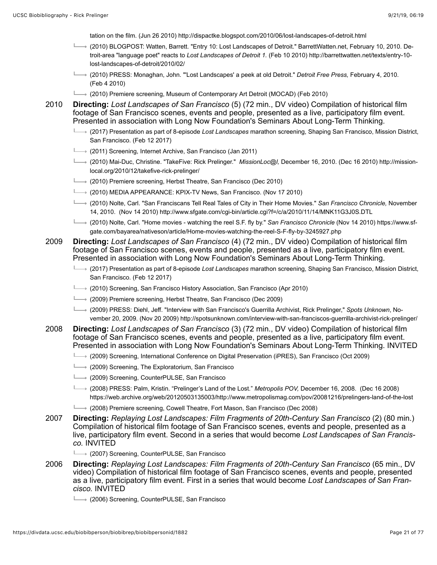- tation on the film. (Jun 26 2010) http://dispactke.blogspot.com/2010/06/lost-landscapes-of-detroit.html
- (2010) BLOGPOST: Watten, Barrett. "Entry 10: Lost Landscapes of Detroit." BarrettWatten.net, February 10, 2010. Detroit-area "language poet" reacts to *Lost Landscapes of Detroit 1.* (Feb 10 2010) http://barrettwatten.net/texts/entry-10 lost-landscapes-of-detroit/2010/02/
- (2010) PRESS: Monaghan, John. "'Lost Landscapes' a peek at old Detroit." *Detroit Free Press,* February 4, 2010. (Feb 4 2010)
- (2010) Premiere screening, Museum of Contemporary Art Detroit (MOCAD) (Feb 2010)
- 2010 **Directing:** *Lost Landscapes of San Francisco* (5) (72 min., DV video) Compilation of historical film footage of San Francisco scenes, events and people, presented as a live, participatory film event. Presented in association with Long Now Foundation's Seminars About Long-Term Thinking.
	- (2017) Presentation as part of 8-episode *Lost Landscapes* marathon screening, Shaping San Francisco, Mission District, San Francisco. (Feb 12 2017)
	- $\rightarrow$  (2011) Screening, Internet Archive, San Francisco (Jan 2011)
	- (2010) Mai-Duc, Christine. "TakeFive: Rick Prelinger." *MissionLoc@l,* December 16, 2010. (Dec 16 2010) http://missionlocal.org/2010/12/takefive-rick-prelinger/
	- $\rightarrow$  (2010) Premiere screening, Herbst Theatre, San Francisco (Dec 2010)
	- $\rightarrow$  (2010) MEDIA APPEARANCE: KPIX-TV News, San Francisco. (Nov 17 2010)
	- (2010) Nolte, Carl. "San Franciscans Tell Real Tales of City in Their Home Movies." *San Francisco Chronicle,* November 14, 2010. (Nov 14 2010) http://www.sfgate.com/cgi-bin/article.cgi?f=/c/a/2010/11/14/MNK11G3J0S.DTL
	- (2010) Nolte, Carl. "Home movies watching the reel S.F. fly by." *San Francisco Chronicle* (Nov 14 2010) https://www.sfgate.com/bayarea/nativeson/article/Home-movies-watching-the-reel-S-F-fly-by-3245927.php

2009 **Directing:** *Lost Landscapes of San Francisco* (4) (72 min., DV video) Compilation of historical film footage of San Francisco scenes, events and people, presented as a live, participatory film event. Presented in association with Long Now Foundation's Seminars About Long-Term Thinking.

- (2017) Presentation as part of 8-episode *Lost Landscapes* marathon screening, Shaping San Francisco, Mission District, San Francisco. (Feb 12 2017)
- (2010) Screening, San Francisco History Association, San Francisco (Apr 2010)
- $\rightarrow$  (2009) Premiere screening, Herbst Theatre, San Francisco (Dec 2009)
- (2009) PRESS: Diehl, Jeff. "Interview with San Francisco's Guerrilla Archivist, Rick Prelinger," *Spots Unknown*, November 20, 2009. (Nov 20 2009) http://spotsunknown.com/interview-with-san-franciscos-guerrilla-archivist-rick-prelinger/

2008 **Directing:** *Lost Landscapes of San Francisco* (3) (72 min., DV video) Compilation of historical film footage of San Francisco scenes, events and people, presented as a live, participatory film event. Presented in association with Long Now Foundation's Seminars About Long-Term Thinking. INVITED

- (2009) Screening, International Conference on Digital Preservation (iPRES), San Francisco (Oct 2009)
- $\rightarrow$  (2009) Screening, The Exploratorium, San Francisco
- (2009) Screening, CounterPULSE, San Francisco
- (2008) PRESS: Palm, Kristin. "Prelinger's Land of the Lost." *Metropolis POV,* December 16, 2008. (Dec 16 2008) https://web.archive.org/web/20120503135003/http://www.metropolismag.com/pov/20081216/prelingers-land-of-the-lost
- (2008) Premiere screening, Cowell Theatre, Fort Mason, San Francisco (Dec 2008)
- 2007 **Directing:** *Replaying Lost Landscapes: Film Fragments of 20th-Century San Francisco* (2) (80 min.) Compilation of historical film footage of San Francisco scenes, events and people, presented as a live, participatory film event. Second in a series that would become *Lost Landscapes of San Francisco.* INVITED
	- (2007) Screening, CounterPULSE, San Francisco
- 2006 **Directing:** *Replaying Lost Landscapes: Film Fragments of 20th-Century San Francisco* (65 min., DV video) Compilation of historical film footage of San Francisco scenes, events and people, presented as a live, participatory film event. First in a series that would become *Lost Landscapes of San Francisco.* INVITED
	- (2006) Screening, CounterPULSE, San Francisco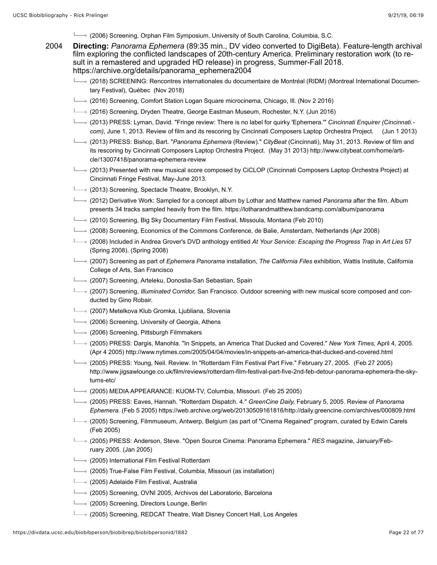- (2006) Screening, Orphan Film Symposium, University of South Carolina, Columbia, S.C.
- 2004 **Directing:** *Panorama Ephemera* (89:35 min., DV video converted to DigiBeta). Feature-length archival film exploring the conflicted landscapes of 20th-century America. Preliminary restoration work (to result in a remastered and upgraded HD release) in progress, Summer-Fall 2018. https://archive.org/details/panorama\_ephemera2004
	- (2018) SCREENING: Rencontres internationales du documentaire de Montréal (RIDM) (Montreal International Documentary Festival), Québec (Nov 2018)
	- (2016) Screening, Comfort Station Logan Square microcinema, Chicago, Ill. (Nov 2 2016)
	- (2016) Screening, Dryden Theatre, George Eastman Museum, Rochester, N.Y. (Jun 2016)
	- (2013) PRESS: Lyman, David. "Fringe review: There is no label for quirky 'Ephemera.'" *Cincinnati Enquirer (Cincinnati. com)*, June 1, 2013. Review of film and its rescoring by Cincinnati Composers Laptop Orchestra Project. (Jun 1 2013)
	- (2013) PRESS: Bishop, Bart. "*Panorama Ephemera* (Review)." *CityBeat* (Cincinnati), May 31, 2013. Review of film and its rescoring by Cincinnati Composers Laptop Orchestra Project. (May 31 2013) http://www.citybeat.com/home/article/13007418/panorama-ephemera-review
	- (2013) Presented with new musical score composed by CiCLOP (Cincinnati Composers Laptop Orchestra Project) at Cincinnati Fringe Festival, May-June 2013.
	- $\longmapsto$  (2013) Screening, Spectacle Theatre, Brooklyn, N.Y.
	- (2012) Derivative Work: Sampled for a concept album by Lothar and Matthew named *Panorama* after the film. Album presents 34 tracks sampled heavily from the film. https://lotharandmatthew.bandcamp.com/album/panorama
	- (2010) Screening, Big Sky Documentary Film Festival, Missoula, Montana (Feb 2010)
	- (2008) Screening, Economics of the Commons Conference, de Balie, Amsterdam, Netherlands (Apr 2008)
	- (2008) Included in Andrea Grover's DVD anthology entitled *At Your Service: Escaping the Progress Trap* in *Art Lies* 57 (Spring 2008). (Spring 2008)
	- (2007) Screening as part of *Ephemera Panorama* installation, *The California Files* exhibition, Wattis Institute, California College of Arts, San Francisco
	- $\longmapsto$  (2007) Screening, Arteleku, Donostia-San Sebastian, Spain
	- (2007) Screening, *Illuminated Corridor,* San Francisco. Outdoor screening with new musical score composed and conducted by Gino Robair.
	- $\longmapsto$  (2007) Metelkova Klub Gromka, Ljubliana, Slovenia
	- $\longmapsto$  (2006) Screening, University of Georgia, Athens
	- $\longmapsto$  (2006) Screening, Pittsburgh Filmmakers
	- (2005) PRESS: Dargis, Manohla. "In Snippets, an America That Ducked and Covered." *New York Times,* April 4, 2005. (Apr 4 2005) http://www.nytimes.com/2005/04/04/movies/in-snippets-an-america-that-ducked-and-covered.html
	- (2005) PRESS: Young, Neil. Review*.* In "Rotterdam Film Festival Part Five." February 27, 2005. (Feb 27 2005) http://www.jigsawlounge.co.uk/film/reviews/rotterdam-film-festival-part-five-2nd-feb-detour-panorama-ephemera-the-skyturns-etc/
	- → (2005) MEDIA APPEARANCE: KUOM-TV, Columbia, Missouri. (Feb 25 2005)
	- (2005) PRESS: Eaves, Hannah. "Rotterdam Dispatch. 4." *GreenCine Daily,* February 5, 2005. Review of *Panorama Ephemera.* (Feb 5 2005) https://web.archive.org/web/20130509161816/http://daily.greencine.com/archives/000809.html
	- → (2005) Screening, Filmmuseum, Antwerp, Belgium (as part of "Cinema Regained" program, curated by Edwin Carels (Feb 2005)
	- (2005) PRESS: Anderson, Steve. "Open Source Cinema: Panorama Ephemera." *RES* magazine, January/February 2005. (Jan 2005)
	- $\rightarrow$  (2005) International Film Festival Rotterdam
	- $\longmapsto$  (2005) True-False Film Festival, Columbia, Missouri (as installation)
	- $\rightarrow$  (2005) Adelaide Film Festival, Australia
	- $\rightarrow$  (2005) Screening, OVNI 2005, Archivos del Laboratorio, Barcelona
	- $\rightarrow$  (2005) Screening, Directors Lounge, Berlin
	- $\Box$  (2005) Screening, REDCAT Theatre, Walt Disney Concert Hall, Los Angeles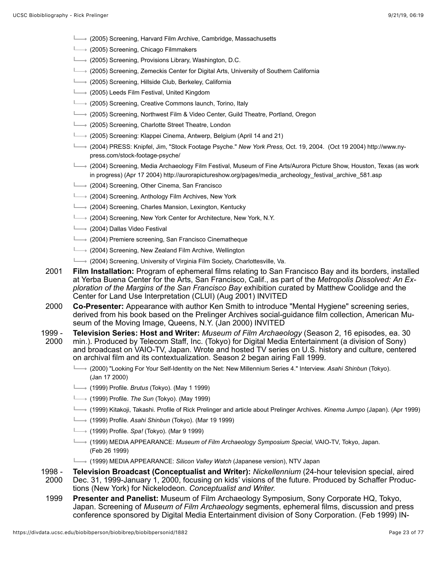- (2005) Screening, Harvard Film Archive, Cambridge, Massachusetts
- (2005) Screening, Chicago Filmmakers
- $\rightarrow$  (2005) Screening, Provisions Library, Washington, D.C.
- (2005) Screening, Zemeckis Center for Digital Arts, University of Southern California
- $\longmapsto$  (2005) Screening, Hillside Club, Berkeley, California
- $\Box$  (2005) Leeds Film Festival, United Kingdom
- $\rightarrow$  (2005) Screening, Creative Commons launch, Torino, Italy
- (2005) Screening, Northwest Film & Video Center, Guild Theatre, Portland, Oregon
- $\longmapsto$  (2005) Screening, Charlotte Street Theatre, London
- $\rightarrow$  (2005) Screening: Klappei Cinema, Antwerp, Belgium (April 14 and 21)
- (2004) PRESS: Knipfel, Jim, "Stock Footage Psyche." *New York Press,* Oct. 19, 2004. (Oct 19 2004) http://www.nypress.com/stock-footage-psyche/
- → (2004) Screening, Media Archaeology Film Festival, Museum of Fine Arts/Aurora Picture Show, Houston, Texas (as work in progress) (Apr 17 2004) http://aurorapictureshow.org/pages/media\_archeology\_festival\_archive\_581.asp
- $\Box$  (2004) Screening, Other Cinema, San Francisco
- $\rightarrow$  (2004) Screening, Anthology Film Archives, New York
- $\Box$  (2004) Screening, Charles Mansion, Lexington, Kentucky
- **E** (2004) Screening, New York Center for Architecture, New York, N.Y.
- (2004) Dallas Video Festival
- $\longmapsto$  (2004) Premiere screening, San Francisco Cinematheque
- $\rightarrow$  (2004) Screening, New Zealand Film Archive, Wellington
- $\Box$  (2004) Screening, University of Virginia Film Society, Charlottesville, Va.
- 2001 **Film Installation:** Program of ephemeral films relating to San Francisco Bay and its borders, installed at Yerba Buena Center for the Arts, San Francisco, Calif., as part of the *Metropolis Dissolved: An Exploration of the Margins of the San Francisco Bay* exhibition curated by Matthew Coolidge and the Center for Land Use Interpretation (CLUI) (Aug 2001) INVITED
- 2000 **Co-Presenter:** Appearance with author Ken Smith to introduce "Mental Hygiene" screening series, derived from his book based on the Prelinger Archives social-guidance film collection, American Museum of the Moving Image, Queens, N.Y. (Jan 2000) INVITED
- 1999 2000 **Television Series: Host and Writer:** *Museum of Film Archaeology* (Season 2, 16 episodes, ea. 30 min.). Produced by Telecom Staff, Inc. (Tokyo) for Digital Media Entertainment (a division of Sony) and broadcast on VAIO-TV, Japan. Wrote and hosted TV series on U.S. history and culture, centered on archival film and its contextualization. Season 2 began airing Fall 1999.
	- (2000) "Looking For Your Self-Identity on the Net: New Millennium Series 4." Interview. *Asahi Shinbun* (Tokyo). (Jan 17 2000)
	- (1999) Profile. *Brutus* (Tokyo). (May 1 1999)
	- (1999) Profile. *The Sun* (Tokyo). (May 1999)
	- (1999) Kitakoji, Takashi. Profile of Rick Prelinger and article about Prelinger Archives. *Kinema Jumpo* (Japan). (Apr 1999)
	- (1999) Profile. *Asahi Shinbun* (Tokyo). (Mar 19 1999)
	- (1999) Profile. *Spa!* (Tokyo). (Mar 9 1999)
	- (1999) MEDIA APPEARANCE: *Museum of Film Archaeology Symposium Special,* VAIO-TV, Tokyo, Japan. (Feb 26 1999)
	- (1999) MEDIA APPEARANCE: *Silicon Valley Watch* (Japanese version), NTV Japan
- 1998 **Television Broadcast (Conceptualist and Writer):** *Nickellennium* (24-hour television special, aired
- 2000 Dec. 31, 1999-January 1, 2000, focusing on kids' visions of the future. Produced by Schaffer Productions (New York) for Nickelodeon. *Conceptualist and Writer.*
- 1999 **Presenter and Panelist:** Museum of Film Archaeology Symposium, Sony Corporate HQ, Tokyo, Japan. Screening of *Museum of Film Archaeology* segments, ephemeral films, discussion and press conference sponsored by Digital Media Entertainment division of Sony Corporation. (Feb 1999) IN-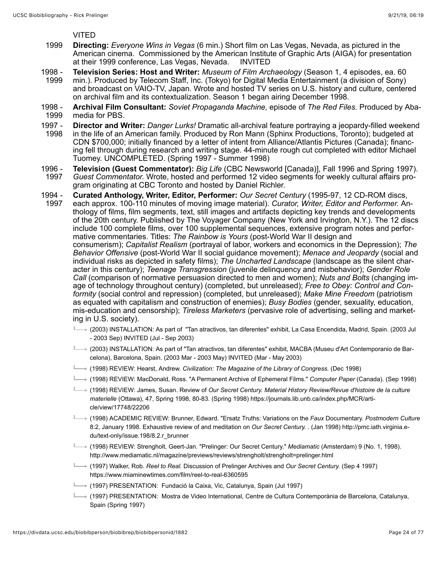#### VITED

- 1999 **Directing:** *Everyone Wins in Vegas* (6 min.) Short film on Las Vegas, Nevada, as pictured in the American cinema. Commissioned by the American Institute of Graphic Arts (AIGA) for presentation at their 1999 conference, Las Vegas, Nevada. INVITED
- 1998 1999 **Television Series: Host and Writer:** *Museum of Film Archaeology* (Season 1, 4 episodes, ea. 60 min.). Produced by Telecom Staff, Inc. (Tokyo) for Digital Media Entertainment (a division of Sony) and broadcast on VAIO-TV, Japan. Wrote and hosted TV series on U.S. history and culture, centered on archival film and its contextualization. Season 1 began airing December 1998.
- 1998 1999 **Archival Film Consultant:** *Soviet Propaganda Machine,* episode of *The Red Files.* Produced by Abamedia for PBS.
- 1997 1998 **Director and Writer:** *Danger Lurks!* Dramatic all-archival feature portraying a jeopardy-filled weekend in the life of an American family. Produced by Ron Mann (Sphinx Productions, Toronto); budgeted at CDN \$700,000; initially financed by a letter of intent from Alliance/Atlantis Pictures (Canada); financing fell through during research and writing stage. 44-minute rough cut completed with editor Michael Tuomey. UNCOMPLETED. (Spring 1997 - Summer 1998)
- 1996 1997 **Television (Guest Commentator):** *Big Life* (CBC Newsworld [Canada)], Fall 1996 and Spring 1997). *Guest Commentator.* Wrote, hosted and performed 12 video segments for weekly cultural affairs program originating at CBC Toronto and hosted by Daniel Richler.
- 1994 1997 **Curated Anthology, Writer, Editor, Performer:** *Our Secret Century* (1995-97, 12 CD-ROM discs, each approx. 100-110 minutes of moving image material). *Curator, Writer, Editor and Performer.* Anthology of films, film segments, text, still images and artifacts depicting key trends and developments of the 20th century. Published by The Voyager Company (New York and Irvington, N.Y.). The 12 discs include 100 complete films, over 100 supplemental sequences, extensive program notes and performative commentaries. Titles: *The Rainbow is Yours* (post-World War II design and consumerism); *Capitalist Realism* (portrayal of labor, workers and economics in the Depression); *The Behavior Offensive* (post-World War II social guidance movement); *Menace and Jeopardy* (social and individual risks as depicted in safety films); *The Uncharted Landscape* (landscape as the silent character in this century); *Teenage Transgression* (juvenile delinquency and misbehavior); *Gender Role Call* (comparison of normative persuasion directed to men and women); *Nuts and Bolts* (changing image of technology throughout century) (completed, but unreleased); *Free to Obey: Control and Conformity* (social control and repression) (completed, but unreleased); *Make Mine Freedom* (patriotism as equated with capitalism and construction of enemies); *Busy Bodies* (gender, sexuality, education, mis-education and censorship); *Tireless Marketers* (pervasive role of advertising, selling and marketing in U.S. society).
	- (2003) INSTALLATION: As part of "Tan atractivos, tan diferentes" exhibit, La Casa Encendida, Madrid, Spain. (2003 Jul - 2003 Sep) INVITED (Jul - Sep 2003)
	- (2003) INSTALLATION: As part of "Tan atractivos, tan diferentes" exhibit, MACBA (Museu d'Art Contemporanio de Barcelona), Barcelona, Spain. (2003 Mar - 2003 May) INVITED (Mar - May 2003)
	- (1998) REVIEW: Hearst, Andrew. *Civilization: The Magazine of the Library of Congress.* (Dec 1998)
	- (1998) REVIEW: MacDonald, Ross. "A Permanent Archive of Ephemeral Films." *Computer Paper* (Canada). (Sep 1998)
	- (1998) REVIEW: James, Susan. Review of *Our Secret Century. Material History Review/Revue d'histoire de la culture materielle* (Ottawa), 47, Spring 1998, 80-83. (Spring 1998) https://journals.lib.unb.ca/index.php/MCR/article/view/17748/22206
	- (1998) ACADEMIC REVIEW: Brunner, Edward. "Ersatz Truths: Variations on the *Faux* Documentary. *Postmodern Culture* 8:2, January 1998. Exhaustive review of and meditation on *Our Secret Century.* . (Jan 1998) http://pmc.iath.virginia.edu/text-only/issue.198/8.2.r\_brunner
	- (1998) REVIEW: Strengholt, Geert-Jan. "Prelinger: Our Secret Century." *Mediamatic* (Amsterdam) 9 (No. 1, 1998). http://www.mediamatic.nl/magazine/previews/reviews/strengholt/strengholt=prelinger.html
	- (1997) Walker, Rob. *Reel to Real.* Discussion of Prelinger Archives and *Our Secret Century.* (Sep 4 1997) https://www.miaminewtimes.com/film/reel-to-real-6360595
	- (1997) PRESENTATION: Fundació la Caixa, Vic, Catalunya, Spain (Jul 1997)
	- → (1997) PRESENTATION: Mostra de Video International, Centre de Cultura Contemporània de Barcelona, Catalunya, Spain (Spring 1997)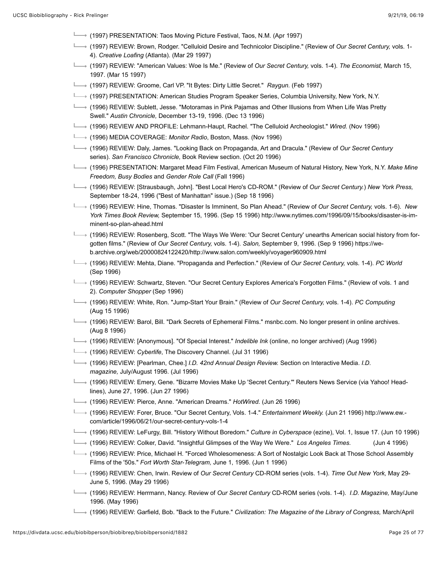- $\rightarrow$  (1997) PRESENTATION: Taos Moving Picture Festival, Taos, N.M. (Apr 1997)
- (1997) REVIEW: Brown, Rodger. "Celluloid Desire and Technicolor Discipline." (Review of *Our Secret Century,* vols. 1- 4). *Creative Loafing* (Atlanta). (Mar 29 1997)
- (1997) REVIEW: "American Values: Woe Is Me." (Review of *Our Secret Century,* vols. 1-4). *The Economist,* March 15, 1997. (Mar 15 1997)
- (1997) REVIEW: Groome, Carl VP. "It Bytes: Dirty Little Secret." *Raygun.* (Feb 1997)
- (1997) PRESENTATION: American Studies Program Speaker Series, Columbia University, New York, N.Y.
- (1996) REVIEW: Sublett, Jesse. "Motoramas in Pink Pajamas and Other Illusions from When Life Was Pretty Swell." *Austin Chronicle,* December 13-19, 1996. (Dec 13 1996)
- (1996) REVIEW AND PROFILE: Lehmann-Haupt, Rachel. "The Celluloid Archeologist." *Wired.* (Nov 1996)
- (1996) MEDIA COVERAGE: *Monitor Radio*, Boston, Mass. (Nov 1996)
- (1996) REVIEW: Daly, James. "Looking Back on Propaganda, Art and Dracula." (Review of *Our Secret Century* series). *San Francisco Chronicle,* Book Review section. (Oct 20 1996)
- (1996) PRESENTATION: Margaret Mead Film Festival, American Museum of Natural History, New York, N.Y. *Make Mine Freedom, Busy Bodies* and *Gender Role Call* (Fall 1996)
- (1996) REVIEW: [Strausbaugh, John]. "Best Local Hero's CD-ROM." (Review of *Our Secret Century.*) *New York Press,* September 18-24, 1996 ("Best of Manhattan" issue.) (Sep 18 1996)
- (1996) REVIEW: Hine, Thomas. "Disaster Is Imminent, So Plan Ahead." (Review of *Our Secret Century,* vols. 1-6). *New York Times Book Review,* September 15, 1996. (Sep 15 1996) http://www.nytimes.com/1996/09/15/books/disaster-is-imminent-so-plan-ahead.html
- (1996) REVIEW: Rosenberg, Scott. "The Ways We Were: 'Our Secret Century' unearths American social history from forgotten films." (Review of *Our Secret Century,* vols. 1-4). *Salon,* September 9, 1996. (Sep 9 1996) https://web.archive.org/web/20000824122420/http://www.salon.com/weekly/voyager960909.html
- (1996) REVIEW: Mehta, Diane. "Propaganda and Perfection." (Review of *Our Secret Century,* vols. 1-4). *PC World* (Sep 1996)
- (1996) REVIEW: Schwartz, Steven. "Our Secret Century Explores America's Forgotten Films." (Review of vols. 1 and 2). *Computer Shopper* (Sep 1996)
- (1996) REVIEW: White, Ron. "Jump-Start Your Brain." (Review of *Our Secret Century,* vols. 1-4). *PC Computing* (Aug 15 1996)
- (1996) REVIEW: Barol, Bill. "Dark Secrets of Ephemeral Films." msnbc.com. No longer present in online archives. (Aug 8 1996)
- (1996) REVIEW: [Anonymous]. "Of Special Interest." *Indelible Ink* (online, no longer archived) (Aug 1996)
- (1996) REVIEW: *Cyberlife*, The Discovery Channel. (Jul 31 1996)
- (1996) REVIEW: [Pearlman, Chee.] *I.D. 42nd Annual Design Review.* Section on Interactive Media. *I.D. magazine,* July/August 1996. (Jul 1996)
- (1996) REVIEW: Emery, Gene. "Bizarre Movies Make Up 'Secret Century.'" Reuters News Service (via Yahoo! Headlines), June 27, 1996. (Jun 27 1996)
- (1996) REVIEW: Pierce, Anne. "American Dreams." *HotWired.* (Jun 26 1996)
- (1996) REVIEW: Forer, Bruce. "Our Secret Century, Vols. 1-4." *Entertainment Weekly.* (Jun 21 1996) http://www.ew. com/article/1996/06/21/our-secret-century-vols-1-4
- (1996) REVIEW: LeFurgy, Bill. "History Without Boredom." *Culture in Cyberspace* (ezine), Vol. 1, Issue 17. (Jun 10 1996)
- (1996) REVIEW: Colker, David. "Insightful Glimpses of the Way We Were." *Los Angeles Times.* (Jun 4 1996)
- (1996) REVIEW: Price, Michael H. "Forced Wholesomeness: A Sort of Nostalgic Look Back at Those School Assembly Films of the '50s." *Fort Worth Star-Telegram,* June 1, 1996. (Jun 1 1996)
- (1996) REVIEW: Chen, Irwin. Review of *Our Secret Century* CD-ROM series (vols. 1-4). *Time Out New York,* May 29- June 5, 1996. (May 29 1996)
- (1996) REVIEW: Herrmann, Nancy. Review of *Our Secret Century* CD-ROM series (vols. 1-4). *I.D. Magazine,* May/June 1996. (May 1996)
- → (1996) REVIEW: Garfield, Bob. "Back to the Future." *Civilization: The Magazine of the Library of Congress, March/April*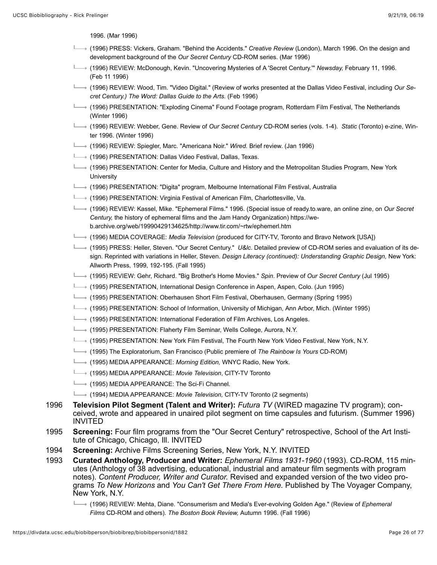1996. (Mar 1996)

- (1996) PRESS: Vickers, Graham. "Behind the Accidents." *Creative Review* (London), March 1996. On the design and development background of the *Our Secret Century* CD-ROM series. (Mar 1996)
- (1996) REVIEW: McDonough, Kevin. "Uncovering Mysteries of A 'Secret Century.'" *Newsday,* February 11, 1996. (Feb 11 1996)
- (1996) REVIEW: Wood, Tim. "Video Digital." (Review of works presented at the Dallas Video Festival, including *Our Secret Century.) The Word: Dallas Guide to the Arts.* (Feb 1996)
- (1996) PRESENTATION: "Exploding Cinema" Found Footage program, Rotterdam Film Festival, The Netherlands (Winter 1996)
- (1996) REVIEW: Webber, Gene. Review of *Our Secret Century* CD-ROM series (vols. 1-4). *Static* (Toronto) e-zine, Winter 1996. (Winter 1996)
- (1996) REVIEW: Spiegler, Marc. "Americana Noir." *Wired.* Brief review. (Jan 1996)
- $\longmapsto$  (1996) PRESENTATION: Dallas Video Festival, Dallas, Texas.
- (1996) PRESENTATION: Center for Media, Culture and History and the Metropolitan Studies Program, New York **University**
- (1996) PRESENTATION: "Digita" program, Melbourne International Film Festival, Australia
- (1996) PRESENTATION: Virginia Festival of American Film, Charlottesville, Va.

(1996) REVIEW: Kassel, Mike. "Ephemeral Films." 1996. (Special issue of ready.to.ware, an online zine, on *Our Secret Century,* the history of ephemeral films and the Jam Handy Organization) https://web.archive.org/web/19990429134625/http://www.tir.com/~rtw/ephemerl.htm

- (1996) MEDIA COVERAGE: *Media Television* (produced for CITY-TV, Toronto and Bravo Network [USA])
- (1995) PRESS: Heller, Steven. "Our Secret Century." *U&lc*. Detailed preview of CD-ROM series and evaluation of its design. Reprinted with variations in Heller, Steven. *Design Literacy (continued): Understanding Graphic Design,* New York: Allworth Press, 1999, 192-195. (Fall 1995)
- (1995) REVIEW: Gehr, Richard. "Big Brother's Home Movies." *Spin*. Preview of *Our Secret Century* (Jul 1995)
- $\rightarrow$  (1995) PRESENTATION, International Design Conference in Aspen, Aspen, Colo. (Jun 1995)
- (1995) PRESENTATION: Oberhausen Short Film Festival, Oberhausen, Germany (Spring 1995)
- (1995) PRESENTATION: School of Information, University of Michigan, Ann Arbor, Mich. (Winter 1995)
- $\longmapsto$  (1995) PRESENTATION: International Federation of Film Archives, Los Angeles.
- $\longmapsto$  (1995) PRESENTATION: Flaherty Film Seminar, Wells College, Aurora, N.Y.
- (1995) PRESENTATION: New York Film Festival, The Fourth New York Video Festival, New York, N.Y.
- (1995) The Exploratorium, San Francisco (Public premiere of *The Rainbow Is Yours* CD-ROM)
- → (1995) MEDIA APPEARANCE: Morning Edition, WNYC Radio, New York.
- (1995) MEDIA APPEARANCE: *Movie Television*, CITY-TV Toronto
- $\longmapsto$  (1995) MEDIA APPEARANCE: The Sci-Fi Channel.
- (1994) MEDIA APPEARANCE: *Movie Television,* CITY-TV Toronto (2 segments)
- 1996 **Television Pilot Segment (Talent and Writer):** *Futura TV* (WIRED magazine TV program); conceived, wrote and appeared in unaired pilot segment on time capsules and futurism. (Summer 1996) INVITED
- 1995 **Screening:** Four film programs from the "Our Secret Century" retrospective, School of the Art Institute of Chicago, Chicago, Ill. INVITED
- 1994 **Screening:** Archive Films Screening Series, New York, N.Y. INVITED
- 1993 **Curated Anthology, Producer and Writer:** *Ephemeral Films 1931-1960* (1993). CD-ROM, 115 minutes (Anthology of 38 advertising, educational, industrial and amateur film segments with program notes). *Content Producer, Writer and Curator.* Revised and expanded version of the two video programs *To New Horizons* and *You Can't Get There From Here.* Published by The Voyager Company, New York, N.Y.
	- (1996) REVIEW: Mehta, Diane. "Consumerism and Media's Ever-evolving Golden Age." (Review of *Ephemeral Films* CD-ROM and others). *The Boston Book Review,* Autumn 1996. (Fall 1996)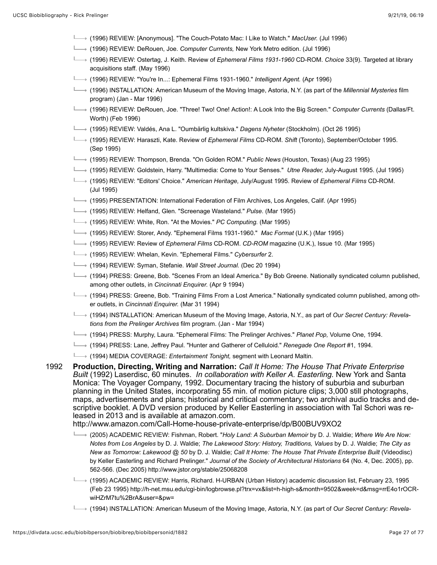- (1996) REVIEW: [Anonymous]. "The Couch-Potato Mac: I Like to Watch." *MacUser.* (Jul 1996)
- (1996) REVIEW: DeRouen, Joe. *Computer Currents,* New York Metro edition. (Jul 1996)
- (1996) REVIEW: Ostertag, J. Keith. Review of *Ephemeral Films 1931-1960* CD-ROM. *Choice* 33(9). Targeted at library acquisitions staff. (May 1996)
- (1996) REVIEW: "You're In...: Ephemeral Films 1931-1960." *Intelligent Agent.* (Apr 1996)
- (1996) INSTALLATION: American Museum of the Moving Image, Astoria, N.Y. (as part of the *Millennial Mysteries* film program) (Jan - Mar 1996)
- (1996) REVIEW: DeRouen, Joe. "Three! Two! One! Action!: A Look Into the Big Screen." *Computer Currents* (Dallas/Ft. Worth) (Feb 1996)
- (1995) REVIEW: Valdés, Ana L. "Oumbärlig kultskiva." *Dagens Nyheter* (Stockholm). (Oct 26 1995)
- (1995) REVIEW: Haraszti, Kate. Review of *Ephemeral Films* CD-ROM. *Shift* (Toronto), September/October 1995. (Sep 1995)
- (1995) REVIEW: Thompson, Brenda. "On Golden ROM." *Public News* (Houston, Texas) (Aug 23 1995)
- (1995) REVIEW: Goldstein, Harry. "Multimedia: Come to Your Senses." *Utne Reader,* July-August 1995. (Jul 1995)
- (1995) REVIEW: "Editors' Choice." *American Heritage,* July/August 1995. Review of *Ephemeral Films* CD-ROM. (Jul 1995)
- (1995) PRESENTATION: International Federation of Film Archives, Los Angeles, Calif. (Apr 1995)
- (1995) REVIEW: Helfand, Glen. "Screenage Wasteland." *Pulse.* (Mar 1995)
- (1995) REVIEW: White, Ron. "At the Movies." *PC Computing.* (Mar 1995)
- (1995) REVIEW: Storer, Andy. "Ephemeral Films 1931-1960." *Mac Format* (U.K.) (Mar 1995)
- (1995) REVIEW: Review of *Ephemeral Films* CD-ROM. *CD-ROM* magazine (U.K.), Issue 10. (Mar 1995)
- (1995) REVIEW: Whelan, Kevin. "Ephemeral Films." *Cybersurfer* 2.
- (1994) REVIEW: Syman, Stefanie. *Wall Street Journal.* (Dec 20 1994)
- (1994) PRESS: Greene, Bob. "Scenes From an Ideal America." By Bob Greene. Nationally syndicated column published, among other outlets, in *Cincinnati Enquirer.* (Apr 9 1994)
- (1994) PRESS: Greene, Bob. "Training Films From a Lost America." Nationally syndicated column published, among other outlets, in *Cincinnati Enquirer.* (Mar 31 1994)
- → (1994) INSTALLATION: American Museum of the Moving Image, Astoria, N.Y., as part of *Our Secret Century: Revelations from the Prelinger Archives* film program. (Jan - Mar 1994)
- (1994) PRESS: Murphy, Laura. "Ephemeral Films: The Prelinger Archives." *Planet Pop,* Volume One, 1994.
- (1994) PRESS: Lane, Jeffrey Paul. "Hunter and Gatherer of Celluloid." *Renegade One Report* #1, 1994.
- (1994) MEDIA COVERAGE: *Entertainment Tonight,* segment with Leonard Maltin.
- 1992 **Production, Directing, Writing and Narration:** *Call It Home: The House That Private Enterprise Built* (1992) Laserdisc, 60 minutes. *In collaboration with Keller A. Easterling.* New York and Santa Monica: The Voyager Company, 1992. Documentary tracing the history of suburbia and suburban planning in the United States, incorporating 55 min. of motion picture clips; 3,000 still photographs, maps, advertisements and plans; historical and critical commentary; two archival audio tracks and descriptive booklet. A DVD version produced by Keller Easterling in association with Tal Schori was released in 2013 and is available at amazon.com.

http://www.amazon.com/Call-Home-house-private-enterprise/dp/B00BUV9XO2

- (2005) ACADEMIC REVIEW: Fishman, Robert. "*Holy Land: A Suburban Memoir* by D. J. Waldie; *Where We Are Now: Notes from Los Angeles* by D. J. Waldie; *The Lakewood Story: History, Traditions, Values* by D. J. Waldie; *The City as New as Tomorrow: Lakewood @ 50* by D. J. Waldie; *Call It Home: The House That Private Enterprise Built* (Videodisc) by Keller Easterling and Richard Prelinger." *Journal of the Society of Architectural Historians* 64 (No. 4, Dec. 2005), pp. 562-566. (Dec 2005) http://www.jstor.org/stable/25068208
- (1995) ACADEMIC REVIEW: Harris, Richard. H-URBAN (Urban History) academic discussion list, February 23, 1995 (Feb 23 1995) http://h-net.msu.edu/cgi-bin/logbrowse.pl?trx=vx&list=h-high-s&month=9502&week=d&msg=rrE4o1rOCRwiHZrM7tu%2BrA&user=&pw=
- (1994) INSTALLATION: American Museum of the Moving Image, Astoria, N.Y. (as part of *Our Secret Century: Revela-*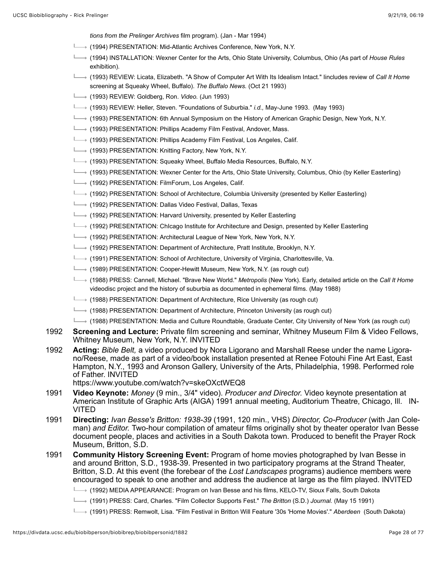*tions from the Prelinger Archives* film program). (Jan - Mar 1994)

- $\rightarrow$  (1994) PRESENTATION: Mid-Atlantic Archives Conference, New York, N.Y.
- (1994) INSTALLATION: Wexner Center for the Arts, Ohio State University, Columbus, Ohio (As part of *House Rules* exhibition).
- (1993) REVIEW: Licata, Elizabeth. "A Show of Computer Art With Its Idealism Intact." Iincludes review of *Call It Home* screening at Squeaky Wheel, Buffalo). *The Buffalo News.* (Oct 21 1993)
- (1993) REVIEW: Goldberg, Ron. *Video.* (Jun 1993)
- (1993) REVIEW: Heller, Steven. "Foundations of Suburbia." *i.d.,* May-June 1993. (May 1993)
- (1993) PRESENTATION: 6th Annual Symposium on the History of American Graphic Design, New York, N.Y.
- $\longmapsto$  (1993) PRESENTATION: Phillips Academy Film Festival, Andover, Mass.
- (1993) PRESENTATION: Phillips Academy Film Festival, Los Angeles, Calif.
- $\rightarrow$  (1993) PRESENTATION: Knitting Factory, New York, N.Y.
- (1993) PRESENTATION: Squeaky Wheel, Buffalo Media Resources, Buffalo, N.Y.
- (1993) PRESENTATION: Wexner Center for the Arts, Ohio State University, Columbus, Ohio (by Keller Easterling)
- $\longmapsto$  (1992) PRESENTATION: FilmForum, Los Angeles, Calif.
- (1992) PRESENTATION: School of Architecture, Columbia University (presented by Keller Easterling)
- (1992) PRESENTATION: Dallas Video Festival, Dallas, Texas
- (1992) PRESENTATION: Harvard University, presented by Keller Easterling
- $\rightarrow$  (1992) PRESENTATION: Chicago Institute for Architecture and Design, presented by Keller Easterling
- $\Box$  (1992) PRESENTATION: Architectural League of New York, New York, N.Y.
- (1992) PRESENTATION: Department of Architecture, Pratt Institute, Brooklyn, N.Y.
- (1991) PRESENTATION: School of Architecture, University of Virginia, Charlottesville, Va.
- (1989) PRESENTATION: Cooper-Hewitt Museum, New York, N.Y. (as rough cut)
- (1988) PRESS: Cannell, Michael. "Brave New World." *Metropolis* (New York). Early, detailed article on the *Call It Home* videodisc project and the history of suburbia as documented in ephemeral films. (May 1988)
- (1988) PRESENTATION: Department of Architecture, Rice University (as rough cut)
- $\longmapsto$  (1988) PRESENTATION: Department of Architecture, Princeton University (as rough cut)
- (1988) PRESENTATION: Media and Culture Roundtable, Graduate Center, City University of New York (as rough cut)
- 1992 **Screening and Lecture:** Private film screening and seminar, Whitney Museum Film & Video Fellows, Whitney Museum, New York, N.Y. INVITED
- 1992 **Acting:** *Bible Belt,* a video produced by Nora Ligorano and Marshall Reese under the name Ligorano/Reese, made as part of a video/book installation presented at Renee Fotouhi Fine Art East, East Hampton, N.Y., 1993 and Aronson Gallery, University of the Arts, Philadelphia, 1998. Performed role of Father. INVITED

https://www.youtube.com/watch?v=skeOXctWEQ8

- 1991 **Video Keynote:** *Money* (9 min., 3/4" video). *Producer and Director.* Video keynote presentation at American Institute of Graphic Arts (AIGA) 1991 annual meeting, Auditorium Theatre, Chicago, Ill. IN-VITED
- 1991 **Directing:** *Ivan Besse's Britton: 1938-39* (1991, 120 min., VHS) *Director, Co-Producer* (with Jan Coleman) *and Editor.* Two-hour compilation of amateur films originally shot by theater operator Ivan Besse document people, places and activities in a South Dakota town. Produced to benefit the Prayer Rock Museum, Britton, S.D.
- 1991 **Community History Screening Event:** Program of home movies photographed by Ivan Besse in and around Britton, S.D., 1938-39. Presented in two participatory programs at the Strand Theater, Britton, S.D. At this event (the forebear of the *Lost Landscapes* programs) audience members were encouraged to speak to one another and address the audience at large as the film played. INVITED
	- (1992) MEDIA APPEARANCE: Program on Ivan Besse and his films, KELO-TV, Sioux Falls, South Dakota
	- (1991) PRESS: Card, Charles. "Film Collector Supports Fest." *The Britton* (S.D.) *Journal.* (May 15 1991)
	- (1991) PRESS: Remwolt, Lisa. "Film Festival in Britton Will Feature '30s 'Home Movies'." *Aberdeen* (South Dakota)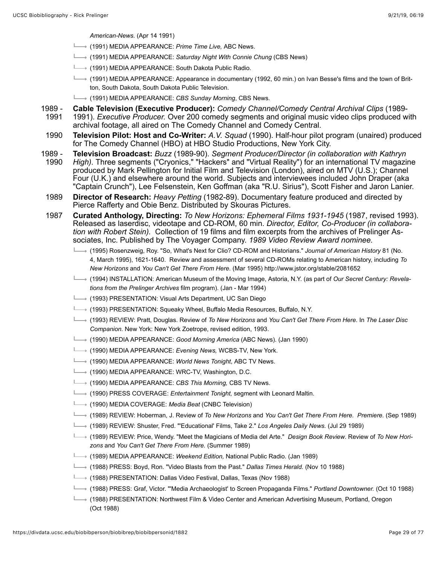*American-News.* (Apr 14 1991)

- (1991) MEDIA APPEARANCE: *Prime Time Live,* ABC News.
- (1991) MEDIA APPEARANCE: *Saturday Night With Connie Chung* (CBS News)
- $\rightarrow$  (1991) MEDIA APPEARANCE: South Dakota Public Radio.
- (1991) MEDIA APPEARANCE: Appearance in documentary (1992, 60 min.) on Ivan Besse's films and the town of Britton, South Dakota, South Dakota Public Television.
- → (1991) MEDIA APPEARANCE: CBS Sunday Morning, CBS News.
- 1989 1991 **Cable Television (Executive Producer):** *Comedy Channel/Comedy Central Archival Clips* (1989- 1991). *Executive Producer.* Over 200 comedy segments and original music video clips produced with archival footage, all aired on The Comedy Channel and Comedy Central.
- 1990 **Television Pilot: Host and Co-Writer:** *A.V. Squad* (1990). Half-hour pilot program (unaired) produced for The Comedy Channel (HBO) at HBO Studio Productions, New York City.
- 1989 1990 **Television Broadcast:** *Buzz* (1989-90). *Segment Producer/Director (in collaboration with Kathryn* High). Three segments ("Cryonics," "Hackers" and "Virtual Reality") for an international TV magazine produced by Mark Pellington for Initial Film and Television (London), aired on MTV (U.S.); Channel Four (U.K.) and elsewhere around the world. Subjects and interviewees included John Draper (aka "Captain Crunch"), Lee Felsenstein, Ken Goffman (aka "R.U. Sirius"), Scott Fisher and Jaron Lanier.
- 1989 **Director of Research:** *Heavy Petting* (1982-89). Documentary feature produced and directed by Pierce Rafferty and Obie Benz. Distributed by Skouras Pictures.
- 1987 **Curated Anthology, Directing:** *To New Horizons: Ephemeral Films 1931-1945* (1987, revised 1993). Released as laserdisc, videotape and CD-ROM, 60 min. *Director, Editor, Co-Producer (in collaboration with Robert Stein).* Collection of 19 films and film excerpts from the archives of Prelinger Associates, Inc. Published by The Voyager Company. *1989 Video Review Award nominee.*
	- (1995) Rosenzweig, Roy. "So, What's Next for Clio? CD-ROM and Historians." *Journal of American History* 81 (No. 4, March 1995), 1621-1640. Review and assessment of several CD-ROMs relating to American history, including *To New Horizons* and *You Can't Get There From Here.* (Mar 1995) http://www.jstor.org/stable/2081652
	- → (1994) INSTALLATION: American Museum of the Moving Image, Astoria, N.Y. (as part of *Our Secret Century: Revelations from the Prelinger Archives* film program). (Jan - Mar 1994)
	- (1993) PRESENTATION: Visual Arts Department, UC San Diego
	- $\rightarrow$  (1993) PRESENTATION: Squeaky Wheel, Buffalo Media Resources, Buffalo, N.Y.
	- (1993) REVIEW: Pratt, Douglas. Review of *To New Horizons* and *You Can't Get There From Here.* In *The Laser Disc Companion.* New York: New York Zoetrope, revised edition, 1993.
	- (1990) MEDIA APPEARANCE: *Good Morning America* (ABC News). (Jan 1990)
	- (1990) MEDIA APPEARANCE: *Evening News,* WCBS-TV, New York.
	- (1990) MEDIA APPEARANCE: *World News Tonight*, ABC TV News.
	- $\longmapsto$  (1990) MEDIA APPEARANCE: WRC-TV, Washington, D.C.
	- (1990) MEDIA APPEARANCE: *CBS This Morning,* CBS TV News.
	- (1990) PRESS COVERAGE: *Entertainment Tonight,* segment with Leonard Maltin.
	- (1990) MEDIA COVERAGE: *Media Beat* (CNBC Television)
	- (1989) REVIEW: Hoberman, J. Review of *To New Horizons* and *You Can't Get There From Here. Premiere.* (Sep 1989)
	- (1989) REVIEW: Shuster, Fred. "'Educational' Films, Take 2." *Los Angeles Daily News.* (Jul 29 1989)
	- (1989) REVIEW: Price, Wendy. "Meet the Magicians of Media del Arte." *Design Book Review*. Review of *To New Horizons* and *You Can't Get There From Here.* (Summer 1989)
	- (1989) MEDIA APPEARANCE: *Weekend Edition,* National Public Radio. (Jan 1989)
	- (1988) PRESS: Boyd, Ron. "Video Blasts from the Past." *Dallas Times Herald.* (Nov 10 1988)
	- (1988) PRESENTATION: Dallas Video Festival, Dallas, Texas (Nov 1988)
	- (1988) PRESS: Graf, Victor. "'Media Archaeologist' to Screen Propaganda Films." *Portland Downtowner.* (Oct 10 1988)
	- (1988) PRESENTATION: Northwest Film & Video Center and American Advertising Museum, Portland, Oregon (Oct 1988)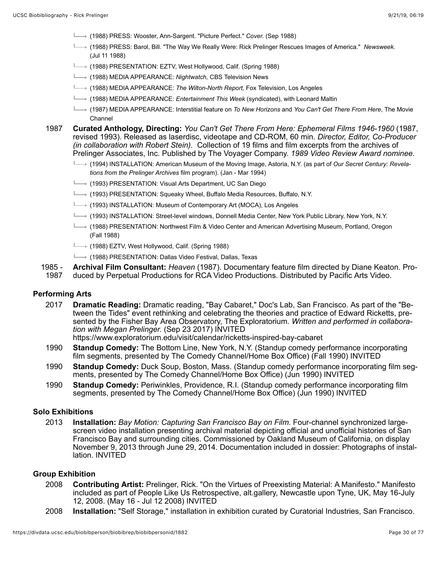- (1988) PRESS: Wooster, Ann-Sargent. "Picture Perfect." *Cover.* (Sep 1988)
- (1988) PRESS: Barol, Bill. "The Way We Really Were: Rick Prelinger Rescues Images of America." *Newsweek.* (Jul 11 1988)
- → (1988) PRESENTATION: EZTV, West Hollywood, Calif. (Spring 1988)
- (1988) MEDIA APPEARANCE: *Nightwatch,* CBS Television News
- (1988) MEDIA APPEARANCE: *The Wilton-North Report,* Fox Television, Los Angeles
- (1988) MEDIA APPEARANCE: *Entertainment This Week* (syndicated), with Leonard Maltin
- (1987) MEDIA APPEARANCE: Interstitial feature on *To New Horizons* and *You Can't Get There From Here*, The Movie Channel
- 1987 **Curated Anthology, Directing:** *You Can't Get There From Here: Ephemeral Films 1946-1960* (1987, revised 1993). Released as laserdisc, videotape and CD-ROM, 60 min. *Director, Editor, Co-Producer (in collaboration with Robert Stein).* Collection of 19 films and film excerpts from the archives of Prelinger Associates, Inc. Published by The Voyager Company. *1989 Video Review Award nominee.*
	- (1994) INSTALLATION: American Museum of the Moving Image, Astoria, N.Y. (as part of *Our Secret Century: Revelations from the Prelinger Archives* film program). (Jan - Mar 1994)
	- $\longmapsto$  (1993) PRESENTATION: Visual Arts Department, UC San Diego
	- (1993) PRESENTATION: Squeaky Wheel, Buffalo Media Resources, Buffalo, N.Y.
	- $\longmapsto$  (1993) INSTALLATION: Museum of Contemporary Art (MOCA), Los Angeles
	- (1993) INSTALLATION: Street-level windows, Donnell Media Center, New York Public Library, New York, N.Y.
	- (1988) PRESENTATION: Northwest Film & Video Center and American Advertising Museum, Portland, Oregon (Fall 1988)
	- $\rightarrow$  (1988) EZTV, West Hollywood, Calif. (Spring 1988)
	- $\longmapsto$  (1988) PRESENTATION: Dallas Video Festival, Dallas, Texas
- 1985 **Archival Film Consultant:** *Heaven* (1987). Documentary feature film directed by Diane Keaton. Pro-
- 1987 duced by Perpetual Productions for RCA Video Productions. Distributed by Pacific Arts Video.

#### **Performing Arts**

- 2017 **Dramatic Reading:** Dramatic reading, "Bay Cabaret," Doc's Lab, San Francisco. As part of the "Between the Tides" event rethinking and celebrating the theories and practice of Edward Ricketts, presented by the Fisher Bay Area Observatory, The Exploratorium. *Written and performed in collaboration with Megan Prelinger.* (Sep 23 2017) INVITED
	- https://www.exploratorium.edu/visit/calendar/ricketts-inspired-bay-cabaret
- 1990 **Standup Comedy:** The Bottom Line, New York, N.Y. (Standup comedy performance incorporating film segments, presented by The Comedy Channel/Home Box Office) (Fall 1990) INVITED
- 1990 **Standup Comedy:** Duck Soup, Boston, Mass. (Standup comedy performance incorporating film segments, presented by The Comedy Channel/Home Box Office) (Jun 1990) INVITED
- 1990 **Standup Comedy:** Periwinkles, Providence, R.I. (Standup comedy performance incorporating film segments, presented by The Comedy Channel/Home Box Office) (Jun 1990) INVITED

### **Solo Exhibitions**

2013 **Installation:** *Bay Motion: Capturing San Francisco Bay on Film.* Four-channel synchronized largescreen video installation presenting archival material depicting official and unofficial histories of San Francisco Bay and surrounding cities. Commissioned by Oakland Museum of California, on display November 9, 2013 through June 29, 2014. Documentation included in dossier: Photographs of installation. INVITED

## **Group Exhibition**

- 2008 **Contributing Artist:** Prelinger, Rick. "On the Virtues of Preexisting Material: A Manifesto." Manifesto included as part of People Like Us Retrospective, alt.gallery, Newcastle upon Tyne, UK, May 16-July 12, 2008. (May 16 - Jul 12 2008) INVITED
- 2008 **Installation:** "Self Storage," installation in exhibition curated by Curatorial Industries, San Francisco.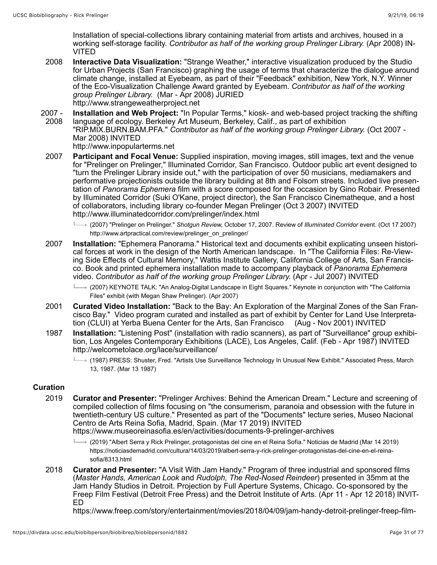Installation of special-collections library containing material from artists and archives, housed in a working self-storage facility. *Contributor as half of the working group Prelinger Library.* (Apr 2008) IN-VITED

- 2008 **Interactive Data Visualization:** "Strange Weather," interactive visualization produced by the Studio for Urban Projects (San Francisco) graphing the usage of terms that characterize the dialogue around climate change, installed at Eyebeam, as part of their "Feedback" exhibition, New York, N.Y. Winner of the Eco-Visualization Challenge Award granted by Eyebeam. *Contributor as half of the working group Prelinger Library.* (Mar - Apr 2008) JURIED http://www.strangeweatherproject.net
- 2007 2008 **Installation and Web Project:** "In Popular Terms," kiosk- and web-based project tracking the shifting language of ecology. Berkeley Art Museum, Berkeley, Calif., as part of exhibition "RIP.MIX.BURN.BAM.PFA." *Contributor as half of the working group Prelinger Library.* (Oct 2007 - Mar 2008) INVITED

http://www.inpopularterms.net

- 2007 **Participant and Focal Venue:** Supplied inspiration, moving images, still images, text and the venue for "Prelinger on Prelinger," Illuminated Corridor, San Francisco. Outdoor public art event designed to "turn the Prelinger Library inside out," with the participation of over 50 musicians, mediamakers and performative projectionists outside the library building at 8th and Folsom streets. Included live presentation of *Panorama Ephemera* film with a score composed for the occasion by Gino Robair. Presented by Illuminated Corridor (Suki O'Kane, project director), the San Francisco Cinematheque, and a host of collaborators, including library co-founder Megan Prelinger (Oct 3 2007) INVITED http://www.illuminatedcorridor.com/prelinger/index.html
	- (2007) "Prelinger on Prelinger." *Shotgun Review,* October 17, 2007. Review of *Illuminated Corridor* event. (Oct 17 2007) http://www.artpractical.com/review/prelinger\_on\_prelinger/
- 2007 **Installation:** "Ephemera Panorama." Historical text and documents exhibit explicating unseen historical forces at work in the design of the North American landscape. In "The California Files: Re-Viewing Side Effects of Cultural Memory," Wattis Institute Gallery, California College of Arts, San Francisco. Book and printed ephemera installation made to accompany playback of *Panorama Ephemera* video. *Contributor as half of the working group Prelinger Library.* (Apr - Jul 2007) INVITED
	- (2007) KEYNOTE TALK: "An Analog-Digital Landscape in Eight Squares." Keynote in conjunction with "The California Files" exhibit (with Megan Shaw Prelinger). (Apr 2007)
- 2001 **Curated Video Installation:** "Back to the Bay: An Exploration of the Marginal Zones of the San Francisco Bay." Video program curated and installed as part of exhibit by Center for Land Use Interpretation (CLUI) at Yerba Buena Center for the Arts, San Francisco (Aug - Nov 2001) INVITED
- 1987 **Installation:** "Listening Post" (installation with radio scanners), as part of "Surveillance" group exhibition, Los Angeles Contemporary Exhibitions (LACE), Los Angeles, Calif. (Feb - Apr 1987) INVITED http://welcometolace.org/lace/surveillance/
	- → (1987) PRESS: Shuster, Fred. "Artists Use Surveillance Technology In Unusual New Exhibit." Associated Press, March 13, 1987. (Mar 13 1987)

# **Curation**

- 2019 **Curator and Presenter:** "Prelinger Archives: Behind the American Dream." Lecture and screening of compiled collection of films focusing on "the consumerism, paranoia and obsession with the future in twentieth-century US culture." Presented as part of the "Documents" lecture series, Museo Nacional Centro de Arts Reina Sofia, Madrid, Spain. (Mar 17 2019) INVITED https://www.museoreinasofia.es/en/activities/documents-9-prelinger-archives
	- (2019) "Albert Serra y Rick Prelinger, protagonistas del cine en el Reina Sofía." Noticias de Madrid (Mar 14 2019) https://noticiasdemadrid.com/cultura/14/03/2019/albert-serra-y-rick-prelinger-protagonistas-del-cine-en-el-reinasofia/8313.html
- 2018 **Curator and Presenter:** "A Visit With Jam Handy." Program of three industrial and sponsored films (*Master Hands, American Look* and *Rudolph, The Red-Nosed Reindeer*) presented in 35mm at the Jam Handy Studios in Detroit. Projection by Full Aperture Systems, Chicago. Co-sponsored by the Freep Film Festival (Detroit Free Press) and the Detroit Institute of Arts. (Apr 11 - Apr 12 2018) INVIT-ED

https://www.freep.com/story/entertainment/movies/2018/04/09/jam-handy-detroit-prelinger-freep-film-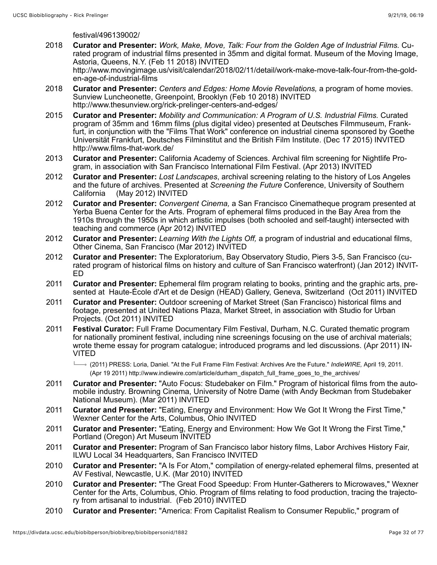festival/496139002/

- 2018 **Curator and Presenter:** *Work, Make, Move, Talk: Four from the Golden Age of Industrial Films.* Curated program of industrial films presented in 35mm and digital format. Museum of the Moving Image, Astoria, Queens, N.Y. (Feb 11 2018) INVITED http://www.movingimage.us/visit/calendar/2018/02/11/detail/work-make-move-talk-four-from-the-golden-age-of-industrial-films
- 2018 **Curator and Presenter:** *Centers and Edges: Home Movie Revelations,* a program of home movies. Sunview Luncheonette, Greenpoint, Brooklyn (Feb 10 2018) INVITED http://www.thesunview.org/rick-prelinger-centers-and-edges/
- 2015 **Curator and Presenter:** *Mobility and Communication: A Program of U.S. Industrial Films.* Curated program of 35mm and 16mm films (plus digital video) presented at Deutsches Filmmuseum, Frankfurt, in conjunction with the "Films That Work" conference on industrial cinema sponsored by Goethe Universität Frankfurt, Deutsches Filminstitut and the British Film Institute. (Dec 17 2015) INVITED http://www.films-that-work.de/
- 2013 **Curator and Presenter:** California Academy of Sciences. Archival film screening for Nightlife Program, in association with San Francisco International Film Festival. (Apr 2013) INVITED
- 2012 **Curator and Presenter:** *Lost Landscapes*, archival screening relating to the history of Los Angeles and the future of archives. Presented at *Screening the Future* Conference, University of Southern California (May 2012) INVITED
- 2012 **Curator and Presenter:** *Convergent Cinema,* a San Francisco Cinematheque program presented at Yerba Buena Center for the Arts. Program of ephemeral films produced in the Bay Area from the 1910s through the 1950s in which artistic impulses (both schooled and self-taught) intersected with teaching and commerce (Apr 2012) INVITED
- 2012 **Curator and Presenter:** *Learning With the Lights Off,* a program of industrial and educational films, Other Cinema, San Francisco (Mar 2012) INVITED
- 2012 **Curator and Presenter:** The Exploratorium, Bay Observatory Studio, Piers 3-5, San Francisco (curated program of historical films on history and culture of San Francisco waterfront) (Jan 2012) INVIT-ED
- 2011 **Curator and Presenter:** Ephemeral film program relating to books, printing and the graphic arts, presented at Haute-École d'Art et de Design (HEAD) Gallery, Geneva, Switzerland (Oct 2011) INVITED
- 2011 **Curator and Presenter:** Outdoor screening of Market Street (San Francisco) historical films and footage, presented at United Nations Plaza, Market Street, in association with Studio for Urban Projects. (Oct 2011) INVITED
- 2011 **Festival Curator:** Full Frame Documentary Film Festival, Durham, N.C. Curated thematic program for nationally prominent festival, including nine screenings focusing on the use of archival materials; wrote theme essay for program catalogue; introduced programs and led discussions. (Apr 2011) IN-VITED
	- (2011) PRESS: Loria, Daniel. "At the Full Frame Film Festival: Archives Are the Future." *IndieWIRE,* April 19, 2011. (Apr 19 2011) http://www.indiewire.com/article/durham\_dispatch\_full\_frame\_goes\_to\_the\_archives/
- 2011 **Curator and Presenter:** "Auto Focus: Studebaker on Film." Program of historical films from the automobile industry. Browning Cinema, University of Notre Dame (with Andy Beckman from Studebaker National Museum). (Mar 2011) INVITED
- 2011 **Curator and Presenter:** "Eating, Energy and Environment: How We Got It Wrong the First Time," Wexner Center for the Arts, Columbus, Ohio INVITED
- 2011 **Curator and Presenter:** "Eating, Energy and Environment: How We Got It Wrong the First Time," Portland (Oregon) Art Museum INVITED
- 2011 **Curator and Presenter:** Program of San Francisco labor history films, Labor Archives History Fair, ILWU Local 34 Headquarters, San Francisco INVITED
- 2010 **Curator and Presenter:** "A Is For Atom," compilation of energy-related ephemeral films, presented at AV Festival, Newcastle, U.K. (Mar 2010) INVITED
- 2010 **Curator and Presenter:** "The Great Food Speedup: From Hunter-Gatherers to Microwaves," Wexner Center for the Arts, Columbus, Ohio. Program of films relating to food production, tracing the trajectory from artisanal to industrial. (Feb 2010) INVITED
- 2010 **Curator and Presenter:** "America: From Capitalist Realism to Consumer Republic," program of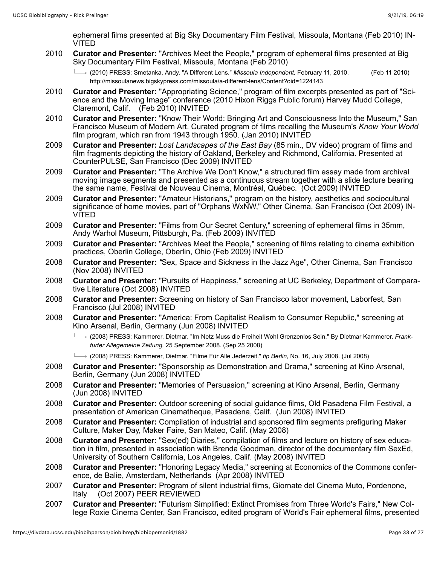ephemeral films presented at Big Sky Documentary Film Festival, Missoula, Montana (Feb 2010) IN-VITED

- 2010 **Curator and Presenter:** "Archives Meet the People," program of ephemeral films presented at Big Sky Documentary Film Festival, Missoula, Montana (Feb 2010)
	- (2010) PRESS: Smetanka, Andy. "A Different Lens." *Missoula Independent,* February 11, 2010. (Feb 11 2010) http://missoulanews.bigskypress.com/missoula/a-different-lens/Content?oid=1224143
- 2010 **Curator and Presenter:** "Appropriating Science," program of film excerpts presented as part of "Science and the Moving Image" conference (2010 Hixon Riggs Public forum) Harvey Mudd College, Claremont, Calif. (Feb 2010) INVITED
- 2010 **Curator and Presenter:** "Know Their World: Bringing Art and Consciousness Into the Museum," San Francisco Museum of Modern Art. Curated program of films recalling the Museum's *Know Your World* film program, which ran from 1943 through 1950. (Jan 2010) INVITED
- 2009 **Curator and Presenter:** *Lost Landscapes of the East Bay* (85 min., DV video) program of films and film fragments depicting the history of Oakland, Berkeley and Richmond, California. Presented at CounterPULSE, San Francisco (Dec 2009) INVITED
- 2009 **Curator and Presenter:** "The Archive We Don't Know," a structured film essay made from archival moving image segments and presented as a continuous stream together with a slide lecture bearing the same name, Festival de Nouveau Cinema, Montréal, Québec. (Oct 2009) INVITED
- 2009 **Curator and Presenter:** "Amateur Historians," program on the history, aesthetics and sociocultural significance of home movies, part of "Orphans WxNW," Other Cinema, San Francisco (Oct 2009) IN-VITED
- 2009 **Curator and Presenter:** "Films from Our Secret Century," screening of ephemeral films in 35mm, Andy Warhol Museum, Pittsburgh, Pa. (Feb 2009) INVITED
- 2009 **Curator and Presenter:** "Archives Meet the People," screening of films relating to cinema exhibition practices, Oberlin College, Oberlin, Ohio (Feb 2009) INVITED
- 2008 **Curator and Presenter:** *"*Sex, Space and Sickness in the Jazz Age", Other Cinema, San Francisco (Nov 2008) INVITED
- 2008 **Curator and Presenter:** "Pursuits of Happiness," screening at UC Berkeley, Department of Comparative Literature (Oct 2008) INVITED
- 2008 **Curator and Presenter:** Screening on history of San Francisco labor movement, Laborfest, San Francisco (Jul 2008) INVITED
- 2008 **Curator and Presenter:** "America: From Capitalist Realism to Consumer Republic," screening at Kino Arsenal, Berlin, Germany (Jun 2008) INVITED
	- (2008) PRESS: Kammerer, Dietmar. "Im Netz Muss die Freiheit Wohl Grenzenlos Sein." By Dietmar Kammerer. *Frankfurter Allegemeine Zeitung,* 25 September 2008. (Sep 25 2008)
	- (2008) PRESS: Kammerer, Dietmar. "Filme Für Alle Jederzeit." *tip Berlin,* No. 16, July 2008. (Jul 2008)
- 2008 **Curator and Presenter:** "Sponsorship as Demonstration and Drama," screening at Kino Arsenal, Berlin, Germany (Jun 2008) INVITED
- 2008 **Curator and Presenter:** "Memories of Persuasion," screening at Kino Arsenal, Berlin, Germany (Jun 2008) INVITED
- 2008 **Curator and Presenter:** Outdoor screening of social guidance films, Old Pasadena Film Festival, a presentation of American Cinematheque, Pasadena, Calif. (Jun 2008) INVITED
- 2008 **Curator and Presenter:** Compilation of industrial and sponsored film segments prefiguring Maker Culture, Maker Day, Maker Faire, San Mateo, Calif. (May 2008)
- 2008 **Curator and Presenter:** "Sex(ed) Diaries," compilation of films and lecture on history of sex education in film, presented in association with Brenda Goodman, director of the documentary film SexEd, University of Southern California, Los Angeles, Calif. (May 2008) INVITED
- 2008 **Curator and Presenter:** "Honoring Legacy Media," screening at Economics of the Commons conference, de Balie, Amsterdam, Netherlands (Apr 2008) INVITED
- 2007 **Curator and Presenter:** Program of silent industrial films, Giornate del Cinema Muto, Pordenone, Italy (Oct 2007) PEER REVIEWED
- 2007 **Curator and Presenter:** "Futurism Simplified: Extinct Promises from Three World's Fairs," New College Roxie Cinema Center, San Francisco, edited program of World's Fair ephemeral films, presented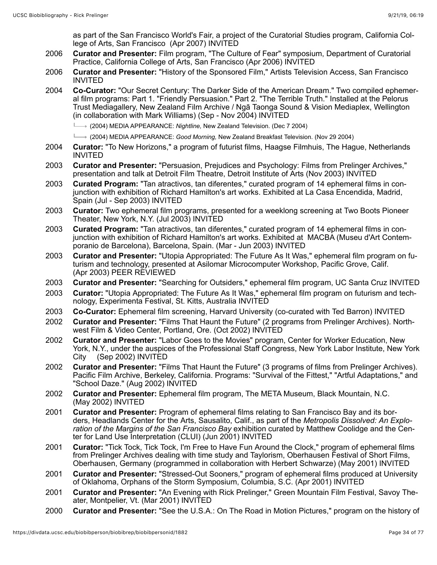as part of the San Francisco World's Fair, a project of the Curatorial Studies program, California College of Arts, San Francisco (Apr 2007) INVITED

- 2006 **Curator and Presenter:** Film program, "The Culture of Fear" symposium, Department of Curatorial Practice, California College of Arts, San Francisco (Apr 2006) INVITED
- 2006 **Curator and Presenter:** "History of the Sponsored Film," Artists Television Access, San Francisco INVITED
- 2004 **Co-Curator:** "Our Secret Century: The Darker Side of the American Dream." Two compiled ephemeral film programs: Part 1. "Friendly Persuasion." Part 2. "The Terrible Truth." Installed at the Pelorus Trust Mediagallery, New Zealand Film Archive / Ngā Taonga Sound & Vision Mediaplex, Wellington (in collaboration with Mark Williams) (Sep - Nov 2004) INVITED

(2004) MEDIA APPEARANCE: *Nightline,* New Zealand Television. (Dec 7 2004)

- (2004) MEDIA APPEARANCE: *Good Morning,* New Zealand Breakfast Television. (Nov 29 2004)
- 2004 **Curator:** "To New Horizons," a program of futurist films, Haagse Filmhuis, The Hague, Netherlands INVITED
- 2003 **Curator and Presenter:** "Persuasion, Prejudices and Psychology: Films from Prelinger Archives," presentation and talk at Detroit Film Theatre, Detroit Institute of Arts (Nov 2003) INVITED
- 2003 **Curated Program:** "Tan atractivos, tan diferentes," curated program of 14 ephemeral films in conjunction with exhibition of Richard Hamilton's art works. Exhibited at La Casa Encendida, Madrid, Spain (Jul - Sep 2003) INVITED
- 2003 **Curator:** Two ephemeral film programs, presented for a weeklong screening at Two Boots Pioneer Theater, New York, N.Y. (Jul 2003) INVITED
- 2003 **Curated Program:** "Tan atractivos, tan diferentes," curated program of 14 ephemeral films in conjunction with exhibition of Richard Hamilton's art works. Exhibited at MACBA (Museu d'Art Contemporanio de Barcelona), Barcelona, Spain. (Mar - Jun 2003) INVITED
- 2003 **Curator and Presenter:** "Utopia Appropriated: The Future As It Was," ephemeral film program on futurism and technology, presented at Asilomar Microcomputer Workshop, Pacific Grove, Calif. (Apr 2003) PEER REVIEWED
- 2003 **Curator and Presenter:** "Searching for Outsiders," ephemeral film program, UC Santa Cruz INVITED
- 2003 **Curator:** "Utopia Appropriated: The Future As It Was," ephemeral film program on futurism and technology, Experimenta Festival, St. Kitts, Australia INVITED
- 2003 **Co-Curator:** Ephemeral film screening, Harvard University (co-curated with Ted Barron) INVITED
- 2002 **Curator and Presenter:** "Films That Haunt the Future" (2 programs from Prelinger Archives). Northwest Film & Video Center, Portland, Ore. (Oct 2002) INVITED
- 2002 **Curator and Presenter:** "Labor Goes to the Movies" program, Center for Worker Education, New York, N.Y., under the auspices of the Professional Staff Congress, New York Labor Institute, New York City (Sep 2002) INVITED
- 2002 **Curator and Presenter:** "Films That Haunt the Future" (3 programs of films from Prelinger Archives). Pacific Film Archive, Berkeley, California. Programs: "Survival of the Fittest," "Artful Adaptations," and "School Daze." (Aug 2002) INVITED
- 2002 **Curator and Presenter:** Ephemeral film program, The META Museum, Black Mountain, N.C. (May 2002) INVITED
- 2001 **Curator and Presenter:** Program of ephemeral films relating to San Francisco Bay and its borders, Headlands Center for the Arts, Sausalito, Calif., as part of the *Metropolis Dissolved: An Exploration of the Margins of the San Francisco Bay* exhibition curated by Matthew Coolidge and the Center for Land Use Interpretation (CLUI) (Jun 2001) INVITED
- 2001 **Curator:** "Tick Tock, Tick Tock, I'm Free to Have Fun Around the Clock," program of ephemeral films from Prelinger Archives dealing with time study and Taylorism, Oberhausen Festival of Short Films, Oberhausen, Germany (programmed in collaboration with Herbert Schwarze) (May 2001) INVITED
- 2001 **Curator and Presenter:** "Stressed-Out Sooners," program of ephemeral films produced at University of Oklahoma, Orphans of the Storm Symposium, Columbia, S.C. (Apr 2001) INVITED
- 2001 **Curator and Presenter:** "An Evening with Rick Prelinger," Green Mountain Film Festival, Savoy Theater, Montpelier, Vt. (Mar 2001) INVITED
- 2000 **Curator and Presenter:** "See the U.S.A.: On The Road in Motion Pictures," program on the history of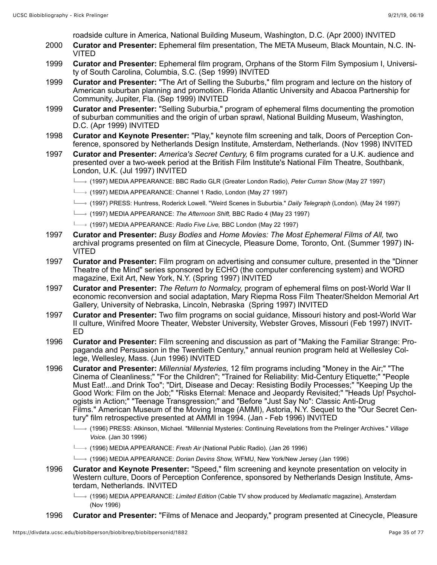roadside culture in America, National Building Museum, Washington, D.C. (Apr 2000) INVITED

- 2000 **Curator and Presenter:** Ephemeral film presentation, The META Museum, Black Mountain, N.C. IN-VITED
- 1999 **Curator and Presenter:** Ephemeral film program, Orphans of the Storm Film Symposium I, University of South Carolina, Columbia, S.C. (Sep 1999) INVITED
- 1999 **Curator and Presenter:** "The Art of Selling the Suburbs," film program and lecture on the history of American suburban planning and promotion. Florida Atlantic University and Abacoa Partnership for Community, Jupiter, Fla. (Sep 1999) INVITED
- 1999 **Curator and Presenter:** "Selling Suburbia," program of ephemeral films documenting the promotion of suburban communities and the origin of urban sprawl, National Building Museum, Washington, D.C. (Apr 1999) INVITED
- 1998 **Curator and Keynote Presenter:** "Play," keynote film screening and talk, Doors of Perception Conference, sponsored by Netherlands Design Institute, Amsterdam, Netherlands. (Nov 1998) INVITED
- 1997 **Curator and Presenter:** *America's Secret Century,* 6 film programs curated for a U.K. audience and presented over a two-week period at the British Film Institute's National Film Theatre, Southbank, London, U.K. (Jul 1997) INVITED
	- (1997) MEDIA APPEARANCE: BBC Radio GLR (Greater London Radio), *Peter Curran Show* (May 27 1997)
	- $\rightarrow$  (1997) MEDIA APPEARANCE: Channel 1 Radio, London (May 27 1997)
	- (1997) PRESS: Huntress, Roderick Lowell. "Weird Scenes in Suburbia." *Daily Telegraph* (London). (May 24 1997)
	- (1997) MEDIA APPEARANCE: *The Afternoon Shift,* BBC Radio 4 (May 23 1997)
	- (1997) MEDIA APPEARANCE: *Radio Five Live,* BBC London (May 22 1997)
- 1997 **Curator and Presenter:** *Busy Bodies* and *Home Movies: The Most Ephemeral Films of All,* two archival programs presented on film at Cinecycle, Pleasure Dome, Toronto, Ont. (Summer 1997) IN-VITED
- 1997 **Curator and Presenter:** Film program on advertising and consumer culture, presented in the "Dinner Theatre of the Mind" series sponsored by ECHO (the computer conferencing system) and WORD magazine, Exit Art, New York, N.Y. (Spring 1997) INVITED
- 1997 **Curator and Presenter:** *The Return to Normalcy,* program of ephemeral films on post-World War II economic reconversion and social adaptation, Mary Riepma Ross Film Theater/Sheldon Memorial Art Gallery, University of Nebraska, Lincoln, Nebraska (Spring 1997) INVITED
- 1997 **Curator and Presenter:** Two film programs on social guidance, Missouri history and post-World War II culture, Winifred Moore Theater, Webster University, Webster Groves, Missouri (Feb 1997) INVIT-ED
- 1996 **Curator and Presenter:** Film screening and discussion as part of "Making the Familiar Strange: Propaganda and Persuasion in the Twentieth Century," annual reunion program held at Wellesley College, Wellesley, Mass. (Jun 1996) INVITED
- 1996 **Curator and Presenter:** *Millennial Mysteries,* 12 film programs including "Money in the Air;" "The Cinema of Cleanliness;" "For the Children"; "Trained for Reliability: Mid-Century Etiquette;" "People Must Eat!...and Drink Too"; "Dirt, Disease and Decay: Resisting Bodily Processes;" "Keeping Up the Good Work: Film on the Job;" "Risks Eternal: Menace and Jeopardy Revisited;" "Heads Up! Psychologists in Action;" "Teenage Transgression;" and "Before "Just Say No": Classic Anti-Drug Films." American Museum of the Moving Image (AMMI), Astoria, N.Y. Sequel to the "Our Secret Century" film retrospective presented at AMMI in 1994. (Jan - Feb 1996) INVITED
	- (1996) PRESS: Atkinson, Michael. "Millennial Mysteries: Continuing Revelations from the Prelinger Archives." *Village Voice.* (Jan 30 1996)
	- (1996) MEDIA APPEARANCE: *Fresh Air* (National Public Radio). (Jan 26 1996)
	- (1996) MEDIA APPEARANCE: *Dorian Devins Show,* WFMU, New York/New Jersey (Jan 1996)
- 1996 **Curator and Keynote Presenter:** "Speed," film screening and keynote presentation on velocity in Western culture, Doors of Perception Conference, sponsored by Netherlands Design Institute, Amsterdam, Netherlands. INVITED
	- (1996) MEDIA APPEARANCE: *Limited Edition* (Cable TV show produced by *Mediamatic* magazine), Amsterdam (Nov 1996)
- 1996 **Curator and Presenter:** "Films of Menace and Jeopardy," program presented at Cinecycle, Pleasure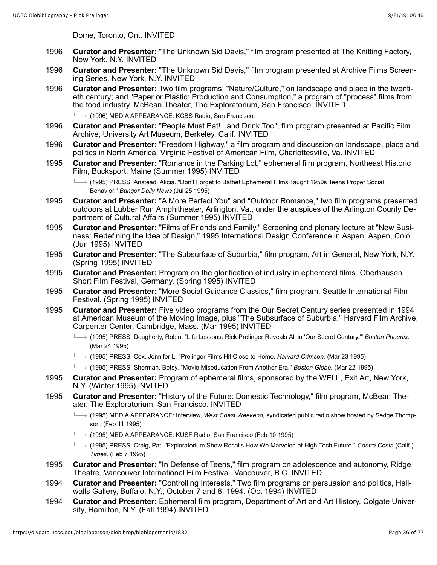Dome, Toronto, Ont. INVITED

- 1996 **Curator and Presenter:** "The Unknown Sid Davis," film program presented at The Knitting Factory, New York, N.Y. INVITED
- 1996 **Curator and Presenter:** "The Unknown Sid Davis," film program presented at Archive Films Screening Series, New York, N.Y. INVITED
- 1996 **Curator and Presenter:** Two film programs: "Nature/Culture," on landscape and place in the twentieth century; and "Paper or Plastic: Production and Consumption," a program of "process" films from the food industry. McBean Theater, The Exploratorium, San Francisco INVITED

 $\longmapsto$  (1996) MEDIA APPEARANCE: KCBS Radio, San Francisco.

- 1996 **Curator and Presenter:** "People Must Eat!...and Drink Too", film program presented at Pacific Film Archive, University Art Museum, Berkeley, Calif. INVITED
- 1996 **Curator and Presenter:** "Freedom Highway," a film program and discussion on landscape, place and politics in North America. Virginia Festival of American Film, Charlottesville, Va. INVITED
- 1995 **Curator and Presenter:** "Romance in the Parking Lot," ephemeral film program, Northeast Historic Film, Bucksport, Maine (Summer 1995) INVITED
	- (1995) PRESS: Anstead, Alicia. "Don't Forget to Bathe! Ephemeral Films Taught 1950s Teens Proper Social Behavior." *Bangor Daily News* (Jul 25 1995)
- 1995 **Curator and Presenter:** "A More Perfect You" and "Outdoor Romance," two film programs presented outdoors at Lubber Run Amphitheater, Arlington, Va., under the auspices of the Arlington County Department of Cultural Affairs (Summer 1995) INVITED
- 1995 **Curator and Presenter:** "Films of Friends and Family." Screening and plenary lecture at "New Business: Redefining the Idea of Design," 1995 International Design Conference in Aspen, Aspen, Colo. (Jun 1995) INVITED
- 1995 **Curator and Presenter:** "The Subsurface of Suburbia," film program, Art in General, New York, N.Y. (Spring 1995) INVITED
- 1995 **Curator and Presenter:** Program on the glorification of industry in ephemeral films. Oberhausen Short Film Festival, Germany. (Spring 1995) INVITED
- 1995 **Curator and Presenter:** "More Social Guidance Classics," film program, Seattle International Film Festival. (Spring 1995) INVITED
- 1995 **Curator and Presenter:** Five video programs from the Our Secret Century series presented in 1994 at American Museum of the Moving Image, plus "The Subsurface of Suburbia." Harvard Film Archive, Carpenter Center, Cambridge, Mass. (Mar 1995) INVITED
	- (1995) PRESS: Dougherty, Robin. "Life Lessons: Rick Prelinger Reveals All in 'Our Secret Century.'" *Boston Phoenix.* (Mar 24 1995)
	- (1995) PRESS: Cox, Jennifer L. "Prelinger Films Hit Close to Home. *Harvard Crimson.* (Mar 23 1995)
	- (1995) PRESS: Sherman, Betsy. "Movie Miseducation From Another Era." *Boston Globe.* (Mar 22 1995)
- 1995 **Curator and Presenter:** Program of ephemeral films, sponsored by the WELL, Exit Art, New York, N.Y. (Winter 1995) INVITED
- 1995 **Curator and Presenter:** "History of the Future: Domestic Technology," film program, McBean Theater, The Exploratorium, San Francisco. INVITED
	- (1995) MEDIA APPEARANCE: Interview, *West Coast Weekend,* syndicated public radio show hosted by Sedge Thompson. (Feb 11 1995)
	- $\rightarrow$  (1995) MEDIA APPEARANCE: KUSF Radio, San Francisco (Feb 10 1995)
	- (1995) PRESS: Craig, Pat. "Exploratorium Show Recalls How We Marveled at High-Tech Future." *Contra Costa* (Calif.) *Times.* (Feb 7 1995)
- 1995 **Curator and Presenter:** "In Defense of Teens," film program on adolescence and autonomy, Ridge Theatre, Vancouver International Film Festival, Vancouver, B.C. INVITED
- 1994 **Curator and Presenter:** "Controlling Interests," Two film programs on persuasion and politics, Hallwalls Gallery, Buffalo, N.Y., October 7 and 8, 1994. (Oct 1994) INVITED
- 1994 **Curator and Presenter:** Ephemeral film program, Department of Art and Art History, Colgate University, Hamilton, N.Y. (Fall 1994) INVITED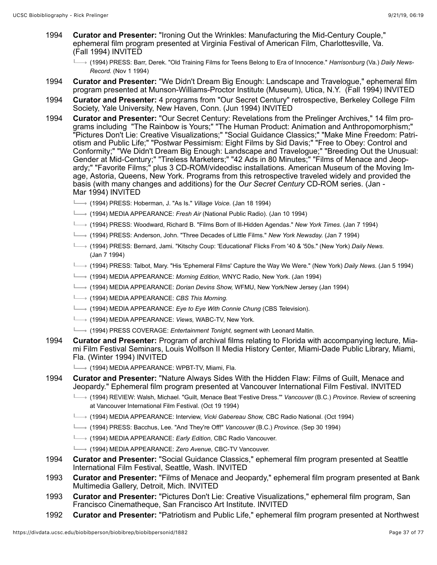- 1994 **Curator and Presenter:** "Ironing Out the Wrinkles: Manufacturing the Mid-Century Couple," ephemeral film program presented at Virginia Festival of American Film, Charlottesville, Va. (Fall 1994) INVITED
	- (1994) PRESS: Barr, Derek. "Old Training Films for Teens Belong to Era of Innocence." *Harrisonburg* (Va.) *Daily News-Record.* (Nov 1 1994)
- 1994 **Curator and Presenter:** "We Didn't Dream Big Enough: Landscape and Travelogue," ephemeral film program presented at Munson-Williams-Proctor Institute (Museum), Utica, N.Y. (Fall 1994) INVITED
- 1994 **Curator and Presenter:** 4 programs from "Our Secret Century" retrospective, Berkeley College Film Society, Yale University, New Haven, Conn. (Jun 1994) INVITED
- 1994 **Curator and Presenter:** "Our Secret Century: Revelations from the Prelinger Archives," 14 film programs including "The Rainbow is Yours;" "The Human Product: Animation and Anthropomorphism;" "Pictures Don't Lie: Creative Visualizations;" "Social Guidance Classics;" "Make Mine Freedom: Patriotism and Public Life;" "Postwar Pessimism: Eight Films by Sid Davis;" "Free to Obey: Control and Conformity;" "We Didn't Dream Big Enough: Landscape and Travelogue;" "Breeding Out the Unusual: Gender at Mid-Century;" "Tireless Marketers;" "42 Ads in 80 Minutes;" "Films of Menace and Jeopardy;" "Favorite Films;" plus 3 CD-ROM/videodisc installations. American Museum of the Moving Image, Astoria, Queens, New York. Programs from this retrospective traveled widely and provided the basis (with many changes and additions) for the *Our Secret Century* CD-ROM series. (Jan - Mar 1994) INVITED
	- (1994) PRESS: Hoberman, J. "As Is." *Village Voice.* (Jan 18 1994)
	- (1994) MEDIA APPEARANCE: *Fresh Air* (National Public Radio). (Jan 10 1994)
	- (1994) PRESS: Woodward, Richard B. "Films Born of Ill-Hidden Agendas." *New York Times.* (Jan 7 1994)
	- (1994) PRESS: Anderson, John. "Three Decades of Little Films." *New York Newsday.* (Jan 7 1994)
	- (1994) PRESS: Bernard, Jami. "Kitschy Coup: 'Educational' Flicks From '40 & '50s." (New York) *Daily News.* (Jan 7 1994)
	- (1994) PRESS: Talbot, Mary. "His 'Ephemeral Films' Capture the Way We Were." (New York) *Daily News.* (Jan 5 1994)
	- (1994) MEDIA APPEARANCE: *Morning Edition,* WNYC Radio, New York. (Jan 1994)
	- (1994) MEDIA APPEARANCE: *Dorian Devins Show,* WFMU, New York/New Jersey (Jan 1994)
	- (1994) MEDIA APPEARANCE: *CBS This Morning.*
	- → (1994) MEDIA APPEARANCE: *Eye to Eye With Connie Chung* (CBS Television).
	- (1994) MEDIA APPEARANCE: *Views,* WABC-TV, New York.
	- (1994) PRESS COVERAGE: *Entertainment Tonight,* segment with Leonard Maltin.
- 1994 **Curator and Presenter:** Program of archival films relating to Florida with accompanying lecture, Miami Film Festival Seminars, Louis Wolfson II Media History Center, Miami-Dade Public Library, Miami, Fla. (Winter 1994) INVITED
	- $\longmapsto$  (1994) MEDIA APPEARANCE: WPBT-TV, Miami, Fla.
- 1994 **Curator and Presenter:** "Nature Always Sides With the Hidden Flaw: Films of Guilt, Menace and Jeopardy." Ephemeral film program presented at Vancouver International Film Festival. INVITED
	- (1994) REVIEW: Walsh, Michael. "Guilt, Menace Beat 'Festive Dress.'" *Vancouver* (B.C.) *Province*. Review of screening at Vancouver International Film Festival. (Oct 19 1994)
	- (1994) MEDIA APPEARANCE: Interview, *Vicki Gabereau Show,* CBC Radio National. (Oct 1994)
	- (1994) PRESS: Bacchus, Lee. "And They're Off!" *Vancouver* (B.C.) *Province.* (Sep 30 1994)
	- (1994) MEDIA APPEARANCE: *Early Edition,* CBC Radio Vancouver.
	- (1994) MEDIA APPEARANCE: *Zero Avenue,* CBC-TV Vancouver.
- 1994 **Curator and Presenter:** "Social Guidance Classics," ephemeral film program presented at Seattle International Film Festival, Seattle, Wash. INVITED
- 1993 **Curator and Presenter:** "Films of Menace and Jeopardy," ephemeral film program presented at Bank Multimedia Gallery, Detroit, Mich. INVITED
- 1993 **Curator and Presenter:** "Pictures Don't Lie: Creative Visualizations," ephemeral film program, San Francisco Cinematheque, San Francisco Art Institute. INVITED
- 1992 **Curator and Presenter:** "Patriotism and Public Life," ephemeral film program presented at Northwest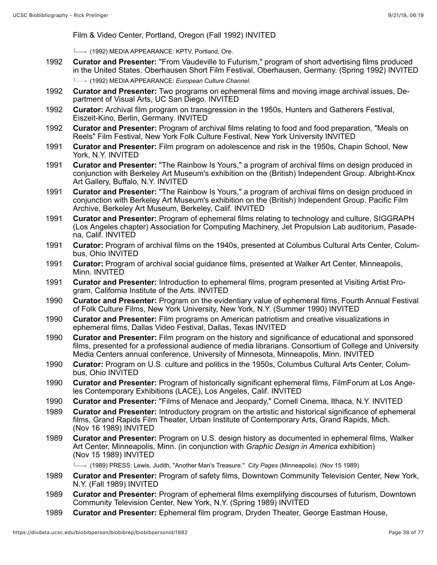Film & Video Center, Portland, Oregon (Fall 1992) INVITED

 $\longmapsto$  (1992) MEDIA APPEARANCE: KPTV, Portland, Ore.

- 1992 **Curator and Presenter:** "From Vaudeville to Futurism," program of short advertising films produced in the United States. Oberhausen Short Film Festival, Oberhausen, Germany. (Spring 1992) INVITED (1992) MEDIA APPEARANCE: *European Culture Channel.*
- 1992 **Curator and Presenter:** Two programs on ephemeral films and moving image archival issues, Department of Visual Arts, UC San Diego. INVITED
- 1992 **Curator:** Archival film program on transgression in the 1950s, Hunters and Gatherers Festival, Eiszeit-Kino, Berlin, Germany. INVITED
- 1992 **Curator and Presenter:** Program of archival films relating to food and food preparation, "Meals on Reels" Film Festival, New York Folk Culture Festival, New York University INVITED
- 1991 **Curator and Presenter:** Film program on adolescence and risk in the 1950s, Chapin School, New York, N.Y. INVITED
- 1991 **Curator and Presenter:** "The Rainbow Is Yours," a program of archival films on design produced in conjunction with Berkeley Art Museum's exhibition on the (British) Independent Group. Albright-Knox Art Gallery, Buffalo, N.Y. INVITED
- 1991 **Curator and Presenter:** "The Rainbow Is Yours," a program of archival films on design produced in conjunction with Berkeley Art Museum's exhibition on the (British) Independent Group. Pacific Film Archive, Berkeley Art Museum, Berkeley, Calif. INVITED
- 1991 **Curator and Presenter:** Program of ephemeral films relating to technology and culture, SIGGRAPH (Los Angeles chapter) Association for Computing Machinery, Jet Propulsion Lab auditorium, Pasadena, Calif. INVITED
- 1991 **Curator:** Program of archival films on the 1940s, presented at Columbus Cultural Arts Center, Columbus, Ohio INVITED
- 1991 **Curator:** Program of archival social guidance films, presented at Walker Art Center, Minneapolis, Minn. INVITED
- 1991 **Curator and Presenter:** Introduction to ephemeral films, program presented at Visiting Artist Program, California Institute of the Arts. INVITED
- 1990 **Curator and Presenter:** Program on the evidentiary value of ephemeral films, Fourth Annual Festival of Folk Culture Films, New York University, New York, N.Y. (Summer 1990) INVITED
- 1990 **Curator and Presenter:** Film programs on American patriotism and creative visualizations in ephemeral films, Dallas Video Festival, Dallas, Texas INVITED
- 1990 **Curator and Presenter:** Film program on the history and significance of educational and sponsored films, presented for a professional audience of media librarians. Consortium of College and University Media Centers annual conference, University of Minnesota, Minneapolis, Minn. INVITED
- 1990 **Curator:** Program on U.S. culture and politics in the 1950s, Columbus Cultural Arts Center, Columbus, Ohio INVITED
- 1990 **Curator and Presenter:** Program of historically significant ephemeral films, FilmForum at Los Angeles Contemporary Exhibitions (LACE), Los Angeles, Calif. INVITED
- 1990 **Curator and Presenter:** "Films of Menace and Jeopardy," Cornell Cinema, Ithaca, N.Y. INVITED
- 1989 **Curator and Presenter:** Introductory program on the artistic and historical significance of ephemeral films, Grand Rapids Film Theater, Urban Institute of Contemporary Arts, Grand Rapids, Mich. (Nov 16 1989) INVITED
- 1989 **Curator and Presenter:** Program on U.S. design history as documented in ephemeral films, Walker Art Center, Minneapolis, Minn. (in conjunction with *Graphic Design in America* exhibition) (Nov 15 1989) INVITED

(1989) PRESS: Lewis, Judith, "Another Man's Treasure." *City Pages* (Minneapolis). (Nov 15 1989)

- 1989 **Curator and Presenter:** Program of safety films, Downtown Community Television Center, New York, N.Y. (Fall 1989) INVITED
- 1989 **Curator and Presenter:** Program of ephemeral films exemplifying discourses of futurism, Downtown Community Television Center, New York, N.Y. (Spring 1989) INVITED
- 1989 **Curator and Presenter:** Ephemeral film program, Dryden Theater, George Eastman House,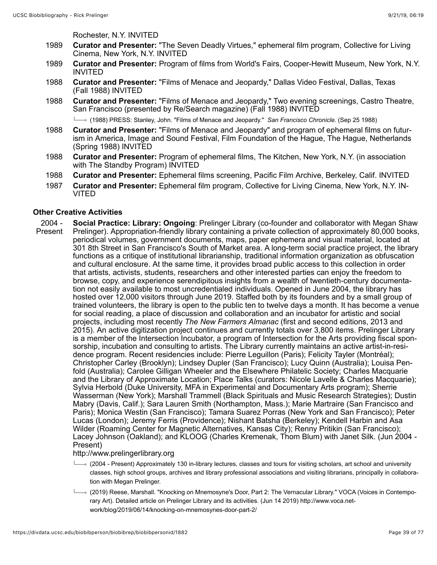Rochester, N.Y. INVITED

- 1989 **Curator and Presenter:** "The Seven Deadly Virtues," ephemeral film program, Collective for Living Cinema, New York, N.Y. INVITED
- 1989 **Curator and Presenter:** Program of films from World's Fairs, Cooper-Hewitt Museum, New York, N.Y. INVITED
- 1988 **Curator and Presenter:** "Films of Menace and Jeopardy," Dallas Video Festival, Dallas, Texas (Fall 1988) INVITED
- 1988 **Curator and Presenter:** "Films of Menace and Jeopardy," Two evening screenings, Castro Theatre, San Francisco (presented by Re/Search magazine) (Fall 1988) INVITED

(1988) PRESS: Stanley, John. "Films of Menace and Jeopardy." *San Francisco Chronicle.* (Sep 25 1988)

- 1988 **Curator and Presenter:** "Films of Menace and Jeopardy" and program of ephemeral films on futurism in America, Image and Sound Festival, Film Foundation of the Hague, The Hague, Netherlands (Spring 1988) INVITED
- 1988 **Curator and Presenter:** Program of ephemeral films, The Kitchen, New York, N.Y. (in association with The Standby Program) INVITED
- 1988 **Curator and Presenter:** Ephemeral films screening, Pacific Film Archive, Berkeley, Calif. INVITED
- 1987 **Curator and Presenter:** Ephemeral film program, Collective for Living Cinema, New York, N.Y. IN-VITED

#### **Other Creative Activities**

2004 - Present **Social Practice: Library: Ongoing**: Prelinger Library (co-founder and collaborator with Megan Shaw Prelinger). Appropriation-friendly library containing a private collection of approximately 80,000 books, periodical volumes, government documents, maps, paper ephemera and visual material, located at 301 8th Street in San Francisco's South of Market area. A long-term social practice project, the library functions as a critique of institutional librarianship, traditional information organization as obfuscation and cultural enclosure. At the same time, it provides broad public access to this collection in order that artists, activists, students, researchers and other interested parties can enjoy the freedom to browse, copy, and experience serendipitous insights from a wealth of twentieth-century documentation not easily available to most uncredentialed individuals. Opened in June 2004, the library has hosted over 12,000 visitors through June 2019. Staffed both by its founders and by a small group of trained volunteers, the library is open to the public ten to twelve days a month. It has become a venue for social reading, a place of discussion and collaboration and an incubator for artistic and social projects, including most recently *The New Farmers Almanac* (first and second editions, 2013 and 2015). An active digitization project continues and currently totals over 3,800 items. Prelinger Library is a member of the Intersection Incubator, a program of Intersection for the Arts providing fiscal sponsorship, incubation and consulting to artists. The Library currently maintains an active artist-in-residence program. Recent residencies include: Pierre Leguillon (Paris); Felicity Tayler (Montréal); Christopher Carley (Brooklyn); Lindsey Dupler (San Francisco); Lucy Quinn (Australia); Louisa Penfold (Australia); Carolee Gilligan Wheeler and the Elsewhere Philatelic Society; Charles Macquarie and the Library of Approximate Location; Place Talks (curators: Nicole Lavelle & Charles Macquarie); Sylvia Herbold (Duke University, MFA in Experimental and Documentary Arts program); Sherrie Wasserman (New York); Marshall Trammell (Black Spirituals and Music Research Strategies); Dustin Mabry (Davis, Calif.); Sara Lauren Smith (Northampton, Mass.); Marie Martraire (San Francisco and Paris); Monica Westin (San Francisco); Tamara Suarez Porras (New York and San Francisco); Peter Lucas (London); Jeremy Ferris (Providence); Nishant Batsha (Berkeley); Kendell Harbin and Asa Wilder (Roaming Center for Magnetic Alternatives, Kansas City); Renny Pritikin (San Francisco); Lacey Johnson (Oakland); and KLOOG (Charles Kremenak, Thom Blum) with Janet Silk. (Jun 2004 - Present)

#### http://www.prelingerlibrary.org

- (2004 Present) Approximately 130 in-library lectures, classes and tours for visiting scholars, art school and university classes, high school groups, archives and library professional associations and visiting librarians, principally in collaboration with Megan Prelinger.
- (2019) Reese, Marshall. "Knocking on Mnemosyne's Door, Part 2: The Vernacular Library." VOCA (Voices in Contemporary Art). Detailed article on Prelinger Library and its activities. (Jun 14 2019) http://www.voca.network/blog/2019/06/14/knocking-on-mnemosynes-door-part-2/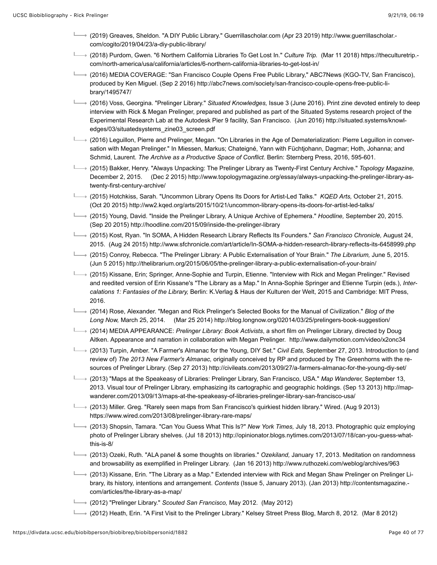- (2019) Greaves, Sheldon. "A DIY Public Library." Guerrillascholar.com (Apr 23 2019) http://www.guerrillascholar.com/cogito/2019/04/23/a-diy-public-library/
- (2018) Purdom, Gwen. "6 Northern California Libraries To Get Lost In." *Culture Trip.* (Mar 11 2018) https://theculturetrip. com/north-america/usa/california/articles/6-northern-california-libraries-to-get-lost-in/
- → (2016) MEDIA COVERAGE: "San Francisco Couple Opens Free Public Library," ABC7News (KGO-TV, San Francisco), produced by Ken Miguel. (Sep 2 2016) http://abc7news.com/society/san-francisco-couple-opens-free-public-library/1495747/
- (2016) Voss, Georgina. "Prelinger Library." *Situated Knowledges,* Issue 3 (June 2016). Print zine devoted entirely to deep interview with Rick & Megan Prelinger, prepared and published as part of the Situated Systems research project of the Experimental Research Lab at the Autodesk Pier 9 facility, San Francisco. (Jun 2016) http://situated.systems/knowledges/03/situatedsystems\_zine03\_screen.pdf
- (2016) Leguillon, Pierre and Prelinger, Megan. "On Libraries in the Age of Dematerialization: Pierre Leguillon in conversation with Megan Prelinger." In Miessen, Markus; Chateigné, Yann with Füchtjohann, Dagmar; Hoth, Johanna; and Schmid, Laurent. *The Archive as a Productive Space of Conflict*. Berlin: Sternberg Press, 2016, 595-601.
- (2015) Bakker, Henry. "Always Unpacking: The Prelinger Library as Twenty-First Century Archive." *Topology Magazine,* December 2, 2015. (Dec 2 2015) http://www.topologymagazine.org/essay/always-unpacking-the-prelinger-library-astwenty-first-century-archive/
- (2015) Hotchkiss, Sarah. "Uncommon Library Opens Its Doors for Artist-Led Talks." *KQED Arts,* October 21, 2015. (Oct 20 2015) http://ww2.kqed.org/arts/2015/10/21/uncommon-library-opens-its-doors-for-artist-led-talks/
- (2015) Young, David. "Inside the Prelinger Library, A Unique Archive of Ephemera." *Hoodline,* September 20, 2015. (Sep 20 2015) http://hoodline.com/2015/09/inside-the-prelinger-library
- (2015) Kost, Ryan. "In SOMA, A Hidden Research Library Reflects Its Founders." *San Francisco Chronicle,* August 24, 2015. (Aug 24 2015) http://www.sfchronicle.com/art/article/In-SOMA-a-hidden-research-library-reflects-its-6458999.php
- (2015) Conroy, Rebecca. "The Prelinger Library: A Public Externalisation of Your Brain." *The Librarium,* June 5, 2015. (Jun 5 2015) http://thelibrarium.org/2015/06/05/the-prelinger-library-a-public-externalisation-of-your-brain/
- (2015) Kissane, Erin; Springer, Anne-Sophie and Turpin, Etienne. "Interview with Rick and Megan Prelinger." Revised and reedited version of Erin Kissane's "The Library as a Map." In Anna-Sophie Springer and Etienne Turpin (eds.), *Intercalations 1: Fantasies of the Library,* Berlin: K.Verlag & Haus der Kulturen der Welt, 2015 and Cambridge: MIT Press, 2016.
- (2014) Rose, Alexander. "Megan and Rick Prelinger's Selected Books for the Manual of Civilization." *Blog of the Long Now,* March 25, 2014. (Mar 25 2014) http://blog.longnow.org/02014/03/25/prelingers-book-suggestion/
- → (2014) MEDIA APPEARANCE: *Prelinger Library: Book Activists*, a short film on Prelinger Library, directed by Doug Aitken. Appearance and narration in collaboration with Megan Prelinger. http://www.dailymotion.com/video/x2onc34
- (2013) Turpin, Amber. "A Farmer's Almanac for the Young, DIY Set." *Civil Eats,* September 27, 2013. Introduction to (and review of) *The 2013 New Farmer's Almanac,* originally conceived by RP and produced by The Greenhorns with the resources of Prelinger Library. (Sep 27 2013) http://civileats.com/2013/09/27/a-farmers-almanac-for-the-young-diy-set/
- (2013) "Maps at the Speakeasy of Libraries: Prelinger Library, San Francisco, USA." *Map Wanderer,* September 13, 2013. Visual tour of Prelinger Library, emphasizing its cartographic and geographic holdings. (Sep 13 2013) http://mapwanderer.com/2013/09/13/maps-at-the-speakeasy-of-libraries-prelinger-library-san-francisco-usa/
- $\rightarrow$  (2013) Miller. Greg. "Rarely seen maps from San Francisco's quirkiest hidden library." Wired. (Aug 9 2013) https://www.wired.com/2013/08/prelinger-library-rare-maps/
- (2013) Shopsin, Tamara. "Can You Guess What This Is?" *New York Times,* July 18, 2013. Photographic quiz employing photo of Prelinger Library shelves. (Jul 18 2013) http://opinionator.blogs.nytimes.com/2013/07/18/can-you-guess-whatthis-is-8/
- (2013) Ozeki, Ruth. "ALA panel & some thoughts on libraries." *Ozekiland,* January 17, 2013. Meditation on randomness and browsability as exemplified in Prelinger Library. (Jan 16 2013) http://www.ruthozeki.com/weblog/archives/963
- $\rightarrow$  (2013) Kissane, Erin. "The Library as a Map." Extended interview with Rick and Megan Shaw Prelinger on Prelinger Library, its history, intentions and arrangement. *Contents* (Issue 5, January 2013). (Jan 2013) http://contentsmagazine. com/articles/the-library-as-a-map/
- (2012) "Prelinger Library." *Scouted San Francisco,* May 2012. (May 2012)
- (2012) Heath, Erin. "A First Visit to the Prelinger Library." Kelsey Street Press Blog, March 8, 2012. (Mar 8 2012)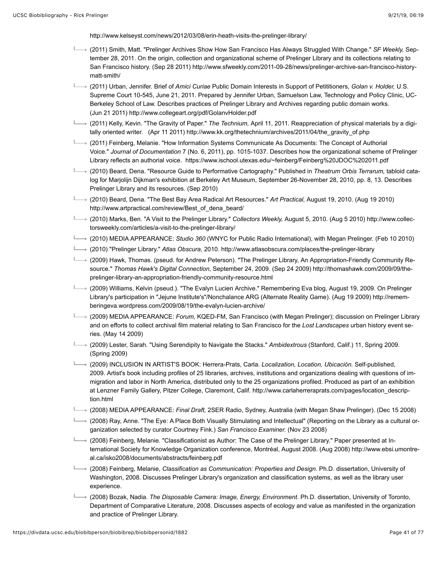http://www.kelseyst.com/news/2012/03/08/erin-heath-visits-the-prelinger-library/

- (2011) Smith, Matt. "Prelinger Archives Show How San Francisco Has Always Struggled With Change." *SF Weekly,* September 28, 2011. On the origin, collection and organizational scheme of Prelinger Library and its collections relating to San Francisco history. (Sep 28 2011) http://www.sfweekly.com/2011-09-28/news/prelinger-archive-san-francisco-historymatt-smith/
- (2011) Urban, Jennifer. Brief of *Amici Curiae* Public Domain Interests in Support of Petititioners, *Golan v. Holder,* U.S. Supreme Court 10-545, June 21, 2011. Prepared by Jennifer Urban, Samuelson Law, Technology and Policy Clinic, UC-Berkeley School of Law. Describes practices of Prelinger Library and Archives regarding public domain works. (Jun 21 2011) http://www.collegeart.org/pdf/GolanvHolder.pdf
- (2011) Kelly, Kevin. "The Gravity of Paper." *The Technium,* April 11, 2011. Reappreciation of physical materials by a digitally oriented writer. (Apr 11 2011) http://www.kk.org/thetechnium/archives/2011/04/the\_gravity\_of.php
- $\rightarrow$  (2011) Feinberg, Melanie. "How Information Systems Communicate As Documents: The Concept of Authorial Voice." *Journal of Documentation* 7 (No. 6, 2011), pp. 1015-1037. Describes how the organizational scheme of Prelinger Library reflects an authorial voice. https://www.ischool.utexas.edu/~feinberg/Feinberg%20JDOC%202011.pdf
- (2010) Beard, Dena. "Resource Guide to Performative Cartography." Published in *Theatrum Orbis Terrarum,* tabloid catalog for Marjolijn Dijkman's exhibition at Berkeley Art Museum, September 26-November 28, 2010, pp. 8, 13. Describes Prelinger Library and its resources. (Sep 2010)
- (2010) Beard, Dena. "The Best Bay Area Radical Art Resources." *Art Practical,* August 19, 2010. (Aug 19 2010) http://www.artpractical.com/review/Best\_of\_dena\_beard/
- → (2010) Marks, Ben. "A Visit to the Prelinger Library." *Collectors Weekly, August 5, 2010. (Aug 5 2010)* http://www.collectorsweekly.com/articles/a-visit-to-the-prelinger-library/
- (2010) MEDIA APPEARANCE: *Studio 360* (WNYC for Public Radio International), with Megan Prelinger. (Feb 10 2010)
- (2010) "Prelinger Library." *Atlas Obscura,* 2010. http://www.atlasobscura.com/places/the-prelinger-library
- (2009) Hawk, Thomas. (pseud. for Andrew Peterson). "The Prelinger Library, An Appropriation-Friendly Community Resource." *Thomas Hawk's Digital Connection*, September 24, 2009. (Sep 24 2009) http://thomashawk.com/2009/09/theprelinger-library-an-appropriation-friendly-community-resource.html
- (2009) Williams, Kelvin (pseud.). "The Evalyn Lucien Archive." Remembering Eva blog, August 19, 2009. On Prelinger Library's participation in "Jejune Institute's"/Nonchalance ARG (Alternate Reality Game). (Aug 19 2009) http://rememberingeva.wordpress.com/2009/08/19/the-evalyn-lucien-archive/
- → (2009) MEDIA APPEARANCE: *Forum*, KQED-FM, San Francisco (with Megan Prelinger); discussion on Prelinger Library and on efforts to collect archival film material relating to San Francisco for the *Lost Landscapes* urban history event series. (May 14 2009)
- (2009) Lester, Sarah. "Using Serendipity to Navigate the Stacks." *Ambidextrous* (Stanford, Calif.) 11, Spring 2009. (Spring 2009)
- (2009) INCLUSION IN ARTIST'S BOOK: Herrera-Prats, Carla. *Localization, Location, Ubicación.* Self-published, 2009. Artist's book including profiles of 25 libraries, archives, institutions and organizations dealing with questions of immigration and labor in North America, distributed only to the 25 organizations profiled. Produced as part of an exhibition at Lenzner Family Gallery, Pitzer College, Claremont, Calif. http://www.carlaherreraprats.com/pages/location\_description.html
- (2008) MEDIA APPEARANCE: *Final Draft,* 2SER Radio, Sydney, Australia (with Megan Shaw Prelinger). (Dec 15 2008)
- (2008) Ray, Anne. "The Eye: A Place Both Visually Stimulating and Intellectual" (Reporting on the Library as a cultural organization selected by curator Courtney Fink.) *San Francisco Examiner.* (Nov 23 2008)
- (2008) Feinberg, Melanie. "Classificationist as Author: The Case of the Prelinger Library." Paper presented at International Society for Knowledge Organization conference, Montréal, August 2008. (Aug 2008) http://www.ebsi.umontreal.ca/isko2008/documents/abstracts/feinberg.pdf
- (2008) Feinberg, Melanie, *Classification as Communication: Properties and Design.* Ph.D. dissertation, University of Washington, 2008. Discusses Prelinger Library's organization and classification systems, as well as the library user experience.
- (2008) Bozak, Nadia. *The Disposable Camera: Image, Energy, Environment.* Ph.D. dissertation, University of Toronto, Department of Comparative Literature, 2008. Discusses aspects of ecology and value as manifested in the organization and practice of Prelinger Library.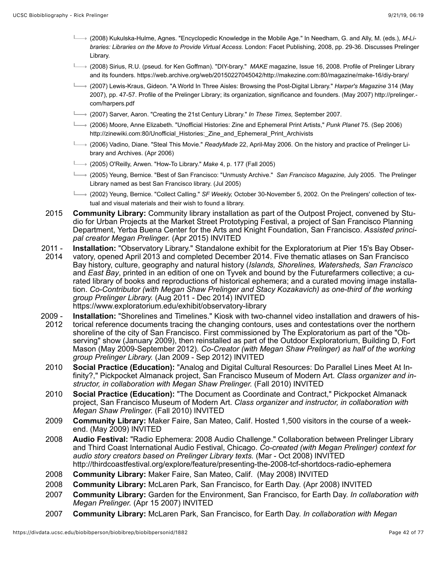- → (2008) Kukulska-Hulme, Agnes. "Encyclopedic Knowledge in the Mobile Age." In Needham, G. and Ally, M. (eds.), M-Li*braries: Libraries on the Move to Provide Virtual Access.* London: Facet Publishing, 2008, pp. 29-36. Discusses Prelinger Library.
- → (2008) Sirius, R.U. (pseud. for Ken Goffman). "DIY-brary." *MAKE* magazine, Issue 16, 2008. Profile of Prelinger Library and its founders. https://web.archive.org/web/20150227045042/http://makezine.com:80/magazine/make-16/diy-brary/
- (2007) Lewis-Kraus, Gideon. "A World In Three Aisles: Browsing the Post-Digital Library." *Harper's Magazine* 314 (May 2007), pp. 47-57. Profile of the Prelinger Library; its organization, significance and founders. (May 2007) http://prelinger. com/harpers.pdf
- (2007) Sarver, Aaron. "Creating the 21st Century Library." *In These Times,* September 2007.
- (2006) Moore, Anne Elizabeth. "Unofficial Histories: Zine and Ephemeral Print Artists," *Punk Planet* 75. (Sep 2006) http://zinewiki.com:80/Unofficial\_Histories:\_Zine\_and\_Ephemeral\_Print\_Archivists
- (2006) Vadino, Diane. "Steal This Movie." *ReadyMade* 22, April-May 2006. On the history and practice of Prelinger Library and Archives. (Apr 2006)
- (2005) O'Reilly, Arwen. "How-To Library." *Make* 4, p. 177 (Fall 2005)
- (2005) Yeung, Bernice. "Best of San Francisco: "Unmusty Archive." *San Francisco Magazine,* July 2005. The Prelinger Library named as best San Francisco library. (Jul 2005)
- (2002) Yeung, Bernice. "Collect Calling." *SF Weekly,* October 30-November 5, 2002. On the Prelingers' collection of textual and visual materials and their wish to found a library.
- 2015 **Community Library:** Community library installation as part of the Outpost Project, convened by Studio for Urban Projects at the Market Street Prototyping Festival, a project of San Francisco Planning Department, Yerba Buena Center for the Arts and Knight Foundation, San Francisco. *Assisted principal creator Megan Prelinger.* (Apr 2015) INVITED

2011 - **Installation:** "Observatory Library." Standalone exhibit for the Exploratorium at Pier 15's Bay Obser-

2014 vatory, opened April 2013 and completed December 2014. Five thematic atlases on San Francisco Bay history, culture, geography and natural history (*Islands, Shorelines, Watersheds, San Francisco* and *East Bay*, printed in an edition of one on Tyvek and bound by the Futurefarmers collective; a curated library of books and reproductions of historical ephemera; and a curated moving image installation. *Co-Contributor (with Megan Shaw Prelinger and Stacy Kozakavich) as one-third of the working group Prelinger Library.* (Aug 2011 - Dec 2014) INVITED https://www.exploratorium.edu/exhibit/observatory-library

- 2009 **Installation:** "Shorelines and Timelines." Kiosk with two-channel video installation and drawers of his-
- 2012 torical reference documents tracing the changing contours, uses and contestations over the northern shoreline of the city of San Francisco. First commissioned by The Exploratorium as part of the "Observing" show (January 2009), then reinstalled as part of the Outdoor Exploratorium, Building D, Fort Mason (May 2009-September 2012). *Co-Creator (with Megan Shaw Prelinger) as half of the working group Prelinger Library.* (Jan 2009 - Sep 2012) INVITED
- 2010 **Social Practice (Education):** "Analog and Digital Cultural Resources: Do Parallel Lines Meet At Infinity?," Pickpocket Almanack project, San Francisco Museum of Modern Art. *Class organizer and instructor, in collaboration with Megan Shaw Prelinger.* (Fall 2010) INVITED
- 2010 **Social Practice (Education):** "The Document as Coordinate and Contract," Pickpocket Almanack project, San Francisco Museum of Modern Art. *Class organizer and instructor, in collaboration with Megan Shaw Prelinger.* (Fall 2010) INVITED
- 2009 **Community Library:** Maker Faire, San Mateo, Calif. Hosted 1,500 visitors in the course of a weekend. (May 2009) INVITED
- 2008 **Audio Festival:** "Radio Ephemera: 2008 Audio Challenge." Collaboration between Prelinger Library and Third Coast International Audio Festival, Chicago. *Co-created (with Megan Prelinger) context for audio story creators based on Prelinger Library texts.* (Mar - Oct 2008) INVITED http://thirdcoastfestival.org/explore/feature/presenting-the-2008-tcf-shortdocs-radio-ephemera
- 2008 **Community Library:** Maker Faire, San Mateo, Calif. (May 2008) INVITED
- 2008 **Community Library:** McLaren Park, San Francisco, for Earth Day. (Apr 2008) INVITED
- 2007 **Community Library:** Garden for the Environment, San Francisco, for Earth Day. *In collaboration with Megan Prelinger.* (Apr 15 2007) INVITED
- 2007 **Community Library:** McLaren Park, San Francisco, for Earth Day. *In collaboration with Megan*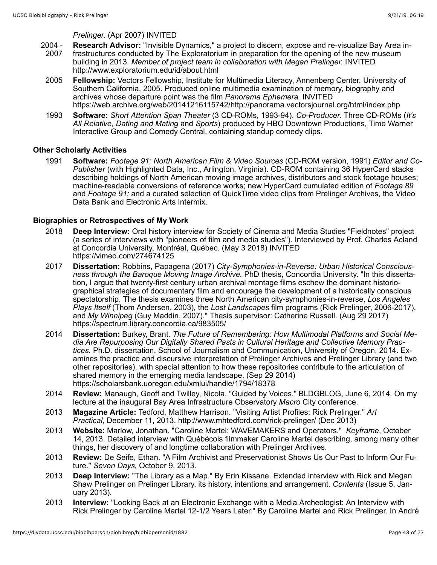#### *Prelinger.* (Apr 2007) INVITED

- 2004 2007 **Research Advisor:** "Invisible Dynamics," a project to discern, expose and re-visualize Bay Area infrastructures conducted by The Exploratorium in preparation for the opening of the new museum building in 2013. *Member of project team in collaboration with Megan Prelinger.* INVITED http://www.exploratorium.edu/id/about.html
- 2005 **Fellowship:** Vectors Fellowship, Institute for Multimedia Literacy, Annenberg Center, University of Southern California, 2005. Produced online multimedia examination of memory, biography and archives whose departure point was the film *Panorama Ephemera.* INVITED https://web.archive.org/web/20141216115742/http://panorama.vectorsjournal.org/html/index.php
- 1993 **Software:** *Short Attention Span Theater* (3 CD-ROMs, 1993-94). *Co-Producer.* Three CD-ROMs (*It's All Relative, Dating and Mating* and *Sports*) produced by HBO Downtown Productions, Time Warner Interactive Group and Comedy Central, containing standup comedy clips.

### **Other Scholarly Activities**

1991 **Software:** *Footage 91: North American Film & Video Sources* (CD-ROM version, 1991) *Editor and Co-Publisher* (with Highlighted Data, Inc., Arlington, Virginia). CD-ROM containing 36 HyperCard stacks describing holdings of North American moving image archives, distributors and stock footage houses; machine-readable conversions of reference works; new HyperCard cumulated edition of *Footage 89* and *Footage 91;* and a curated selection of QuickTime video clips from Prelinger Archives, the Video Data Bank and Electronic Arts Intermix.

#### **Biographies or Retrospectives of My Work**

- 2018 **Deep Interview:** Oral history interview for Society of Cinema and Media Studies "Fieldnotes" project (a series of interviews with "pioneers of film and media studies"). Interviewed by Prof. Charles Acland at Concordia University, Montréal, Québec. (May 3 2018) INVITED https://vimeo.com/274674125
- 2017 **Dissertation:** Robbins, Papagena (2017) *City-Symphonies-in-Reverse: Urban Historical Consciousness through the Baroque Moving Image Archive.* PhD thesis, Concordia University. "In this dissertation, I argue that twenty-first century urban archival montage films eschew the dominant historiographical strategies of documentary film and encourage the development of a historically conscious spectatorship. The thesis examines three North American city-symphonies-in-reverse, *Los Angeles Plays Itself* (Thom Andersen, 2003), the *Lost Landscapes* film programs (Rick Prelinger, 2006-2017), and *My Winnipeg* (Guy Maddin, 2007)." Thesis supervisor: Catherine Russell. (Aug 29 2017) https://spectrum.library.concordia.ca/983505/
- 2014 **Dissertation:** Burkey, Brant. *The Future of Remembering: How Multimodal Platforms and Social Media Are Repurposing Our Digitally Shared Pasts in Cultural Heritage and Collective Memory Practices.* Ph.D. dissertation, School of Journalism and Communication, University of Oregon, 2014. Examines the practice and discursive interpretation of Prelinger Archives and Prelinger Library (and two other repositories), with special attention to how these repositories contribute to the articulation of shared memory in the emerging media landscape. (Sep 29 2014) https://scholarsbank.uoregon.edu/xmlui/handle/1794/18378
- 2014 **Review:** Manaugh, Geoff and Twilley, Nicola. "Guided by Voices." BLDGBLOG, June 6, 2014. On my lecture at the inaugural Bay Area Infrastructure Observatory *Macro* City conference.
- 2013 **Magazine Article:** Tedford, Matthew Harrison. "Visiting Artist Profiles: Rick Prelinger." *Art Practical,* December 11, 2013. http://www.mhtedford.com/rick-prelinger/ (Dec 2013)
- 2013 **Website:** Marlow, Jonathan. "Caroline Martel: WAVEMAKERS and Operators." *Keyframe*, October 14, 2013. Detailed interview with Québécois filmmaker Caroline Martel describing, among many other things, her discovery of and longtime collaboration with Prelinger Archives.
- 2013 **Review:** De Seife, Ethan. "A Film Archivist and Preservationist Shows Us Our Past to Inform Our Future." *Seven Days,* October 9, 2013.
- 2013 **Deep Interview:** "The Library as a Map." By Erin Kissane. Extended interview with Rick and Megan Shaw Prelinger on Prelinger Library, its history, intentions and arrangement. *Contents* (Issue 5, January 2013).
- 2013 **Interview:** "Looking Back at an Electronic Exchange with a Media Archeologist: An Interview with Rick Prelinger by Caroline Martel 12-1/2 Years Later." By Caroline Martel and Rick Prelinger. In André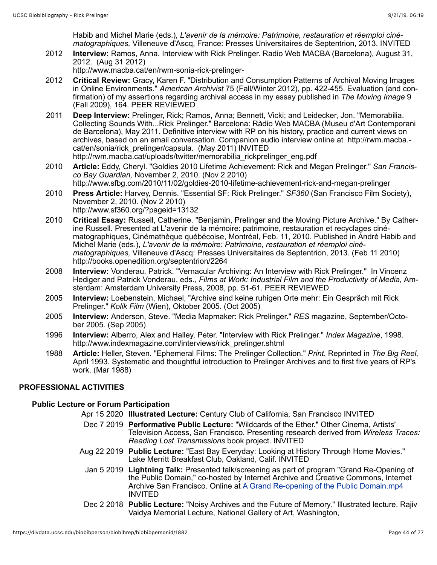Habib and Michel Marie (eds.), *L'avenir de la mémoire: Patrimoine, restauration et réemploi cinématographiques,* Villeneuve d'Ascq, France: Presses Universitaires de Septentrion, 2013. INVITED

2012 **Interview:** Ramos, Anna. Interview with Rick Prelinger. Radio Web MACBA (Barcelona), August 31, 2012. (Aug 31 2012)

http://www.macba.cat/en/rwm-sonia-rick-prelinger-

- 2012 **Critical Review:** Gracy, Karen F. "Distribution and Consumption Patterns of Archival Moving Images in Online Environments." *American Archivist* 75 (Fall/Winter 2012), pp. 422-455. Evaluation (and confirmation) of my assertions regarding archival access in my essay published in *The Moving Image* 9 (Fall 2009), 164. PEER REVIEWED
- 2011 **Deep Interview:** Prelinger, Rick; Ramos, Anna; Bennett, Vicki; and Leidecker, Jon. "Memorabilia. Collecting Sounds With...Rick Prelinger." Barcelona: Ràdio Web MACBA (Museu d'Art Contemporani de Barcelona), May 2011. Definitive interview with RP on his history, practice and current views on archives, based on an email conversation. Companion audio interview online at http://rwm.macba. cat/en/sonia/rick\_prelinger/capsula. (May 2011) INVITED http://rwm.macba.cat/uploads/twitter/memorabilia\_rickprelinger\_eng.pdf
- 2010 **Article:** Eddy, Cheryl. "Goldies 2010 Lifetime Achievement: Rick and Megan Prelinger." *San Francisco Bay Guardian,* November 2, 2010. (Nov 2 2010) http://www.sfbg.com/2010/11/02/goldies-2010-lifetime-achievement-rick-and-megan-prelinger
- 2010 **Press Article:** Harvey, Dennis. "Essential SF: Rick Prelinger." *SF360* (San Francisco Film Society), November 2, 2010. (Nov 2 2010) http://www.sf360.org/?pageid=13132
- 2010 **Critical Essay:** Russell, Catherine. "Benjamin, Prelinger and the Moving Picture Archive." By Catherine Russell. Presented at L'avenir de la mémoire: patrimoine, restauration et recyclages cinématographiques, Cinémathèque québécoise, Montréal, Feb. 11, 2010. Published in André Habib and Michel Marie (eds.), *L'avenir de la mémoire: Patrimoine, restauration et réemploi cinématographiques,* Villeneuve d'Ascq: Presses Universitaires de Septentrion, 2013. (Feb 11 2010) http://books.openedition.org/septentrion/2264
- 2008 **Interview:** Vonderau, Patrick. "Vernacular Archiving: An Interview with Rick Prelinger." In Vincenz Hediger and Patrick Vonderau, eds., *Films at Work: Industrial Film and the Productivity of Media,* Amsterdam: Amsterdam University Press, 2008, pp. 51-61. PEER REVIEWED
- 2005 **Interview:** Loebenstein, Michael, "Archive sind keine ruhigen Orte mehr: Ein Gespräch mit Rick Prelinger." *Kolik Film* (Wien), Oktober 2005. (Oct 2005)
- 2005 **Interview:** Anderson, Steve. "Media Mapmaker: Rick Prelinger." *RES* magazine, September/October 2005. (Sep 2005)
- 1996 **Interview:** Alberro, Alex and Halley, Peter. "Interview with Rick Prelinger." *Index Magazine*, 1998. http://www.indexmagazine.com/interviews/rick\_prelinger.shtml
- 1988 **Article:** Heller, Steven. "Ephemeral Films: The Prelinger Collection." *Print.* Reprinted in *The Big Reel,* April 1993. Systematic and thoughtful introduction to Prelinger Archives and to first five years of RP's work. (Mar 1988)

# **PROFESSIONAL ACTIVITIES**

# **Public Lecture or Forum Participation**

- Apr 15 2020 **Illustrated Lecture:** Century Club of California, San Francisco INVITED
- Dec 7 2019 **Performative Public Lecture:** "Wildcards of the Ether." Other Cinema, Artists' Television Access, San Francisco. Presenting research derived from *Wireless Traces: Reading Lost Transmissions* book project. INVITED
- Aug 22 2019 **Public Lecture:** "East Bay Everyday: Looking at History Through Home Movies." Lake Merritt Breakfast Club, Oakland, Calif. INVITED
	- Jan 5 2019 **Lightning Talk:** Presented talk/screening as part of program "Grand Re-Opening of the Public Domain," co-hosted by Internet Archive and Creative Commons, Internet Archive San Francisco. Online at A Grand Re-opening of the Public Domain.mp4 INVITED
	- Dec 2 2018 **Public Lecture:** "Noisy Archives and the Future of Memory." Illustrated lecture. Rajiv Vaidya Memorial Lecture, National Gallery of Art, Washington,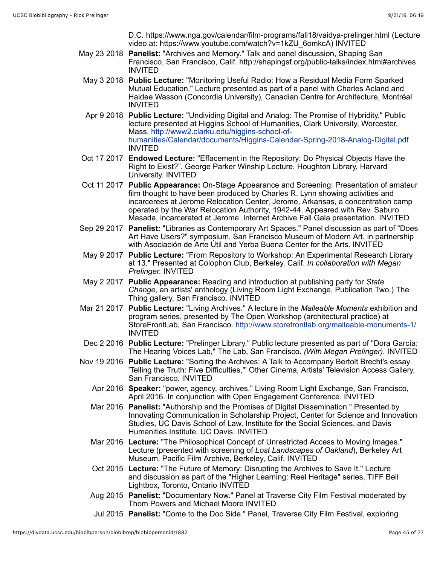D.C. https://www.nga.gov/calendar/film-programs/fall18/vaidya-prelinger.html (Lecture video at: https://www.youtube.com/watch?v=1kZU\_6omkcA) INVITED

- May 23 2018 **Panelist:** "Archives and Memory." Talk and panel discussion, Shaping San Francisco, San Francisco, Calif. http://shapingsf.org/public-talks/index.html#archives INVITED
- May 3 2018 **Public Lecture:** "Monitoring Useful Radio: How a Residual Media Form Sparked Mutual Education." Lecture presented as part of a panel with Charles Acland and Haidee Wasson (Concordia University), Canadian Centre for Architecture, Montréal INVITED
- Apr 9 2018 **Public Lecture:** "Undividing Digital and Analog: The Promise of Hybridity." Public lecture presented at Higgins School of Humanities, Clark University, Worcester, Mass. http://www2.clarku.edu/higgins-school-ofhumanities/Calendar/documents/Higgins-Calendar-Spring-2018-Analog-Digital.pdf INVITED
- Oct 17 2017 **Endowed Lecture:** "Effacement in the Repository: Do Physical Objects Have the Right to Exist?". George Parker Winship Lecture, Houghton Library, Harvard University. INVITED
- Oct 11 2017 **Public Appearance:** On-Stage Appearance and Screening: Presentation of amateur film thought to have been produced by Charles R. Lynn showing activities and incarcerees at Jerome Relocation Center, Jerome, Arkansas, a concentration camp operated by the War Relocation Authority, 1942-44. Appeared with Rev. Saburo Masada, incarcerated at Jerome. Internet Archive Fall Gala presentation. INVITED
- Sep 29 2017 **Panelist:** "Libraries as Contemporary Art Spaces." Panel discussion as part of "Does Art Have Users?" symposium, San Francisco Museum of Modern Art, in partnership with Asociación de Arte Útil and Yerba Buena Center for the Arts. INVITED
- May 9 2017 **Public Lecture:** "From Repository to Workshop: An Experimental Research Library at 13." Presented at Colophon Club, Berkeley, Calif. *In collaboration with Megan Prelinger.* INVITED
- May 2 2017 **Public Appearance:** Reading and introduction at publishing party for *State Change,* an artists' anthology (Living Room Light Exchange, Publication Two.) The Thing gallery, San Francisco. INVITED
- Mar 21 2017 **Public Lecture:** "Living Archives." A lecture in the *Malleable Moments* exhibition and program series, presented by The Open Workshop (architectural practice) at StoreFrontLab, San Francisco. http://www.storefrontlab.org/malleable-monuments-1/ INVITED
- Dec 2 2016 **Public Lecture:** "Prelinger Library." Public lecture presented as part of "Dora García: The Hearing Voices Lab," The Lab, San Francisco. *(With Megan Prelinger).* INVITED
- Nov 19 2016 **Public Lecture:** "Sorting the Archives: A Talk to Accompany Bertolt Brecht's essay 'Telling the Truth: Five Difficulties,'" Other Cinema, Artists' Television Access Gallery, San Francisco. INVITED
	- Apr 2016 **Speaker:** "power, agency, archives." Living Room Light Exchange, San Francisco, April 2016. In conjunction with Open Engagement Conference. INVITED
	- Mar 2016 **Panelist:** "Authorship and the Promises of Digital Dissemination." Presented by Innovating Communication in Scholarship Project, Center for Science and Innovation Studies, UC Davis School of Law, Institute for the Social Sciences, and Davis Humanities Institute. UC Davis. INVITED
	- Mar 2016 **Lecture:** "The Philosophical Concept of Unrestricted Access to Moving Images." Lecture (presented with screening of *Lost Landscapes of Oakland*), Berkeley Art Museum, Pacific Film Archive, Berkeley, Calif. INVITED
	- Oct 2015 **Lecture:** "The Future of Memory: Disrupting the Archives to Save It." Lecture and discussion as part of the "Higher Learning: Reel Heritage" series, TIFF Bell Lightbox, Toronto, Ontario INVITED
	- Aug 2015 **Panelist:** "Documentary Now." Panel at Traverse City Film Festival moderated by Thom Powers and Michael Moore INVITED
	- Jul 2015 **Panelist:** "Come to the Doc Side." Panel, Traverse City Film Festival, exploring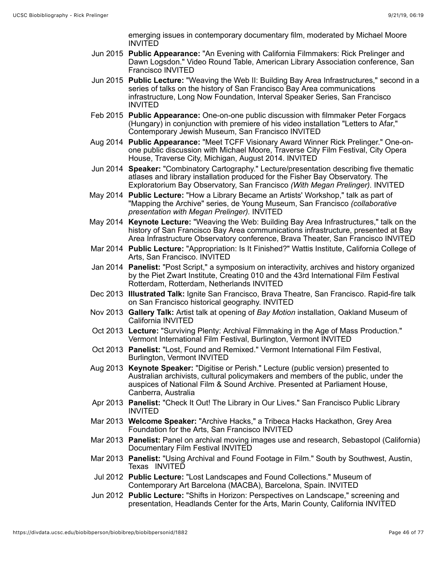emerging issues in contemporary documentary film, moderated by Michael Moore INVITED

- Jun 2015 **Public Appearance:** "An Evening with California Filmmakers: Rick Prelinger and Dawn Logsdon." Video Round Table, American Library Association conference, San Francisco INVITED
- Jun 2015 **Public Lecture:** "Weaving the Web II: Building Bay Area Infrastructures," second in a series of talks on the history of San Francisco Bay Area communications infrastructure, Long Now Foundation, Interval Speaker Series, San Francisco INVITED
- Feb 2015 **Public Appearance:** One-on-one public discussion with filmmaker Peter Forgacs (Hungary) in conjunction with premiere of his video installation "Letters to Afar," Contemporary Jewish Museum, San Francisco INVITED
- Aug 2014 **Public Appearance:** "Meet TCFF Visionary Award Winner Rick Prelinger." One-onone public discussion with Michael Moore, Traverse City Film Festival, City Opera House, Traverse City, Michigan, August 2014. INVITED
- Jun 2014 **Speaker:** "Combinatory Cartography." Lecture/presentation describing five thematic atlases and library installation produced for the Fisher Bay Observatory. The Exploratorium Bay Observatory, San Francisco *(With Megan Prelinger).* INVITED
- May 2014 **Public Lecture:** "How a Library Became an Artists' Workshop," talk as part of "Mapping the Archive" series, de Young Museum, San Francisco *(collaborative presentation with Megan Prelinger).* INVITED
- May 2014 **Keynote Lecture:** "Weaving the Web: Building Bay Area Infrastructures," talk on the history of San Francisco Bay Area communications infrastructure, presented at Bay Area Infrastructure Observatory conference, Brava Theater, San Francisco INVITED
- Mar 2014 **Public Lecture:** "Appropriation: Is It Finished?" Wattis Institute, California College of Arts, San Francisco. INVITED
- Jan 2014 **Panelist:** "Post Script," a symposium on interactivity, archives and history organized by the Piet Zwart Institute, Creating 010 and the 43rd International Film Festival Rotterdam, Rotterdam, Netherlands INVITED
- Dec 2013 **Illustrated Talk:** Ignite San Francisco, Brava Theatre, San Francisco. Rapid-fire talk on San Francisco historical geography. INVITED
- Nov 2013 **Gallery Talk:** Artist talk at opening of *Bay Motion* installation, Oakland Museum of California INVITED
- Oct 2013 **Lecture:** "Surviving Plenty: Archival Filmmaking in the Age of Mass Production." Vermont International Film Festival, Burlington, Vermont INVITED
- Oct 2013 **Panelist:** "Lost, Found and Remixed." Vermont International Film Festival, Burlington, Vermont INVITED
- Aug 2013 **Keynote Speaker:** "Digitise or Perish." Lecture (public version) presented to Australian archivists, cultural policymakers and members of the public, under the auspices of National Film & Sound Archive. Presented at Parliament House, Canberra, Australia
- Apr 2013 **Panelist:** "Check It Out! The Library in Our Lives." San Francisco Public Library INVITED
- Mar 2013 **Welcome Speaker:** "Archive Hacks," a Tribeca Hacks Hackathon, Grey Area Foundation for the Arts, San Francisco INVITED
- Mar 2013 **Panelist:** Panel on archival moving images use and research, Sebastopol (California) Documentary Film Festival INVITED
- Mar 2013 **Panelist:** "Using Archival and Found Footage in Film." South by Southwest, Austin, Texas INVITED
- Jul 2012 **Public Lecture:** "Lost Landscapes and Found Collections." Museum of Contemporary Art Barcelona (MACBA), Barcelona, Spain. INVITED
- Jun 2012 **Public Lecture:** "Shifts in Horizon: Perspectives on Landscape," screening and presentation, Headlands Center for the Arts, Marin County, California INVITED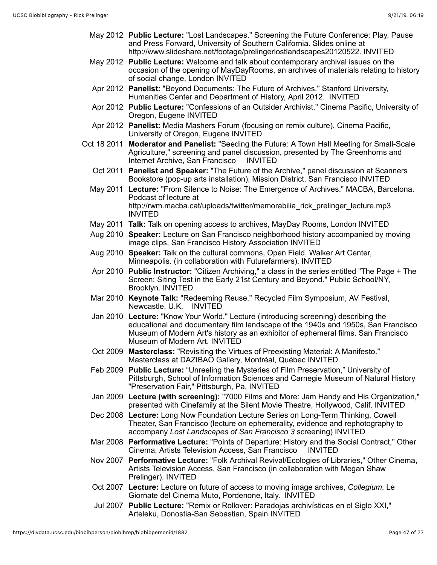- May 2012 **Public Lecture:** "Lost Landscapes." Screening the Future Conference: Play, Pause and Press Forward, University of Southern California. Slides online at http://www.slideshare.net/footage/prelingerlostlandscapes20120522. INVITED
- May 2012 **Public Lecture:** Welcome and talk about contemporary archival issues on the occasion of the opening of MayDayRooms, an archives of materials relating to history of social change, London INVITED
- Apr 2012 **Panelist:** "Beyond Documents: The Future of Archives." Stanford University, Humanities Center and Department of History, April 2012. INVITED
- Apr 2012 **Public Lecture:** "Confessions of an Outsider Archivist." Cinema Pacific, University of Oregon, Eugene INVITED
- Apr 2012 **Panelist:** Media Mashers Forum (focusing on remix culture). Cinema Pacific, University of Oregon, Eugene INVITED
- Oct 18 2011 **Moderator and Panelist:** "Seeding the Future: A Town Hall Meeting for Small-Scale Agriculture," screening and panel discussion, presented by The Greenhorns and Internet Archive, San Francisco INVITED Internet Archive, San Francisco
	- Oct 2011 **Panelist and Speaker:** "The Future of the Archive," panel discussion at Scanners Bookstore (pop-up arts installation), Mission District, San Francisco INVITED
	- May 2011 **Lecture:** "From Silence to Noise: The Emergence of Archives." MACBA, Barcelona. Podcast of lecture at http://rwm.macba.cat/uploads/twitter/memorabilia\_rick\_prelinger\_lecture.mp3 INVITED
	- May 2011 **Talk:** Talk on opening access to archives, MayDay Rooms, London INVITED
	- Aug 2010 **Speaker:** Lecture on San Francisco neighborhood history accompanied by moving image clips, San Francisco History Association INVITED
	- Aug 2010 **Speaker:** Talk on the cultural commons, Open Field, Walker Art Center, Minneapolis. (in collaboration with Futurefarmers). INVITED
	- Apr 2010 **Public Instructor:** "Citizen Archiving," a class in the series entitled "The Page + The Screen: Siting Test in the Early 21st Century and Beyond." Public School/NY, Brooklyn. INVITED
	- Mar 2010 **Keynote Talk:** "Redeeming Reuse." Recycled Film Symposium, AV Festival, Newcastle, U.K. INVITED
	- Jan 2010 **Lecture:** "Know Your World." Lecture (introducing screening) describing the educational and documentary film landscape of the 1940s and 1950s, San Francisco Museum of Modern Art's history as an exhibitor of ephemeral films. San Francisco Museum of Modern Art. INVITED
	- Oct 2009 **Masterclass:** "Revisiting the Virtues of Preexisting Material: A Manifesto." Masterclass at DAZIBAO Gallery, Montréal, Québec INVITED
	- Feb 2009 **Public Lecture:** "Unreeling the Mysteries of Film Preservation," University of Pittsburgh, School of Information Sciences and Carnegie Museum of Natural History "Preservation Fair," Pittsburgh, Pa. INVITED
	- Jan 2009 **Lecture (with screening):** "7000 Films and More: Jam Handy and His Organization," presented with Cinefamily at the Silent Movie Theatre, Hollywood, Calif. INVITED
	- Dec 2008 **Lecture:** Long Now Foundation Lecture Series on Long-Term Thinking, Cowell Theater, San Francisco (lecture on ephemerality, evidence and rephotography to accompany *Lost Landscapes of San Francisco 3* screening) INVITED
	- Mar 2008 **Performative Lecture:** "Points of Departure: History and the Social Contract," Other Cinema, Artists Television Access, San Francisco INVITED
	- Nov 2007 **Performative Lecture:** "Folk Archival Revival/Ecologies of Libraries," Other Cinema, Artists Television Access, San Francisco (in collaboration with Megan Shaw Prelinger). INVITED
	- Oct 2007 **Lecture:** Lecture on future of access to moving image archives, *Collegium*, Le Giornate del Cinema Muto, Pordenone, Italy. INVITED
	- Jul 2007 **Public Lecture:** "Remix or Rollover: Paradojas archivísticas en el Siglo XXI," Arteleku, Donostia-San Sebastian, Spain INVITED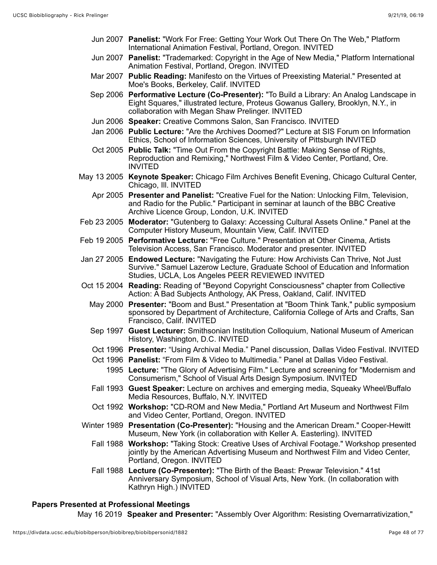|                  | Jun 2007 Panelist: "Work For Free: Getting Your Work Out There On The Web," Platform<br>International Animation Festival, Portland, Oregon. INVITED                                                                            |
|------------------|--------------------------------------------------------------------------------------------------------------------------------------------------------------------------------------------------------------------------------|
| Jun 2007         | Panelist: "Trademarked: Copyright in the Age of New Media," Platform International<br>Animation Festival, Portland, Oregon. INVITED                                                                                            |
|                  | Mar 2007 Public Reading: Manifesto on the Virtues of Preexisting Material." Presented at<br>Moe's Books, Berkeley, Calif. INVITED                                                                                              |
| Sep 2006         | Performative Lecture (Co-Presenter): "To Build a Library: An Analog Landscape in<br>Eight Squares," illustrated lecture, Proteus Gowanus Gallery, Brooklyn, N.Y., in<br>collaboration with Megan Shaw Prelinger. INVITED       |
|                  | Jun 2006 Speaker: Creative Commons Salon, San Francisco. INVITED                                                                                                                                                               |
|                  | Jan 2006 Public Lecture: "Are the Archives Doomed?" Lecture at SIS Forum on Information<br>Ethics, School of Information Sciences, University of Pittsburgh INVITED                                                            |
| Oct 2005         | <b>Public Talk: "Time Out From the Copyright Battle: Making Sense of Rights,</b><br>Reproduction and Remixing," Northwest Film & Video Center, Portland, Ore.<br><b>INVITED</b>                                                |
|                  | May 13 2005 Keynote Speaker: Chicago Film Archives Benefit Evening, Chicago Cultural Center,<br>Chicago, III. INVITED                                                                                                          |
|                  | Apr 2005 Presenter and Panelist: "Creative Fuel for the Nation: Unlocking Film, Television,<br>and Radio for the Public." Participant in seminar at launch of the BBC Creative<br>Archive Licence Group, London, U.K. INVITED  |
|                  | Feb 23 2005 Moderator: "Gutenberg to Galaxy: Accessing Cultural Assets Online." Panel at the<br>Computer History Museum, Mountain View, Calif. INVITED                                                                         |
|                  | Feb 19 2005 Performative Lecture: "Free Culture." Presentation at Other Cinema, Artists<br>Television Access, San Francisco. Moderator and presenter. INVITED                                                                  |
|                  | Jan 27 2005 Endowed Lecture: "Navigating the Future: How Archivists Can Thrive, Not Just<br>Survive." Samuel Lazerow Lecture, Graduate School of Education and Information<br>Studies, UCLA, Los Angeles PEER REVIEWED INVITED |
|                  | Oct 15 2004 Reading: Reading of "Beyond Copyright Consciousness" chapter from Collective<br>Action: A Bad Subjects Anthology, AK Press, Oakland, Calif. INVITED                                                                |
| May 2000         | <b>Presenter:</b> "Boom and Bust." Presentation at "Boom Think Tank," public symposium<br>sponsored by Department of Architecture, California College of Arts and Crafts, San<br>Francisco, Calif. INVITED                     |
| Sep 1997         | Guest Lecturer: Smithsonian Institution Colloquium, National Museum of American<br>History, Washington, D.C. INVITED                                                                                                           |
|                  | Oct 1996 Presenter: "Using Archival Media." Panel discussion, Dallas Video Festival. INVITED                                                                                                                                   |
|                  | Oct 1996 Panelist: "From Film & Video to Multimedia." Panel at Dallas Video Festival.                                                                                                                                          |
|                  | 1995 Lecture: "The Glory of Advertising Film." Lecture and screening for "Modernism and<br>Consumerism," School of Visual Arts Design Symposium. INVITED                                                                       |
|                  | Fall 1993 Guest Speaker: Lecture on archives and emerging media, Squeaky Wheel/Buffalo<br>Media Resources, Buffalo, N.Y. INVITED                                                                                               |
|                  | Oct 1992 Workshop: "CD-ROM and New Media," Portland Art Museum and Northwest Film<br>and Video Center, Portland, Oregon. INVITED                                                                                               |
|                  | Winter 1989 Presentation (Co-Presenter): "Housing and the American Dream." Cooper-Hewitt<br>Museum, New York (in collaboration with Keller A. Easterling). INVITED                                                             |
|                  | Fall 1988 Workshop: "Taking Stock: Creative Uses of Archival Footage." Workshop presented<br>jointly by the American Advertising Museum and Northwest Film and Video Center,<br>Portland, Oregon. INVITED                      |
| <b>Fall 1988</b> | Lecture (Co-Presenter): "The Birth of the Beast: Prewar Television." 41st<br>Anniversary Symposium, School of Visual Arts, New York. (In collaboration with<br>Kathryn High.) INVITED                                          |
|                  |                                                                                                                                                                                                                                |

# **Papers Presented at Professional Meetings**

May 16 2019 **Speaker and Presenter:** "Assembly Over Algorithm: Resisting Overnarrativization,"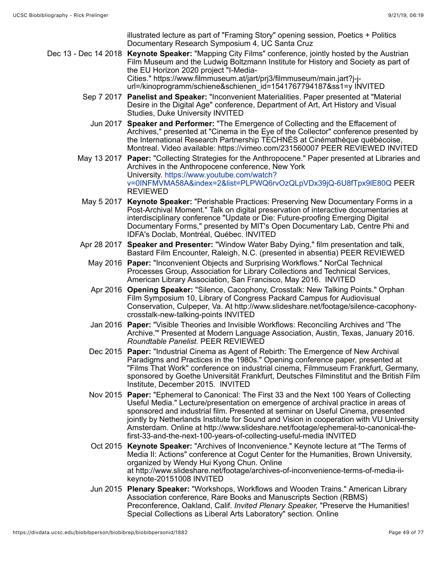illustrated lecture as part of "Framing Story" opening session, Poetics + Politics Documentary Research Symposium 4, UC Santa Cruz

- Dec 13 Dec 14 2018 **Keynote Speaker:** "Mapping City Films" conference, jointly hosted by the Austrian Film Museum and the Ludwig Boltzmann Institute for History and Society as part of the EU Horizon 2020 project "I-Media-Cities." https://www.filmmuseum.at/jart/prj3/filmmuseum/main.jart?j-jurl=/kinoprogramm/schiene&schienen\_id=1541767794187&ss1=y INVITED
	- Sep 7 2017 **Panelist and Speaker:** "Inconvenient Materialities. Paper presented at "Material Desire in the Digital Age" conference, Department of Art, Art History and Visual Studies, Duke University INVITED
		- Jun 2017 **Speaker and Performer:** "The Emergence of Collecting and the Effacement of Archives," presented at "Cinema in the Eye of the Collector" conference presented by the International Research Partnership TECHNÈS at Cinémathèque québécoise, Montreal. Video available: https://vimeo.com/231560007 PEER REVIEWED INVITED
	- May 13 2017 **Paper:** "Collecting Strategies for the Anthropocene." Paper presented at Libraries and Archives in the Anthropocene conference, New York University. https://www.youtube.com/watch? v=0INFMVMA58A&index=2&list=PLPWQ6rvOzQLpVDx39jQ-6U8fTpx9lE80Q PEER REVIEWED
	- May 5 2017 **Keynote Speaker:** "Perishable Practices: Preserving New Documentary Forms in a Post-Archival Moment." Talk on digital preservation of interactive documentaries at interdisciplinary conference "Update or Die: Future-proofing Emerging Digital Documentary Forms," presented by MIT's Open Documentary Lab, Centre Phi and IDFA's Doclab, Montréal, Québec. INVITED
	- Apr 28 2017 **Speaker and Presenter:** "Window Water Baby Dying," film presentation and talk, Bastard Film Encounter, Raleigh, N.C. (presented in absentia) PEER REVIEWED
		- May 2016 **Paper:** "Inconvenient Objects and Surprising Workflows." NorCal Technical Processes Group, Association for Library Collections and Technical Services, American Library Association, San Francisco, May 2016. INVITED
		- Apr 2016 **Opening Speaker:** "Silence, Cacophony, Crosstalk: New Talking Points." Orphan Film Symposium 10, Library of Congress Packard Campus for Audiovisual Conservation, Culpeper, Va. At http://www.slideshare.net/footage/silence-cacophonycrosstalk-new-talking-points INVITED
		- Jan 2016 **Paper:** "Visible Theories and Invisible Workflows: Reconciling Archives and 'The Archive.'" Presented at Modern Language Association, Austin, Texas, January 2016. *Roundtable Panelist.* PEER REVIEWED
		- Dec 2015 **Paper:** "Industrial Cinema as Agent of Rebirth: The Emergence of New Archival Paradigms and Practices in the 1980s." Opening conference paper, presented at "Films That Work" conference on industrial cinema, Filmmuseum Frankfurt, Germany, sponsored by Goethe Universität Frankfurt, Deutsches Filminstitut and the British Film Institute, December 2015. INVITED
		- Nov 2015 **Paper:** "Ephemeral to Canonical: The First 33 and the Next 100 Years of Collecting Useful Media." Lecture/presentation on emergence of archival practice in areas of sponsored and industrial film. Presented at seminar on Useful Cinema, presented jointly by Netherlands Institute for Sound and Vision in cooperation with VU University Amsterdam. Online at http://www.slideshare.net/footage/ephemeral-to-canonical-thefirst-33-and-the-next-100-years-of-collecting-useful-media INVITED
		- Oct 2015 **Keynote Speaker:** "Archives of Inconvenience." Keynote lecture at "The Terms of Media II: Actions" conference at Cogut Center for the Humanities, Brown University, organized by Wendy Hui Kyong Chun. Online at http://www.slideshare.net/footage/archives-of-inconvenience-terms-of-media-iikeynote-20151008 INVITED
		- Jun 2015 **Plenary Speaker:** "Workshops, Workflows and Wooden Trains." American Library Association conference, Rare Books and Manuscripts Section (RBMS) Preconference, Oakland, Calif. *Invited Plenary Speaker,* "Preserve the Humanities! Special Collections as Liberal Arts Laboratory" section. Online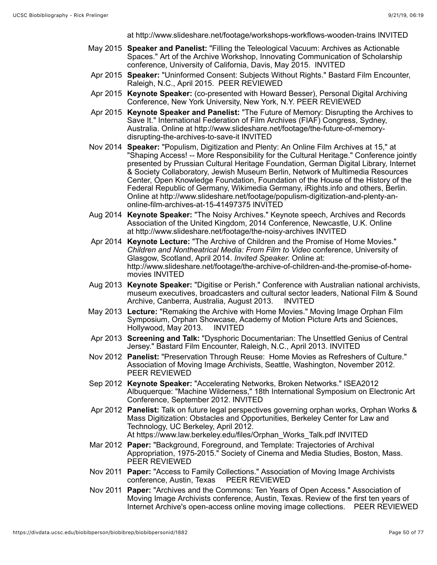at http://www.slideshare.net/footage/workshops-workflows-wooden-trains INVITED

- May 2015 **Speaker and Panelist:** "Filling the Teleological Vacuum: Archives as Actionable Spaces." Art of the Archive Workshop, Innovating Communication of Scholarship conference, University of California, Davis, May 2015. INVITED
- Apr 2015 **Speaker:** "Uninformed Consent: Subjects Without Rights." Bastard Film Encounter, Raleigh, N.C., April 2015. PEER REVIEWED
- Apr 2015 **Keynote Speaker:** (co-presented with Howard Besser), Personal Digital Archiving Conference, New York University, New York, N.Y. PEER REVIEWED
- Apr 2015 **Keynote Speaker and Panelist:** "The Future of Memory: Disrupting the Archives to Save It." International Federation of Film Archives (FIAF) Congress, Sydney, Australia. Online at http://www.slideshare.net/footage/the-future-of-memorydisrupting-the-archives-to-save-it INVITED
- Nov 2014 **Speaker:** "Populism, Digitization and Plenty: An Online Film Archives at 15," at "Shaping Access! -- More Responsibility for the Cultural Heritage." Conference jointly presented by Prussian Cultural Heritage Foundation, German Digital Library, Internet & Society Collaboratory, Jewish Museum Berlin, Network of Multimedia Resources Center, Open Knowledge Foundation, Foundation of the House of the History of the Federal Republic of Germany, Wikimedia Germany, iRights.info and others, Berlin. Online at http://www.slideshare.net/footage/populism-digitization-and-plenty-anonline-film-archives-at-15-41497375 INVITED
- Aug 2014 **Keynote Speaker:** "The Noisy Archives." Keynote speech, Archives and Records Association of the United Kingdom, 2014 Conference, Newcastle, U.K. Online at http://www.slideshare.net/footage/the-noisy-archives INVITED
- Apr 2014 **Keynote Lecture:** "The Archive of Children and the Promise of Home Movies." *Children and Nontheatrical Media: From Film to Video* conference, University of Glasgow, Scotland, April 2014. *Invited Speaker.* Online at: http://www.slideshare.net/footage/the-archive-of-children-and-the-promise-of-homemovies INVITED
- Aug 2013 **Keynote Speaker:** "Digitise or Perish." Conference with Australian national archivists, museum executives, broadcasters and cultural sector leaders, National Film & Sound Archive, Canberra, Australia, August 2013. INVITED
- May 2013 **Lecture:** "Remaking the Archive with Home Movies." Moving Image Orphan Film Symposium, Orphan Showcase, Academy of Motion Picture Arts and Sciences, Hollywood, May 2013. INVITED
- Apr 2013 **Screening and Talk:** "Dysphoric Documentarian: The Unsettled Genius of Central Jersey." Bastard Film Encounter, Raleigh, N.C., April 2013. INVITED
- Nov 2012 **Panelist:** "Preservation Through Reuse: Home Movies as Refreshers of Culture." Association of Moving Image Archivists, Seattle, Washington, November 2012. PEER REVIEWED
- Sep 2012 **Keynote Speaker:** "Accelerating Networks, Broken Networks." ISEA2012 Albuquerque: "Machine Wilderness," 18th International Symposium on Electronic Art Conference, September 2012. INVITED
- Apr 2012 **Panelist:** Talk on future legal perspectives governing orphan works, Orphan Works & Mass Digitization: Obstacles and Opportunities, Berkeley Center for Law and Technology, UC Berkeley, April 2012. At https://www.law.berkeley.edu/files/Orphan\_Works\_Talk.pdf INVITED
- Mar 2012 **Paper:** "Background, Foreground, and Template: Trajectories of Archival Appropriation, 1975-2015." Society of Cinema and Media Studies, Boston, Mass. PEER REVIEWED
- Nov 2011 **Paper:** "Access to Family Collections." Association of Moving Image Archivists conference, Austin, Texas PEER REVIEWED
- Nov 2011 **Paper:** "Archives and the Commons: Ten Years of Open Access." Association of Moving Image Archivists conference, Austin, Texas. Review of the first ten years of Internet Archive's open-access online moving image collections. PEER REVIEWED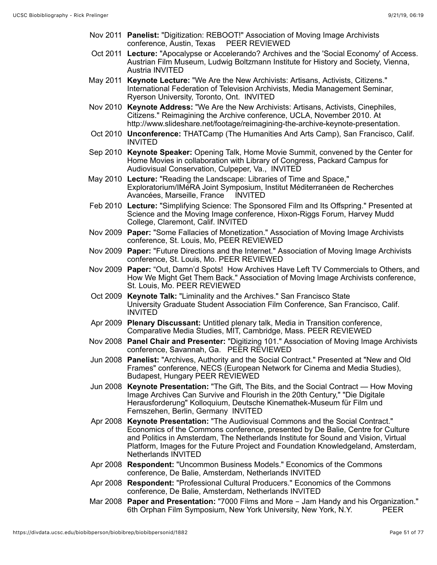- Nov 2011 **Panelist:** "Digitization: REBOOT!" Association of Moving Image Archivists conference, Austin, Texas PEER REVIEWED
- Oct 2011 **Lecture:** "Apocalypse or Accelerando? Archives and the 'Social Economy' of Access. Austrian Film Museum, Ludwig Boltzmann Institute for History and Society, Vienna, Austria INVITED
- May 2011 **Keynote Lecture:** "We Are the New Archivists: Artisans, Activists, Citizens." International Federation of Television Archivists, Media Management Seminar, Ryerson University, Toronto, Ont. INVITED
- Nov 2010 **Keynote Address:** "We Are the New Archivists: Artisans, Activists, Cinephiles, Citizens." Reimagining the Archive conference, UCLA, November 2010. At http://www.slideshare.net/footage/reimagining-the-archive-keynote-presentation.
- Oct 2010 **Unconference:** THATCamp (The Humanities And Arts Camp), San Francisco, Calif. INVITED
- Sep 2010 **Keynote Speaker:** Opening Talk, Home Movie Summit, convened by the Center for Home Movies in collaboration with Library of Congress, Packard Campus for Audiovisual Conservation, Culpeper, Va., INVITED
- May 2010 **Lecture:** "Reading the Landscape: Libraries of Time and Space," Exploratorium/IMéRA Joint Symposium, Institut Méditerranéen de Recherches Avancées, Marseille, France INVITED
- Feb 2010 **Lecture:** "Simplifying Science: The Sponsored Film and Its Offspring." Presented at Science and the Moving Image conference, Hixon-Riggs Forum, Harvey Mudd College, Claremont, Calif. INVITED
- Nov 2009 **Paper:** "Some Fallacies of Monetization." Association of Moving Image Archivists conference, St. Louis, Mo, PEER REVIEWED
- Nov 2009 **Paper:** "Future Directions and the Internet." Association of Moving Image Archivists conference, St. Louis, Mo. PEER REVIEWED
- Nov 2009 **Paper:** "Out, Damn'd Spots! How Archives Have Left TV Commercials to Others, and How We Might Get Them Back." Association of Moving Image Archivists conference, St. Louis, Mo. PEER REVIEWED
- Oct 2009 **Keynote Talk:** "Liminality and the Archives." San Francisco State University Graduate Student Association Film Conference, San Francisco, Calif. INVITED
- Apr 2009 **Plenary Discussant:** Untitled plenary talk, Media in Transition conference, Comparative Media Studies, MIT, Cambridge, Mass. PEER REVIEWED
- Nov 2008 **Panel Chair and Presenter:** "Digitizing 101." Association of Moving Image Archivists conference, Savannah, Ga. PEER REVIEWED
- Jun 2008 **Panelist:** "Archives, Authority and the Social Contract." Presented at "New and Old Frames" conference, NECS (European Network for Cinema and Media Studies), Budapest, Hungary PEER REVIEWED
- Jun 2008 **Keynote Presentation:** "The Gift, The Bits, and the Social Contract How Moving Image Archives Can Survive and Flourish in the 20th Century," "Die Digitale Herausforderung" Kolloquium, Deutsche Kinemathek-Museum für Film und Fernszehen, Berlin, Germany INVITED
- Apr 2008 **Keynote Presentation:** "The Audiovisual Commons and the Social Contract." Economics of the Commons conference, presented by De Balie, Centre for Culture and Politics in Amsterdam, The Netherlands Institute for Sound and Vision, Virtual Platform, Images for the Future Project and Foundation Knowledgeland, Amsterdam, Netherlands INVITED
- Apr 2008 **Respondent:** "Uncommon Business Models." Economics of the Commons conference, De Balie, Amsterdam, Netherlands INVITED
- Apr 2008 **Respondent:** "Professional Cultural Producers." Economics of the Commons conference, De Balie, Amsterdam, Netherlands INVITED
- Mar 2008 **Paper and Presentation:** "7000 Films and More Jam Handy and his Organization." 6th Orphan Film Symposium, New York University, New York, N.Y.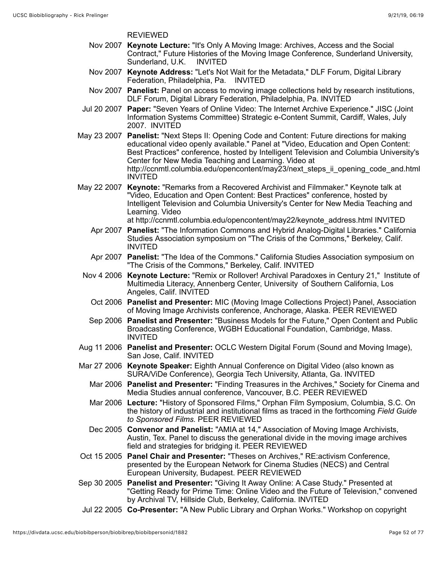REVIEWED

- Nov 2007 **Keynote Lecture:** "It's Only A Moving Image: Archives, Access and the Social Contract," Future Histories of the Moving Image Conference, Sunderland University, Sunderland, U.K. INVITED
- Nov 2007 **Keynote Address:** "Let's Not Wait for the Metadata," DLF Forum, Digital Library Federation, Philadelphia, Pa. INVITED
- Nov 2007 **Panelist:** Panel on access to moving image collections held by research institutions, DLF Forum, Digital Library Federation, Philadelphia, Pa. INVITED
- Jul 20 2007 **Paper:** "Seven Years of Online Video: The Internet Archive Experience." JISC (Joint Information Systems Committee) Strategic e-Content Summit, Cardiff, Wales, July 2007. INVITED
- May 23 2007 **Panelist:** "Next Steps II: Opening Code and Content: Future directions for making educational video openly available." Panel at "Video, Education and Open Content: Best Practices" conference, hosted by Intelligent Television and Columbia University's Center for New Media Teaching and Learning. Video at http://ccnmtl.columbia.edu/opencontent/may23/next\_steps\_ii\_opening\_code\_and.html INVITED
- May 22 2007 **Keynote:** "Remarks from a Recovered Archivist and Filmmaker." Keynote talk at "Video, Education and Open Content: Best Practices" conference, hosted by Intelligent Television and Columbia University's Center for New Media Teaching and Learning. Video

at http://ccnmtl.columbia.edu/opencontent/may22/keynote\_address.html INVITED

- Apr 2007 **Panelist:** "The Information Commons and Hybrid Analog-Digital Libraries." California Studies Association symposium on "The Crisis of the Commons," Berkeley, Calif. INVITED
- Apr 2007 **Panelist:** "The Idea of the Commons." California Studies Association symposium on "The Crisis of the Commons," Berkeley, Calif. INVITED
- Nov 4 2006 **Keynote Lecture:** "Remix or Rollover! Archival Paradoxes in Century 21," Institute of Multimedia Literacy, Annenberg Center, University of Southern California, Los Angeles, Calif. INVITED
	- Oct 2006 **Panelist and Presenter:** MIC (Moving Image Collections Project) Panel, Association of Moving Image Archivists conference, Anchorage, Alaska. PEER REVIEWED
	- Sep 2006 **Panelist and Presenter:** "Business Models for the Future," Open Content and Public Broadcasting Conference, WGBH Educational Foundation, Cambridge, Mass. INVITED
- Aug 11 2006 **Panelist and Presenter:** OCLC Western Digital Forum (Sound and Moving Image), San Jose, Calif. INVITED
- Mar 27 2006 **Keynote Speaker:** Eighth Annual Conference on Digital Video (also known as SURA/ViDe Conference), Georgia Tech University, Atlanta, Ga. INVITED
	- Mar 2006 **Panelist and Presenter:** "Finding Treasures in the Archives," Society for Cinema and Media Studies annual conference, Vancouver, B.C. PEER REVIEWED
	- Mar 2006 **Lecture:** "History of Sponsored Films," Orphan Film Symposium, Columbia, S.C. On the history of industrial and institutional films as traced in the forthcoming *Field Guide to Sponsored Films.* PEER REVIEWED
	- Dec 2005 **Convenor and Panelist:** "AMIA at 14," Association of Moving Image Archivists, Austin, Tex. Panel to discuss the generational divide in the moving image archives field and strategies for bridging it. PEER REVIEWED
- Oct 15 2005 **Panel Chair and Presenter:** "Theses on Archives," RE:activism Conference, presented by the European Network for Cinema Studies (NECS) and Central European University, Budapest. PEER REVIEWED
- Sep 30 2005 **Panelist and Presenter:** "Giving It Away Online: A Case Study." Presented at "Getting Ready for Prime Time: Online Video and the Future of Television," convened by Archival TV, Hillside Club, Berkeley, California. INVITED
- Jul 22 2005 **Co-Presenter:** "A New Public Library and Orphan Works." Workshop on copyright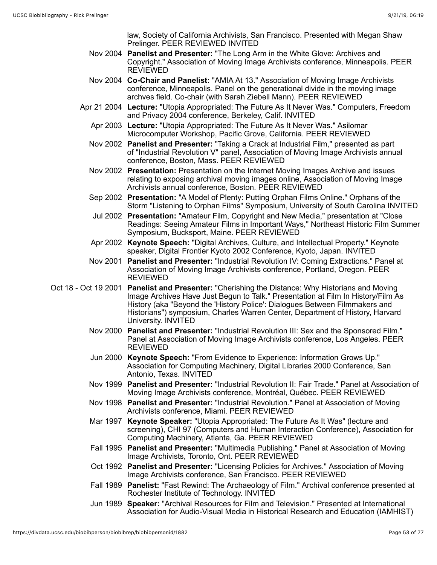law, Society of California Archivists, San Francisco. Presented with Megan Shaw Prelinger. PEER REVIEWED INVITED

- Nov 2004 **Panelist and Presenter:** "The Long Arm in the White Glove: Archives and Copyright." Association of Moving Image Archivists conference, Minneapolis. PEER REVIEWED
- Nov 2004 **Co-Chair and Panelist:** "AMIA At 13." Association of Moving Image Archivists conference, Minneapolis. Panel on the generational divide in the moving image archves field. Co-chair (with Sarah Ziebell Mann). PEER REVIEWED
- Apr 21 2004 **Lecture:** "Utopia Appropriated: The Future As It Never Was." Computers, Freedom and Privacy 2004 conference, Berkeley, Calif. INVITED
	- Apr 2003 **Lecture:** "Utopia Appropriated: The Future As It Never Was." Asilomar Microcomputer Workshop, Pacific Grove, California. PEER REVIEWED
	- Nov 2002 **Panelist and Presenter:** "Taking a Crack at Industrial Film," presented as part of "Industrial Revolution V" panel, Association of Moving Image Archivists annual conference, Boston, Mass. PEER REVIEWED
	- Nov 2002 **Presentation:** Presentation on the Internet Moving Images Archive and issues relating to exposing archival moving images online, Association of Moving Image Archivists annual conference, Boston. PEER REVIEWED
	- Sep 2002 **Presentation:** "A Model of Plenty: Putting Orphan Films Online." Orphans of the Storm "Listening to Orphan Films" Symposium, University of South Carolina INVITED
	- Jul 2002 **Presentation:** "Amateur Film, Copyright and New Media," presentation at "Close Readings: Seeing Amateur Films in Important Ways," Northeast Historic Film Summer Symposium, Bucksport, Maine. PEER REVIEWED
	- Apr 2002 **Keynote Speech:** "Digital Archives, Culture, and Intellectual Property." Keynote speaker, Digital Frontier Kyoto 2002 Conference, Kyoto, Japan. INVITED
	- Nov 2001 **Panelist and Presenter:** "Industrial Revolution IV: Coming Extractions." Panel at Association of Moving Image Archivists conference, Portland, Oregon. PEER REVIEWED
- Oct 18 Oct 19 2001 **Panelist and Presenter:** "Cherishing the Distance: Why Historians and Moving Image Archives Have Just Begun to Talk." Presentation at Film In History/Film As History (aka "Beyond the 'History Police': Dialogues Between Filmmakers and Historians") symposium, Charles Warren Center, Department of History, Harvard University. INVITED
	- Nov 2000 **Panelist and Presenter:** "Industrial Revolution III: Sex and the Sponsored Film." Panel at Association of Moving Image Archivists conference, Los Angeles. PEER REVIEWED
	- Jun 2000 **Keynote Speech:** "From Evidence to Experience: Information Grows Up." Association for Computing Machinery, Digital Libraries 2000 Conference, San Antonio, Texas. INVITED
	- Nov 1999 **Panelist and Presenter:** "Industrial Revolution II: Fair Trade." Panel at Association of Moving Image Archivists conference, Montréal, Québec. PEER REVIEWED
	- Nov 1998 **Panelist and Presenter:** "Industrial Revolution." Panel at Association of Moving Archivists conference, Miami. PEER REVIEWED
	- Mar 1997 **Keynote Speaker:** "Utopia Appropriated: The Future As It Was" (lecture and screening), CHI 97 (Computers and Human Interaction Conference), Association for Computing Machinery, Atlanta, Ga. PEER REVIEWED
	- Fall 1995 **Panelist and Presenter:** "Multimedia Publishing." Panel at Association of Moving Image Archivists, Toronto, Ont. PEER REVIEWED
	- Oct 1992 **Panelist and Presenter:** "Licensing Policies for Archives." Association of Moving Image Archivists conference, San Francisco. PEER REVIEWED
	- Fall 1989 **Panelist:** "Fast Rewind: The Archaeology of Film." Archival conference presented at Rochester Institute of Technology. INVITED
	- Jun 1989 **Speaker:** "Archival Resources for Film and Television." Presented at International Association for Audio-Visual Media in Historical Research and Education (IAMHIST)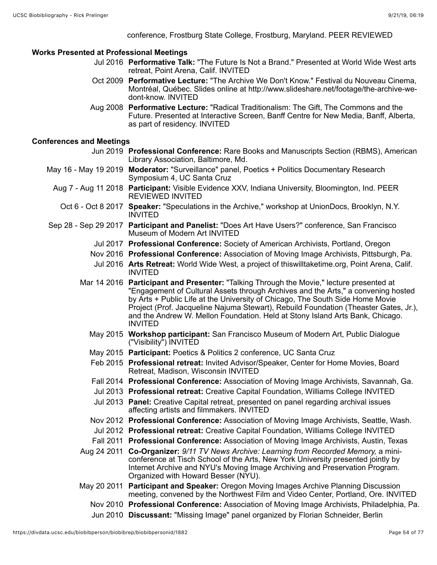#### conference, Frostburg State College, Frostburg, Maryland. PEER REVIEWED

#### **Works Presented at Professional Meetings**

- Jul 2016 **Performative Talk:** "The Future Is Not a Brand." Presented at World Wide West arts retreat, Point Arena, Calif. INVITED
- Oct 2009 **Performative Lecture:** "The Archive We Don't Know." Festival du Nouveau Cinema, Montréal, Québec. Slides online at http://www.slideshare.net/footage/the-archive-wedont-know. INVITED
- Aug 2008 **Performative Lecture:** "Radical Traditionalism: The Gift, The Commons and the Future. Presented at Interactive Screen, Banff Centre for New Media, Banff, Alberta, as part of residency. INVITED

#### **Conferences and Meetings**

- Jun 2019 **Professional Conference:** Rare Books and Manuscripts Section (RBMS), American Library Association, Baltimore, Md.
- May 16 May 19 2019 **Moderator:** "Surveillance" panel, Poetics + Politics Documentary Research Symposium 4, UC Santa Cruz
	- Aug 7 Aug 11 2018 **Participant:** Visible Evidence XXV, Indiana University, Bloomington, Ind. PEER REVIEWED INVITED
		- Oct 6 Oct 8 2017 **Speaker:** "Speculations in the Archive," workshop at UnionDocs, Brooklyn, N.Y. INVITED
- Sep 28 Sep 29 2017 **Participant and Panelist:** "Does Art Have Users?" conference, San Francisco Museum of Modern Art INVITED
	- Jul 2017 **Professional Conference:** Society of American Archivists, Portland, Oregon
	- Nov 2016 **Professional Conference:** Association of Moving Image Archivists, Pittsburgh, Pa.
	- Jul 2016 **Arts Retreat:** World Wide West, a project of thiswilltaketime.org, Point Arena, Calif. INVITED
	- Mar 14 2016 **Participant and Presenter:** "Talking Through the Movie," lecture presented at "Engagement of Cultural Assets through Archives and the Arts," a convening hosted by Arts + Public Life at the University of Chicago, The South Side Home Movie Project (Prof. Jacqueline Najuma Stewart), Rebuild Foundation (Theaster Gates, Jr.), and the Andrew W. Mellon Foundation. Held at Stony Island Arts Bank, Chicago. INVITED
		- May 2015 **Workshop participant:** San Francisco Museum of Modern Art, Public Dialogue ("Visibility") INVITED
		- May 2015 **Participant:** Poetics & Politics 2 conference, UC Santa Cruz
		- Feb 2015 **Professional retreat:** Invited Advisor/Speaker, Center for Home Movies, Board Retreat, Madison, Wisconsin INVITED
		- Fall 2014 **Professional Conference:** Association of Moving Image Archivists, Savannah, Ga.
		- Jul 2013 **Professional retreat:** Creative Capital Foundation, Williams College INVITED
		- Jul 2013 **Panel:** Creative Capital retreat, presented on panel regarding archival issues affecting artists and filmmakers. INVITED
		- Nov 2012 **Professional Conference:** Association of Moving Image Archivists, Seattle, Wash.
		- Jul 2012 **Professional retreat:** Creative Capital Foundation, Williams College INVITED
		- Fall 2011 **Professional Conference:** Association of Moving Image Archivists, Austin, Texas
	- Aug 24 2011 **Co-Organizer:** *9/11 TV News Archive: Learning from Recorded Memory,* a miniconference at Tisch School of the Arts, New York University presented jointly by Internet Archive and NYU's Moving Image Archiving and Preservation Program. Organized with Howard Besser (NYU).
	- May 20 2011 **Participant and Speaker:** Oregon Moving Images Archive Planning Discussion meeting, convened by the Northwest Film and Video Center, Portland, Ore. INVITED
		- Nov 2010 **Professional Conference:** Association of Moving Image Archivists, Philadelphia, Pa.
		- Jun 2010 **Discussant:** "Missing Image" panel organized by Florian Schneider, Berlin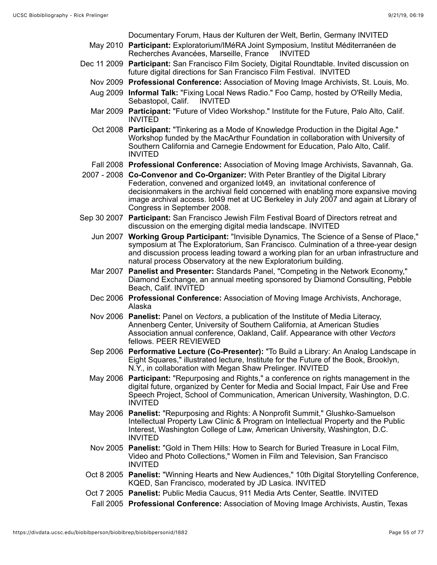Documentary Forum, Haus der Kulturen der Welt, Berlin, Germany INVITED

- May 2010 **Participant:** Exploratorium/IMéRA Joint Symposium, Institut Méditerranéen de Recherches Avancées, Marseille, France INVITED
- Dec 11 2009 **Participant:** San Francisco Film Society, Digital Roundtable. Invited discussion on future digital directions for San Francisco Film Festival. INVITED
	- Nov 2009 **Professional Conference:** Association of Moving Image Archivists, St. Louis, Mo.
	- Aug 2009 **Informal Talk:** "Fixing Local News Radio." Foo Camp, hosted by O'Reilly Media, Sebastopol, Calif.
	- Mar 2009 **Participant:** "Future of Video Workshop." Institute for the Future, Palo Alto, Calif. INVITED
	- Oct 2008 **Participant:** "Tinkering as a Mode of Knowledge Production in the Digital Age." Workshop funded by the MacArthur Foundation in collaboration with University of Southern California and Carnegie Endowment for Education, Palo Alto, Calif. INVITED
	- Fall 2008 **Professional Conference:** Association of Moving Image Archivists, Savannah, Ga.
- 2007 2008 **Co-Convenor and Co-Organizer:** With Peter Brantley of the Digital Library Federation, convened and organized lot49, an invitational conference of decisionmakers in the archival field concerned with enabling more expansive moving image archival access. lot49 met at UC Berkeley in July 2007 and again at Library of Congress in September 2008.
- Sep 30 2007 **Participant:** San Francisco Jewish Film Festival Board of Directors retreat and discussion on the emerging digital media landscape. INVITED
	- Jun 2007 **Working Group Participant:** "Invisible Dynamics, The Science of a Sense of Place," symposium at The Exploratorium, San Francisco. Culmination of a three-year design and discussion process leading toward a working plan for an urban infrastructure and natural process Observatory at the new Exploratorium building.
	- Mar 2007 **Panelist and Presenter:** Standards Panel, "Competing in the Network Economy," Diamond Exchange, an annual meeting sponsored by Diamond Consulting, Pebble Beach, Calif. INVITED
	- Dec 2006 **Professional Conference:** Association of Moving Image Archivists, Anchorage, Alaska
	- Nov 2006 **Panelist:** Panel on *Vectors*, a publication of the Institute of Media Literacy, Annenberg Center, University of Southern California, at American Studies Association annual conference, Oakland, Calif. Appearance with other *Vectors* fellows. PEER REVIEWED
	- Sep 2006 **Performative Lecture (Co-Presenter):** "To Build a Library: An Analog Landscape in Eight Squares," illustrated lecture, Institute for the Future of the Book, Brooklyn, N.Y., in collaboration with Megan Shaw Prelinger. INVITED
	- May 2006 **Participant:** "Repurposing and Rights," a conference on rights management in the digital future, organized by Center for Media and Social Impact, Fair Use and Free Speech Project, School of Communication, American University, Washington, D.C. INVITED
	- May 2006 **Panelist:** "Repurposing and Rights: A Nonprofit Summit," Glushko-Samuelson Intellectual Property Law Clinic & Program on Intellectual Property and the Public Interest, Washington College of Law, American University, Washington, D.C. INVITED
	- Nov 2005 **Panelist:** "Gold in Them Hills: How to Search for Buried Treasure in Local Film, Video and Photo Collections," Women in Film and Television, San Francisco INVITED
	- Oct 8 2005 **Panelist:** "Winning Hearts and New Audiences," 10th Digital Storytelling Conference, KQED, San Francisco, moderated by JD Lasica. INVITED
	- Oct 7 2005 **Panelist:** Public Media Caucus, 911 Media Arts Center, Seattle. INVITED
		- Fall 2005 **Professional Conference:** Association of Moving Image Archivists, Austin, Texas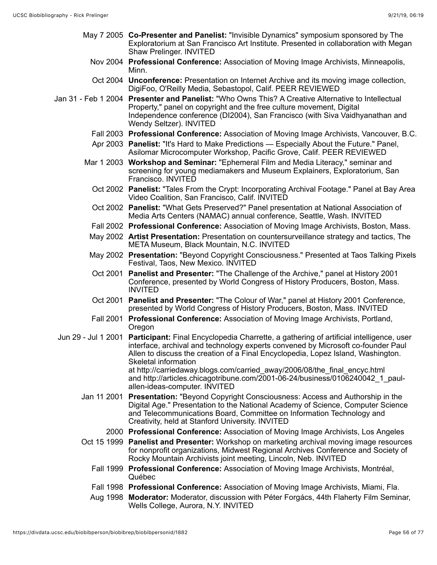|                     | May 7 2005 Co-Presenter and Panelist: "Invisible Dynamics" symposium sponsored by The<br>Exploratorium at San Francisco Art Institute. Presented in collaboration with Megan<br>Shaw Prelinger. INVITED                                                                                                                                                                                                                                                                                                    |
|---------------------|------------------------------------------------------------------------------------------------------------------------------------------------------------------------------------------------------------------------------------------------------------------------------------------------------------------------------------------------------------------------------------------------------------------------------------------------------------------------------------------------------------|
|                     | Nov 2004 Professional Conference: Association of Moving Image Archivists, Minneapolis,<br>Minn.                                                                                                                                                                                                                                                                                                                                                                                                            |
|                     | Oct 2004 Unconference: Presentation on Internet Archive and its moving image collection,<br>DigiFoo, O'Reilly Media, Sebastopol, Calif. PEER REVIEWED                                                                                                                                                                                                                                                                                                                                                      |
| Jan 31 - Feb 1 2004 | Presenter and Panelist: "Who Owns This? A Creative Alternative to Intellectual<br>Property," panel on copyright and the free culture movement, Digital<br>Independence conference (DI2004), San Francisco (with Siva Vaidhyanathan and<br>Wendy Seltzer). INVITED                                                                                                                                                                                                                                          |
|                     | Fall 2003 Professional Conference: Association of Moving Image Archivists, Vancouver, B.C.                                                                                                                                                                                                                                                                                                                                                                                                                 |
|                     | Apr 2003 Panelist: "It's Hard to Make Predictions - Especially About the Future." Panel,<br>Asilomar Microcomputer Workshop, Pacific Grove, Calif. PEER REVIEWED                                                                                                                                                                                                                                                                                                                                           |
|                     | Mar 1 2003 Workshop and Seminar: "Ephemeral Film and Media Literacy," seminar and<br>screening for young mediamakers and Museum Explainers, Exploratorium, San<br>Francisco. INVITED                                                                                                                                                                                                                                                                                                                       |
|                     | Oct 2002 Panelist: "Tales From the Crypt: Incorporating Archival Footage." Panel at Bay Area<br>Video Coalition, San Francisco, Calif. INVITED                                                                                                                                                                                                                                                                                                                                                             |
|                     | Oct 2002 Panelist: "What Gets Preserved?" Panel presentation at National Association of<br>Media Arts Centers (NAMAC) annual conference, Seattle, Wash. INVITED                                                                                                                                                                                                                                                                                                                                            |
|                     | Fall 2002 Professional Conference: Association of Moving Image Archivists, Boston, Mass.                                                                                                                                                                                                                                                                                                                                                                                                                   |
|                     | May 2002 Artist Presentation: Presentation on countersurveillance strategy and tactics, The<br>META Museum, Black Mountain, N.C. INVITED                                                                                                                                                                                                                                                                                                                                                                   |
|                     | May 2002 Presentation: "Beyond Copyright Consciousness." Presented at Taos Talking Pixels<br>Festival, Taos, New Mexico. INVITED                                                                                                                                                                                                                                                                                                                                                                           |
|                     | Oct 2001 Panelist and Presenter: "The Challenge of the Archive," panel at History 2001<br>Conference, presented by World Congress of History Producers, Boston, Mass.<br><b>INVITED</b>                                                                                                                                                                                                                                                                                                                    |
|                     | Oct 2001 Panelist and Presenter: "The Colour of War," panel at History 2001 Conference,<br>presented by World Congress of History Producers, Boston, Mass. INVITED                                                                                                                                                                                                                                                                                                                                         |
|                     | Fall 2001 Professional Conference: Association of Moving Image Archivists, Portland,<br>Oregon                                                                                                                                                                                                                                                                                                                                                                                                             |
|                     | Jun 29 - Jul 1 2001 Participant: Final Encyclopedia Charrette, a gathering of artificial intelligence, user<br>interface, archival and technology experts convened by Microsoft co-founder Paul<br>Allen to discuss the creation of a Final Encyclopedia, Lopez Island, Washington.<br>Skeletal information<br>at http://carriedaway.blogs.com/carried away/2006/08/the final encyc.html<br>and http://articles.chicagotribune.com/2001-06-24/business/0106240042_1_paul-<br>allen-ideas-computer. INVITED |
|                     | Jan 11 2001 Presentation: "Beyond Copyright Consciousness: Access and Authorship in the<br>Digital Age." Presentation to the National Academy of Science, Computer Science<br>and Telecommunications Board, Committee on Information Technology and<br>Creativity, held at Stanford University. INVITED                                                                                                                                                                                                    |
|                     | 2000 Professional Conference: Association of Moving Image Archivists, Los Angeles                                                                                                                                                                                                                                                                                                                                                                                                                          |
|                     | Oct 15 1999 Panelist and Presenter: Workshop on marketing archival moving image resources<br>for nonprofit organizations, Midwest Regional Archives Conference and Society of<br>Rocky Mountain Archivists joint meeting, Lincoln, Neb. INVITED                                                                                                                                                                                                                                                            |
|                     | Fall 1999 Professional Conference: Association of Moving Image Archivists, Montréal,<br>Québec                                                                                                                                                                                                                                                                                                                                                                                                             |
|                     | Fall 1998 Professional Conference: Association of Moving Image Archivists, Miami, Fla.                                                                                                                                                                                                                                                                                                                                                                                                                     |
|                     | Aug 1998 Moderator: Moderator, discussion with Péter Forgács, 44th Flaherty Film Seminar,<br>Wells College, Aurora, N.Y. INVITED                                                                                                                                                                                                                                                                                                                                                                           |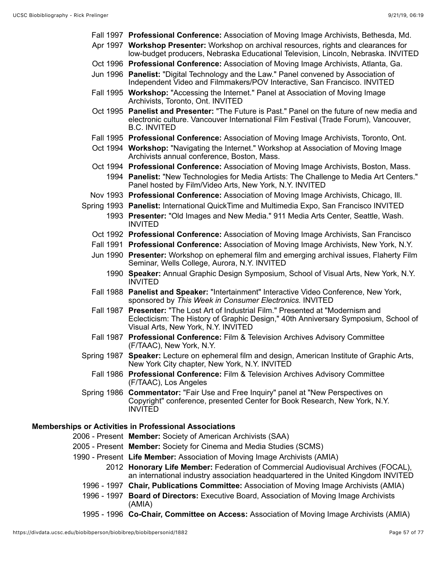- Fall 1997 **Professional Conference:** Association of Moving Image Archivists, Bethesda, Md.
- Apr 1997 **Workshop Presenter:** Workshop on archival resources, rights and clearances for low-budget producers, Nebraska Educational Television, Lincoln, Nebraska. INVITED
- Oct 1996 **Professional Conference:** Association of Moving Image Archivists, Atlanta, Ga.
- Jun 1996 **Panelist:** "Digital Technology and the Law." Panel convened by Association of Independent Video and Filmmakers/POV Interactive, San Francisco. INVITED
- Fall 1995 **Workshop:** "Accessing the Internet." Panel at Association of Moving Image Archivists, Toronto, Ont. INVITED
- Oct 1995 **Panelist and Presenter:** "The Future is Past." Panel on the future of new media and electronic culture. Vancouver International Film Festival (Trade Forum), Vancouver, B.C. INVITED
- Fall 1995 **Professional Conference:** Association of Moving Image Archivists, Toronto, Ont.
- Oct 1994 **Workshop:** "Navigating the Internet." Workshop at Association of Moving Image Archivists annual conference, Boston, Mass.
- Oct 1994 **Professional Conference:** Association of Moving Image Archivists, Boston, Mass.
- 1994 **Panelist:** "New Technologies for Media Artists: The Challenge to Media Art Centers." Panel hosted by Film/Video Arts, New York, N.Y. INVITED
- Nov 1993 **Professional Conference:** Association of Moving Image Archivists, Chicago, Ill.
- Spring 1993 **Panelist:** International QuickTime and Multimedia Expo, San Francisco INVITED
	- 1993 **Presenter:** "Old Images and New Media." 911 Media Arts Center, Seattle, Wash. INVITED
	- Oct 1992 **Professional Conference:** Association of Moving Image Archivists, San Francisco
	- Fall 1991 **Professional Conference:** Association of Moving Image Archivists, New York, N.Y.
	- Jun 1990 **Presenter:** Workshop on ephemeral film and emerging archival issues, Flaherty Film Seminar, Wells College, Aurora, N.Y. INVITED
		- 1990 **Speaker:** Annual Graphic Design Symposium, School of Visual Arts, New York, N.Y. INVITED
	- Fall 1988 **Panelist and Speaker:** "Intertainment" Interactive Video Conference, New York, sponsored by *This Week in Consumer Electronics.* INVITED
	- Fall 1987 **Presenter:** "The Lost Art of Industrial Film." Presented at "Modernism and Eclecticism: The History of Graphic Design," 40th Anniversary Symposium, School of Visual Arts, New York, N.Y. INVITED
	- Fall 1987 **Professional Conference:** Film & Television Archives Advisory Committee (F/TAAC), New York, N.Y.
- Spring 1987 **Speaker:** Lecture on ephemeral film and design, American Institute of Graphic Arts, New York City chapter, New York, N.Y. INVITED
	- Fall 1986 **Professional Conference:** Film & Television Archives Advisory Committee (F/TAAC), Los Angeles
- Spring 1986 **Commentator:** "Fair Use and Free Inquiry" panel at "New Perspectives on Copyright" conference, presented Center for Book Research, New York, N.Y. INVITED

### **Memberships or Activities in Professional Associations**

- 2006 Present **Member:** Society of American Archivists (SAA)
- 2005 Present **Member:** Society for Cinema and Media Studies (SCMS)
- 1990 Present **Life Member:** Association of Moving Image Archivists (AMIA)
	- 2012 **Honorary Life Member:** Federation of Commercial Audiovisual Archives (FOCAL), an international industry association headquartered in the United Kingdom INVITED
	- 1996 1997 **Chair, Publications Committee:** Association of Moving Image Archivists (AMIA)
	- 1996 1997 **Board of Directors:** Executive Board, Association of Moving Image Archivists (AMIA)
	- 1995 1996 **Co-Chair, Committee on Access:** Association of Moving Image Archivists (AMIA)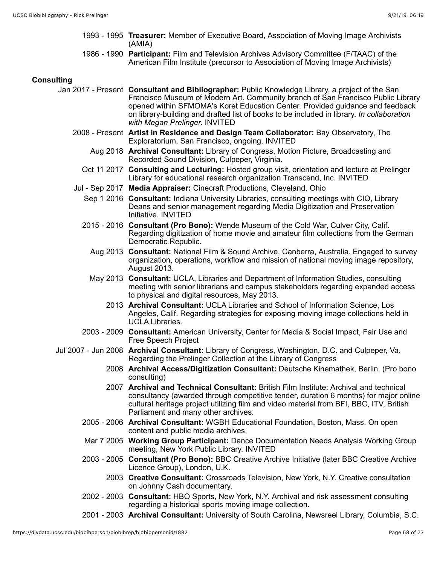- 1993 1995 **Treasurer:** Member of Executive Board, Association of Moving Image Archivists (AMIA)
- 1986 1990 **Participant:** Film and Television Archives Advisory Committee (F/TAAC) of the American Film Institute (precursor to Association of Moving Image Archivists)

#### **Consulting**

- Jan 2017 Present **Consultant and Bibliographer:** Public Knowledge Library, a project of the San Francisco Museum of Modern Art. Community branch of San Francisco Public Library opened within SFMOMA's Koret Education Center. Provided guidance and feedback on library-building and drafted list of books to be included in library. *In collaboration with Megan Prelinger.* INVITED
	- 2008 Present **Artist in Residence and Design Team Collaborator:** Bay Observatory, The Exploratorium, San Francisco, ongoing. INVITED
		- Aug 2018 **Archival Consultant:** Library of Congress, Motion Picture, Broadcasting and Recorded Sound Division, Culpeper, Virginia.
		- Oct 11 2017 **Consulting and Lecturing:** Hosted group visit, orientation and lecture at Prelinger Library for educational research organization Transcend, Inc. INVITED
	- Jul Sep 2017 **Media Appraiser:** Cinecraft Productions, Cleveland, Ohio
		- Sep 1 2016 **Consultant:** Indiana University Libraries, consulting meetings with CIO, Library Deans and senior management regarding Media Digitization and Preservation Initiative. INVITED
		- 2015 2016 **Consultant (Pro Bono):** Wende Museum of the Cold War, Culver City, Calif. Regarding digitization of home movie and amateur film collections from the German Democratic Republic.
			- Aug 2013 **Consultant:** National Film & Sound Archive, Canberra, Australia. Engaged to survey organization, operations, workflow and mission of national moving image repository, August 2013.
			- May 2013 **Consultant:** UCLA, Libraries and Department of Information Studies, consulting meeting with senior librarians and campus stakeholders regarding expanded access to physical and digital resources, May 2013.
				- 2013 **Archival Consultant:** UCLA Libraries and School of Information Science, Los Angeles, Calif. Regarding strategies for exposing moving image collections held in UCLA Libraries.
		- 2003 2009 **Consultant:** American University, Center for Media & Social Impact, Fair Use and Free Speech Project
- Jul 2007 Jun 2008 **Archival Consultant:** Library of Congress, Washington, D.C. and Culpeper, Va. Regarding the Prelinger Collection at the Library of Congress
	- 2008 **Archival Access/Digitization Consultant:** Deutsche Kinemathek, Berlin. (Pro bono consulting)
	- 2007 **Archival and Technical Consultant:** British Film Institute: Archival and technical consultancy (awarded through competitive tender, duration 6 months) for major online cultural heritage project utilizing film and video material from BFI, BBC, ITV, British Parliament and many other archives.
	- 2005 2006 **Archival Consultant:** WGBH Educational Foundation, Boston, Mass. On open content and public media archives.
	- Mar 7 2005 **Working Group Participant:** Dance Documentation Needs Analysis Working Group meeting, New York Public Library. INVITED
	- 2003 2005 **Consultant (Pro Bono):** BBC Creative Archive Initiative (later BBC Creative Archive Licence Group), London, U.K.
		- 2003 **Creative Consultant:** Crossroads Television, New York, N.Y. Creative consultation on Johnny Cash documentary.
	- 2002 2003 **Consultant:** HBO Sports, New York, N.Y. Archival and risk assessment consulting regarding a historical sports moving image collection.
	- 2001 2003 **Archival Consultant:** University of South Carolina, Newsreel Library, Columbia, S.C.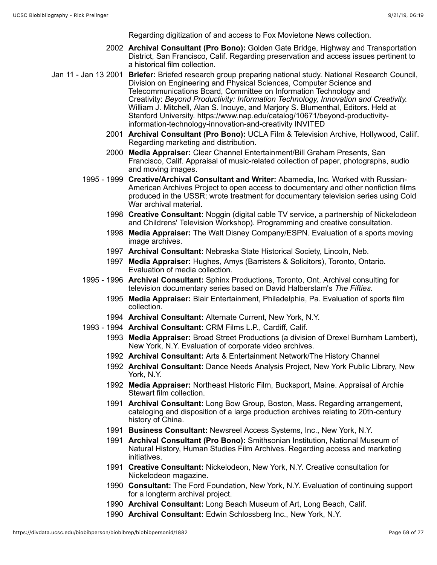Regarding digitization of and access to Fox Movietone News collection.

- 2002 **Archival Consultant (Pro Bono):** Golden Gate Bridge, Highway and Transportation District, San Francisco, Calif. Regarding preservation and access issues pertinent to a historical film collection.
- Jan 11 Jan 13 2001 **Briefer:** Briefed research group preparing national study. National Research Council, Division on Engineering and Physical Sciences, Computer Science and Telecommunications Board, Committee on Information Technology and Creativity: *Beyond Productivity: Information Technology, Innovation and Creativity.* William J. Mitchell, Alan S. Inouye, and Marjory S. Blumenthal, Editors. Held at Stanford University. https://www.nap.edu/catalog/10671/beyond-productivityinformation-technology-innovation-and-creativity INVITED
	- 2001 **Archival Consultant (Pro Bono):** UCLA Film & Television Archive, Hollywood, Calilf. Regarding marketing and distribution.
	- 2000 **Media Appraiser:** Clear Channel Entertainment/Bill Graham Presents, San Francisco, Calif. Appraisal of music-related collection of paper, photographs, audio and moving images.
	- 1995 1999 **Creative/Archival Consultant and Writer:** Abamedia, Inc. Worked with Russian-American Archives Project to open access to documentary and other nonfiction films produced in the USSR; wrote treatment for documentary television series using Cold War archival material.
		- 1998 **Creative Consultant:** Noggin (digital cable TV service, a partnership of Nickelodeon and Childrens' Television Workshop). Programming and creative consultation.
		- 1998 **Media Appraiser:** The Walt Disney Company/ESPN. Evaluation of a sports moving image archives.
		- 1997 **Archival Consultant:** Nebraska State Historical Society, Lincoln, Neb.
		- 1997 **Media Appraiser:** Hughes, Amys (Barristers & Solicitors), Toronto, Ontario. Evaluation of media collection.
	- 1995 1996 **Archival Consultant:** Sphinx Productions, Toronto, Ont. Archival consulting for television documentary series based on David Halberstam's *The Fifties.*
		- 1995 **Media Appraiser:** Blair Entertainment, Philadelphia, Pa. Evaluation of sports film collection.
		- 1994 **Archival Consultant:** Alternate Current, New York, N.Y.
	- 1993 1994 **Archival Consultant:** CRM Films L.P., Cardiff, Calif.
		- 1993 **Media Appraiser:** Broad Street Productions (a division of Drexel Burnham Lambert), New York, N.Y. Evaluation of corporate video archives.
		- 1992 **Archival Consultant:** Arts & Entertainment Network/The History Channel
		- 1992 **Archival Consultant:** Dance Needs Analysis Project, New York Public Library, New York, N.Y.
		- 1992 **Media Appraiser:** Northeast Historic Film, Bucksport, Maine. Appraisal of Archie Stewart film collection.
		- 1991 **Archival Consultant:** Long Bow Group, Boston, Mass. Regarding arrangement, cataloging and disposition of a large production archives relating to 20th-century history of China.
		- 1991 **Business Consultant:** Newsreel Access Systems, Inc., New York, N.Y.
		- 1991 **Archival Consultant (Pro Bono):** Smithsonian Institution, National Museum of Natural History, Human Studies Film Archives. Regarding access and marketing initiatives.
		- 1991 **Creative Consultant:** Nickelodeon, New York, N.Y. Creative consultation for Nickelodeon magazine.
		- 1990 **Consultant:** The Ford Foundation, New York, N.Y. Evaluation of continuing support for a longterm archival project.
		- 1990 **Archival Consultant:** Long Beach Museum of Art, Long Beach, Calif.
		- 1990 **Archival Consultant:** Edwin Schlossberg Inc., New York, N.Y.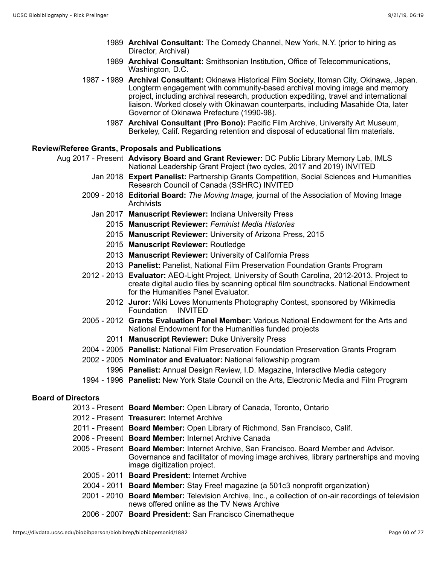- 1989 **Archival Consultant:** The Comedy Channel, New York, N.Y. (prior to hiring as Director, Archival)
- 1989 **Archival Consultant:** Smithsonian Institution, Office of Telecommunications, Washington, D.C.
- 1987 1989 **Archival Consultant:** Okinawa Historical Film Society, Itoman City, Okinawa, Japan. Longterm engagement with community-based archival moving image and memory project, including archival research, production expediting, travel and international liaison. Worked closely with Okinawan counterparts, including Masahide Ota, later Governor of Okinawa Prefecture (1990-98).
	- 1987 **Archival Consultant (Pro Bono):** Pacific Film Archive, University Art Museum, Berkeley, Calif. Regarding retention and disposal of educational film materials.

# **Review/Referee Grants, Proposals and Publications**

Aug 2017 - Present **Advisory Board and Grant Reviewer:** DC Public Library Memory Lab, IMLS National Leadership Grant Project (two cycles, 2017 and 2019) INVITED

- Jan 2018 **Expert Panelist:** Partnership Grants Competition, Social Sciences and Humanities Research Council of Canada (SSHRC) INVITED
- 2009 2018 **Editorial Board:** *The Moving Image,* journal of the Association of Moving Image **Archivists** 
	- Jan 2017 **Manuscript Reviewer:** Indiana University Press
		- 2015 **Manuscript Reviewer:** *Feminist Media Histories*
		- 2015 **Manuscript Reviewer:** University of Arizona Press, 2015
		- 2015 **Manuscript Reviewer:** Routledge
		- 2013 **Manuscript Reviewer:** University of California Press
		- 2013 **Panelist:** Panelist, National Film Preservation Foundation Grants Program
- 2012 2013 **Evaluator:** AEO-Light Project, University of South Carolina, 2012-2013. Project to create digital audio files by scanning optical film soundtracks. National Endowment for the Humanities Panel Evaluator.
	- 2012 **Juror:** Wiki Loves Monuments Photography Contest, sponsored by Wikimedia Foundation INVITED
- 2005 2012 **Grants Evaluation Panel Member:** Various National Endowment for the Arts and National Endowment for the Humanities funded projects
	- 2011 **Manuscript Reviewer:** Duke University Press
- 2004 2005 **Panelist:** National Film Preservation Foundation Preservation Grants Program
- 2002 2005 **Nominator and Evaluator:** National fellowship program
	- 1996 **Panelist:** Annual Design Review, I.D. Magazine, Interactive Media category
- 1994 1996 **Panelist:** New York State Council on the Arts, Electronic Media and Film Program

# **Board of Directors**

- 2013 Present **Board Member:** Open Library of Canada, Toronto, Ontario
- 2012 Present **Treasurer:** Internet Archive
- 2011 Present **Board Member:** Open Library of Richmond, San Francisco, Calif.
- 2006 Present **Board Member:** Internet Archive Canada
- 2005 Present **Board Member:** Internet Archive, San Francisco. Board Member and Advisor. Governance and facilitator of moving image archives, library partnerships and moving image digitization project.
	- 2005 2011 **Board President:** Internet Archive
	- 2004 2011 **Board Member:** Stay Free! magazine (a 501c3 nonprofit organization)
	- 2001 2010 **Board Member:** Television Archive, Inc., a collection of on-air recordings of television news offered online as the TV News Archive
	- 2006 2007 **Board President:** San Francisco Cinematheque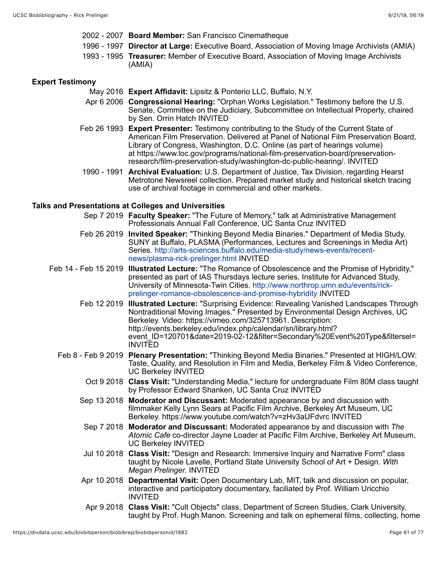- 2002 2007 **Board Member:** San Francisco Cinematheque
- 1996 1997 **Director at Large:** Executive Board, Association of Moving Image Archivists (AMIA)
- 1993 1995 **Treasurer:** Member of Executive Board, Association of Moving Image Archivists (AMIA)

### **Expert Testimony**

- May 2016 **Expert Affidavit:** Lipsitz & Ponterio LLC, Buffalo, N.Y.
- Apr 6 2006 **Congressional Hearing:** "Orphan Works Legislation." Testimony before the U.S. Senate, Committee on the Judiciary, Subcommittee on Intellectual Property, chaired by Sen. Orrin Hatch INVITED
- Feb 26 1993 **Expert Presenter:** Testimony contributing to the Study of the Current State of American Film Preservation. Delivered at Panel of National Film Preservation Board, Library of Congress, Washington, D.C. Online (as part of hearings volume) at https://www.loc.gov/programs/national-film-preservation-board/preservationresearch/film-preservation-study/washington-dc-public-hearing/. INVITED
- 1990 1991 **Archival Evaluation:** U.S. Department of Justice, Tax Division, regarding Hearst Metrotone Newsreel collection. Prepared market study and historical sketch tracing use of archival footage in commercial and other markets.

### **Talks and Presentations at Colleges and Universities**

- Sep 7 2019 **Faculty Speaker:** "The Future of Memory," talk at Administrative Management Professionals Annual Fall Conference, UC Santa Cruz INVITED
- Feb 26 2019 **Invited Speaker:** "Thinking Beyond Media Binaries." Department of Media Study, SUNY at Buffalo, PLASMA (Performances, Lectures and Screenings in Media Art) Series. http://arts-sciences.buffalo.edu/media-study/news-events/recentnews/plasma-rick-prelinger.html INVITED
- Feb 14 Feb 15 2019 **Illustrated Lecture:** "The Romance of Obsolescence and the Promise of Hybridity," presented as part of IAS Thursdays lecture series, Institute for Advanced Study, University of Minnesota-Twin Cities. http://www.northrop.umn.edu/events/rickprelinger-romance-obsolescence-and-promise-hybridity INVITED
	- Feb 12 2019 **Illustrated Lecture:** "Surprising Evidence: Revealing Vanished Landscapes Through Nontraditional Moving Images." Presented by Environmental Design Archives, UC Berkeley. Video: https://vimeo.com/325713961. Description: http://events.berkeley.edu/index.php/calendar/sn/library.html? event\_ID=120701&date=2019-02-12&filter=Secondary%20Event%20Type&filtersel= INVITED
	- Feb 8 Feb 9 2019 **Plenary Presentation:** "Thinking Beyond Media Binaries." Presented at HIGH/LOW: Taste, Quality, and Resolution in Film and Media, Berkeley Film & Video Conference, UC Berkeley INVITED
		- Oct 9 2018 **Class Visit:** "Understanding Media," lecture for undergraduate Film 80M class taught by Professor Edward Shanken, UC Santa Cruz INVITED
		- Sep 13 2018 **Moderator and Discussant:** Moderated appearance by and discussion with filmmaker Kelly Lynn Sears at Pacific Film Archive, Berkeley Art Museum, UC Berkeley. https://www.youtube.com/watch?v=zHv3aUFdvrc INVITED
		- Sep 7 2018 **Moderator and Discussant:** Moderated appearance by and discussion with *The Atomic Cafe* co-director Jayne Loader at Pacific Film Archive, Berkeley Art Museum, UC Berkeley INVITED
		- Jul 10 2018 **Class Visit:** "Design and Research: Immersive Inquiry and Narrative Form" class taught by Nicole Lavelle, Portland State University School of Art + Design. *With Megan Prelinger.* INVITED
		- Apr 10 2018 **Departmental Visit:** Open Documentary Lab, MIT, talk and discussion on popular, interactive and participatory documentary, faciliated by Prof. William Uricchio INVITED
		- Apr 9 2018 **Class Visit:** "Cult Objects" class, Department of Screen Studies, Clark University, taught by Prof. Hugh Manon. Screening and talk on ephemeral films, collecting, home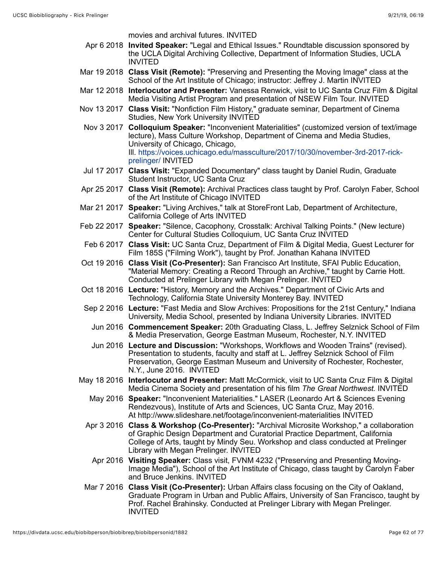movies and archival futures. INVITED

- Apr 6 2018 **Invited Speaker:** "Legal and Ethical Issues." Roundtable discussion sponsored by the UCLA Digital Archiving Collective, Department of Information Studies, UCLA INVITED
- Mar 19 2018 **Class Visit (Remote):** "Preserving and Presenting the Moving Image" class at the School of the Art Institute of Chicago; instructor: Jeffrey J. Martin INVITED
- Mar 12 2018 **Interlocutor and Presenter:** Vanessa Renwick, visit to UC Santa Cruz Film & Digital Media Visiting Artist Program and presentation of NSEW Film Tour. INVITED
- Nov 13 2017 **Class Visit:** "Nonfiction Film History," graduate seminar, Department of Cinema Studies, New York University INVITED
- Nov 3 2017 **Colloquium Speaker:** "Inconvenient Materialities" (customized version of text/image lecture), Mass Culture Workshop, Department of Cinema and Media Studies, University of Chicago, Chicago, Ill. https://voices.uchicago.edu/massculture/2017/10/30/november-3rd-2017-rickprelinger/ INVITED
- Jul 17 2017 **Class Visit:** "Expanded Documentary" class taught by Daniel Rudin, Graduate Student Instructor, UC Santa Cruz
- Apr 25 2017 **Class Visit (Remote):** Archival Practices class taught by Prof. Carolyn Faber, School of the Art Institute of Chicago INVITED
- Mar 21 2017 **Speaker:** "Living Archives," talk at StoreFront Lab, Department of Architecture, California College of Arts INVITED
- Feb 22 2017 **Speaker:** "Silence, Cacophony, Crosstalk: Archival Talking Points." (New lecture) Center for Cultural Studies Colloquium, UC Santa Cruz INVITED
- Feb 6 2017 **Class Visit:** UC Santa Cruz, Department of Film & Digital Media, Guest Lecturer for Film 185S ("Filming Work"), taught by Prof. Jonathan Kahana INVITED
- Oct 19 2016 **Class Visit (Co-Presenter):** San Francisco Art Institute, SFAI Public Education, "Material Memory: Creating a Record Through an Archive," taught by Carrie Hott. Conducted at Prelinger Library with Megan Prelinger. INVITED
- Oct 18 2016 **Lecture:** "History, Memory and the Archives." Department of Civic Arts and Technology, California State University Monterey Bay. INVITED
- Sep 2 2016 **Lecture:** "Fast Media and Slow Archives: Propositions for the 21st Century," Indiana University, Media School, presented by Indiana University Libraries. INVITED
	- Jun 2016 **Commencement Speaker:** 20th Graduating Class, L. Jeffrey Selznick School of Film & Media Preservation, George Eastman Museum, Rochester, N.Y. INVITED
	- Jun 2016 **Lecture and Discussion:** "Workshops, Workflows and Wooden Trains" (revised). Presentation to students, faculty and staff at L. Jeffrey Selznick School of Film Preservation, George Eastman Museum and University of Rochester, Rochester, N.Y., June 2016. INVITED
- May 18 2016 **Interlocutor and Presenter:** Matt McCormick, visit to UC Santa Cruz Film & Digital Media Cinema Society and presentation of his film *The Great Northwest.* INVITED
	- May 2016 **Speaker:** "Inconvenient Materialities." LASER (Leonardo Art & Sciences Evening Rendezvous), Institute of Arts and Sciences, UC Santa Cruz, May 2016. At http://www.slideshare.net/footage/inconvenient-materialities INVITED
	- Apr 3 2016 **Class & Workshop (Co-Presenter):** "Archival Microsite Workshop," a collaboration of Graphic Design Department and Curatorial Practice Department, California College of Arts, taught by Mindy Seu. Workshop and class conducted at Prelinger Library with Megan Prelinger. INVITED
	- Apr 2016 **Visiting Speaker:** Class visit, FVNM 4232 ("Preserving and Presenting Moving-Image Media"), School of the Art Institute of Chicago, class taught by Carolyn Faber and Bruce Jenkins. INVITED
	- Mar 7 2016 **Class Visit (Co-Presenter):** Urban Affairs class focusing on the City of Oakland, Graduate Program in Urban and Public Affairs, University of San Francisco, taught by Prof. Rachel Brahinsky. Conducted at Prelinger Library with Megan Prelinger. INVITED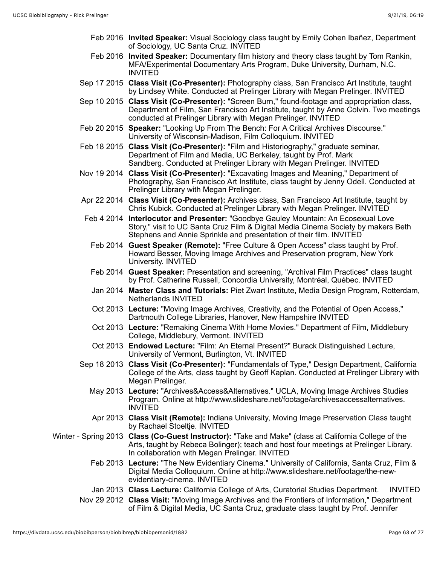- Feb 2016 **Invited Speaker:** Visual Sociology class taught by Emily Cohen Ibañez, Department of Sociology, UC Santa Cruz. INVITED
- Feb 2016 **Invited Speaker:** Documentary film history and theory class taught by Tom Rankin, MFA/Experimental Documentary Arts Program, Duke University, Durham, N.C. INVITED
- Sep 17 2015 **Class Visit (Co-Presenter):** Photography class, San Francisco Art Institute, taught by Lindsey White. Conducted at Prelinger Library with Megan Prelinger. INVITED
- Sep 10 2015 **Class Visit (Co-Presenter):** "Screen Burn," found-footage and appropriation class, Department of Film, San Francisco Art Institute, taught by Anne Colvin. Two meetings conducted at Prelinger Library with Megan Prelinger. INVITED
- Feb 20 2015 **Speaker:** "Looking Up From The Bench: For A Critical Archives Discourse." University of Wisconsin-Madison, Film Colloquium. INVITED
- Feb 18 2015 **Class Visit (Co-Presenter):** "Film and Historiography," graduate seminar, Department of Film and Media, UC Berkeley, taught by Prof. Mark Sandberg. Conducted at Prelinger Library with Megan Prelinger. INVITED
- Nov 19 2014 **Class Visit (Co-Presenter):** "Excavating Images and Meaning," Department of Photography, San Francisco Art Institute, class taught by Jenny Odell. Conducted at Prelinger Library with Megan Prelinger.
- Apr 22 2014 **Class Visit (Co-Presenter):** Archives class, San Francisco Art Institute, taught by Chris Kubick. Conducted at Prelinger Library with Megan Prelinger. INVITED
- Feb 4 2014 **Interlocutor and Presenter:** "Goodbye Gauley Mountain: An Ecosexual Love Story," visit to UC Santa Cruz Film & Digital Media Cinema Society by makers Beth Stephens and Annie Sprinkle and presentation of their film. INVITED
	- Feb 2014 **Guest Speaker (Remote):** "Free Culture & Open Access" class taught by Prof. Howard Besser, Moving Image Archives and Preservation program, New York University. INVITED
	- Feb 2014 **Guest Speaker:** Presentation and screening, "Archival Film Practices" class taught by Prof. Catherine Russell, Concordia University, Montréal, Québec. INVITED
	- Jan 2014 **Master Class and Tutorials:** Piet Zwart Institute, Media Design Program, Rotterdam, Netherlands INVITED
	- Oct 2013 **Lecture:** "Moving Image Archives, Creativity, and the Potential of Open Access," Dartmouth College Libraries, Hanover, New Hampshire INVITED
	- Oct 2013 **Lecture:** "Remaking Cinema With Home Movies." Department of Film, Middlebury College, Middlebury, Vermont. INVITED
	- Oct 2013 **Endowed Lecture:** "Film: An Eternal Present?" Burack Distinguished Lecture, University of Vermont, Burlington, Vt. INVITED
- Sep 18 2013 **Class Visit (Co-Presenter):** "Fundamentals of Type," Design Department, California College of the Arts, class taught by Geoff Kaplan. Conducted at Prelinger Library with Megan Prelinger.
	- May 2013 **Lecture:** "Archives&Access&Alternatives." UCLA, Moving Image Archives Studies Program. Online at http://www.slideshare.net/footage/archivesaccessalternatives. INVITED
	- Apr 2013 **Class Visit (Remote):** Indiana University, Moving Image Preservation Class taught by Rachael Stoeltje. INVITED
- Winter Spring 2013 **Class (Co-Guest Instructor):** "Take and Make" (class at California College of the Arts, taught by Rebeca Bolinger); teach and host four meetings at Prelinger Library. In collaboration with Megan Prelinger. INVITED
	- Feb 2013 **Lecture:** "The New Evidentiary Cinema." University of California, Santa Cruz, Film & Digital Media Colloquium. Online at http://www.slideshare.net/footage/the-newevidentiary-cinema. INVITED
	- Jan 2013 **Class Lecture:** California College of Arts, Curatorial Studies Department. INVITED
	- Nov 29 2012 **Class Visit:** "Moving Image Archives and the Frontiers of Information," Department of Film & Digital Media, UC Santa Cruz, graduate class taught by Prof. Jennifer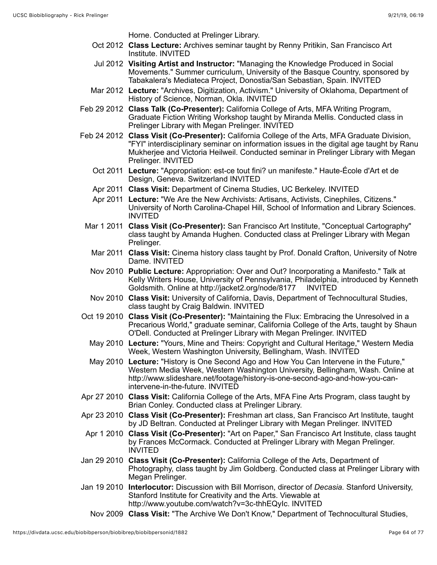- Oct 2012 **Class Lecture:** Archives seminar taught by Renny Pritikin, San Francisco Art Institute. INVITED
- Jul 2012 **Visiting Artist and Instructor:** "Managing the Knowledge Produced in Social Movements." Summer curriculum, University of the Basque Country, sponsored by Tabakalera's Mediateca Project, Donostia/San Sebastian, Spain. INVITED
- Mar 2012 **Lecture:** "Archives, Digitization, Activism." University of Oklahoma, Department of History of Science, Norman, Okla. INVITED
- Feb 29 2012 **Class Talk (Co-Presenter):** California College of Arts, MFA Writing Program, Graduate Fiction Writing Workshop taught by Miranda Mellis. Conducted class in Prelinger Library with Megan Prelinger. INVITED
- Feb 24 2012 **Class Visit (Co-Presenter):** California College of the Arts, MFA Graduate Division, "FYI" interdisciplinary seminar on information issues in the digital age taught by Ranu Mukherjee and Victoria Heilweil. Conducted seminar in Prelinger Library with Megan Prelinger. INVITED
	- Oct 2011 **Lecture:** "Appropriation: est-ce tout fini? un manifeste." Haute-École d'Art et de Design, Geneva. Switzerland INVITED
	- Apr 2011 **Class Visit:** Department of Cinema Studies, UC Berkeley. INVITED
	- Apr 2011 **Lecture:** "We Are the New Archivists: Artisans, Activists, Cinephiles, Citizens." University of North Carolina-Chapel Hill, School of Information and Library Sciences. **INVITED**
	- Mar 1 2011 **Class Visit (Co-Presenter):** San Francisco Art Institute, "Conceptual Cartography" class taught by Amanda Hughen. Conducted class at Prelinger Library with Megan Prelinger.
		- Mar 2011 **Class Visit:** Cinema history class taught by Prof. Donald Crafton, University of Notre Dame. INVITED
		- Nov 2010 **Public Lecture:** Appropriation: Over and Out? Incorporating a Manifesto." Talk at Kelly Writers House, University of Pennsylvania, Philadelphia, introduced by Kenneth Goldsmith. Online at http://jacket2.org/node/8177 INVITED
	- Nov 2010 **Class Visit:** University of California, Davis, Department of Technocultural Studies, class taught by Craig Baldwin. INVITED
- Oct 19 2010 **Class Visit (Co-Presenter):** "Maintaining the Flux: Embracing the Unresolved in a Precarious World," graduate seminar, California College of the Arts, taught by Shaun O'Dell. Conducted at Prelinger Library with Megan Prelinger. INVITED
	- May 2010 **Lecture:** "Yours, Mine and Theirs: Copyright and Cultural Heritage," Western Media Week, Western Washington University, Bellingham, Wash. INVITED
	- May 2010 **Lecture:** "History is One Second Ago and How You Can Intervene in the Future," Western Media Week, Western Washington University, Bellingham, Wash. Online at http://www.slideshare.net/footage/history-is-one-second-ago-and-how-you-canintervene-in-the-future. INVITED
- Apr 27 2010 **Class Visit:** California College of the Arts, MFA Fine Arts Program, class taught by Brian Conley. Conducted class at Prelinger Library.
- Apr 23 2010 **Class Visit (Co-Presenter):** Freshman art class, San Francisco Art Institute, taught by JD Beltran. Conducted at Prelinger Library with Megan Prelinger. INVITED
- Apr 1 2010 **Class Visit (Co-Presenter):** "Art on Paper," San Francisco Art Institute, class taught by Frances McCormack. Conducted at Prelinger Library with Megan Prelinger. INVITED
- Jan 29 2010 **Class Visit (Co-Presenter):** California College of the Arts, Department of Photography, class taught by Jim Goldberg. Conducted class at Prelinger Library with Megan Prelinger.
- Jan 19 2010 **Interlocutor:** Discussion with Bill Morrison, director of *Decasia.* Stanford University, Stanford Institute for Creativity and the Arts. Viewable at http://www.youtube.com/watch?v=3c-thhEQyIc. INVITED
	- Nov 2009 **Class Visit:** "The Archive We Don't Know," Department of Technocultural Studies,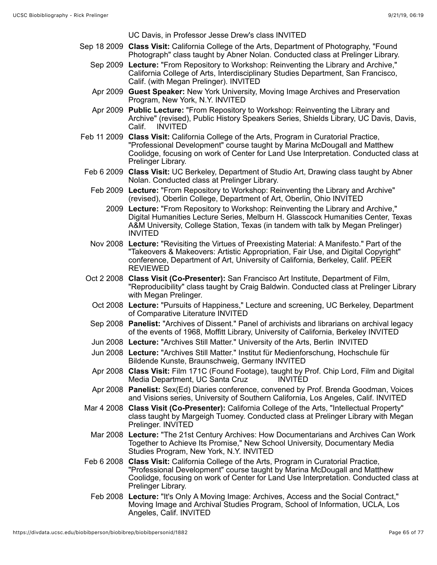UC Davis, in Professor Jesse Drew's class INVITED

- Sep 18 2009 **Class Visit:** California College of the Arts, Department of Photography, "Found Photograph" class taught by Abner Nolan. Conducted class at Prelinger Library.
	- Sep 2009 **Lecture:** "From Repository to Workshop: Reinventing the Library and Archive," California College of Arts, Interdisciplinary Studies Department, San Francisco, Calif. (with Megan Prelinger). INVITED
	- Apr 2009 **Guest Speaker:** New York University, Moving Image Archives and Preservation Program, New York, N.Y. INVITED
	- Apr 2009 **Public Lecture:** "From Repository to Workshop: Reinventing the Library and Archive" (revised), Public History Speakers Series, Shields Library, UC Davis, Davis, **INVITED**
- Feb 11 2009 **Class Visit:** California College of the Arts, Program in Curatorial Practice, "Professional Development" course taught by Marina McDougall and Matthew Coolidge, focusing on work of Center for Land Use Interpretation. Conducted class at Prelinger Library.
- Feb 6 2009 **Class Visit:** UC Berkeley, Department of Studio Art, Drawing class taught by Abner Nolan. Conducted class at Prelinger Library.
	- Feb 2009 Lecture: "From Repository to Workshop: Reinventing the Library and Archive" (revised), Oberlin College, Department of Art, Oberlin, Ohio INVITED
		- 2009 **Lecture:** "From Repository to Workshop: Reinventing the Library and Archive," Digital Humanities Lecture Series, Melburn H. Glasscock Humanities Center, Texas A&M University, College Station, Texas (in tandem with talk by Megan Prelinger) INVITED
	- Nov 2008 **Lecture:** "Revisiting the Virtues of Preexisting Material: A Manifesto." Part of the "Takeovers & Makeovers: Artistic Appropriation, Fair Use, and Digital Copyright" conference, Department of Art, University of California, Berkeley, Calif. PEER REVIEWED
- Oct 2 2008 **Class Visit (Co-Presenter):** San Francisco Art Institute, Department of Film, "Reproducibility" class taught by Craig Baldwin. Conducted class at Prelinger Library with Megan Prelinger.
	- Oct 2008 **Lecture:** "Pursuits of Happiness," Lecture and screening, UC Berkeley, Department of Comparative Literature INVITED
- Sep 2008 **Panelist:** "Archives of Dissent." Panel of archivists and librarians on archival legacy of the events of 1968, Moffitt Library, University of California, Berkeley INVITED
- Jun 2008 **Lecture:** "Archives Still Matter." University of the Arts, Berlin INVITED
- Jun 2008 **Lecture:** "Archives Still Matter." Institut für Medienforschung, Hochschule für Bildende Kunste, Braunschweig, Germany INVITED
- Apr 2008 **Class Visit:** Film 171C (Found Footage), taught by Prof. Chip Lord, Film and Digital Media Department, UC Santa Cruz INVITED
- Apr 2008 **Panelist:** Sex(Ed) Diaries conference, convened by Prof. Brenda Goodman, Voices and Visions series, University of Southern California, Los Angeles, Calif. INVITED
- Mar 4 2008 **Class Visit (Co-Presenter):** California College of the Arts, "Intellectual Property" class taught by Margeigh Tuomey. Conducted class at Prelinger Library with Megan Prelinger. INVITED
- Mar 2008 **Lecture:** "The 21st Century Archives: How Documentarians and Archives Can Work Together to Achieve Its Promise," New School University, Documentary Media Studies Program, New York, N.Y. INVITED
- Feb 6 2008 **Class Visit:** California College of the Arts, Program in Curatorial Practice, "Professional Development" course taught by Marina McDougall and Matthew Coolidge, focusing on work of Center for Land Use Interpretation. Conducted class at Prelinger Library.
	- Feb 2008 **Lecture:** "It's Only A Moving Image: Archives, Access and the Social Contract," Moving Image and Archival Studies Program, School of Information, UCLA, Los Angeles, Calif. INVITED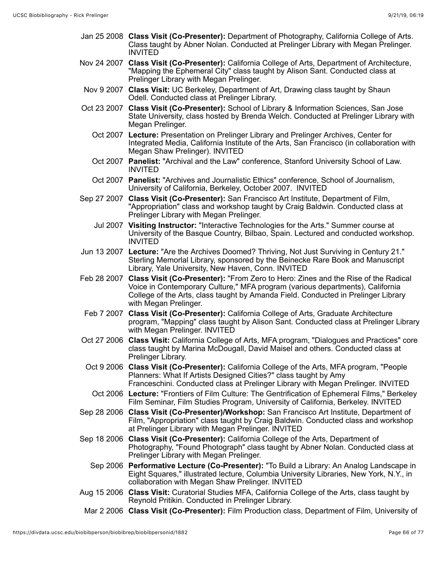- Jan 25 2008 **Class Visit (Co-Presenter):** Department of Photography, California College of Arts. Class taught by Abner Nolan. Conducted at Prelinger Library with Megan Prelinger. INVITED
- Nov 24 2007 **Class Visit (Co-Presenter):** California College of Arts, Department of Architecture, "Mapping the Ephemeral City" class taught by Alison Sant. Conducted class at Prelinger Library with Megan Prelinger.
- Nov 9 2007 **Class Visit:** UC Berkeley, Department of Art, Drawing class taught by Shaun Odell. Conducted class at Prelinger Library.
- Oct 23 2007 **Class Visit (Co-Presenter):** School of Library & Information Sciences, San Jose State University, class hosted by Brenda Welch. Conducted at Prelinger Library with Megan Prelinger.
	- Oct 2007 **Lecture:** Presentation on Prelinger Library and Prelinger Archives, Center for Integrated Media, California Institute of the Arts, San Francisco (in collaboration with Megan Shaw Prelinger). INVITED
	- Oct 2007 **Panelist:** "Archival and the Law" conference, Stanford University School of Law. INVITED
	- Oct 2007 **Panelist:** "Archives and Journalistic Ethics" conference, School of Journalism, University of California, Berkeley, October 2007. INVITED
- Sep 27 2007 **Class Visit (Co-Presenter):** San Francisco Art Institute, Department of Film, "Appropriation" class and workshop taught by Craig Baldwin. Conducted class at Prelinger Library with Megan Prelinger.
	- Jul 2007 **Visiting Instructor:** "Interactive Technologies for the Arts." Summer course at University of the Basque Country, Bilbao, Spain. Lectured and conducted workshop. INVITED
- Jun 13 2007 **Lecture:** "Are the Archives Doomed? Thriving, Not Just Surviving in Century 21." Sterling Memorlal Library, sponsored by the Beinecke Rare Book and Manuscript Library, Yale University, New Haven, Conn. INVITED
- Feb 28 2007 **Class Visit (Co-Presenter):** "From Zero to Hero: Zines and the Rise of the Radical Voice in Contemporary Culture," MFA program (various departments), California College of the Arts, class taught by Amanda Field. Conducted in Prelinger Library with Megan Prelinger.
- Feb 7 2007 **Class Visit (Co-Presenter):** California College of Arts, Graduate Architecture program, "Mapping" class taught by Alison Sant. Conducted class at Prelinger Library with Megan Prelinger. INVITED
- Oct 27 2006 **Class Visit:** California College of Arts, MFA program, "Dialogues and Practices" core class taught by Marina McDougall, David Maisel and others. Conducted class at Prelinger Library.
- Oct 9 2006 **Class Visit (Co-Presenter):** California College of the Arts, MFA program, "People Planners: What If Artists Designed Cities?" class taught by Amy Franceschini. Conducted class at Prelinger Library with Megan Prelinger. INVITED
- Oct 2006 **Lecture:** "Frontiers of Film Culture: The Gentrification of Ephemeral Films," Berkeley Film Seminar, Film Studies Program, University of California, Berkeley. INVITED
- Sep 28 2006 **Class Visit (Co-Presenter)/Workshop:** San Francisco Art Institute, Department of Film, "Appropriation" class taught by Craig Baldwin. Conducted class and workshop at Prelinger Library with Megan Prelinger. INVITED
- Sep 18 2006 **Class Visit (Co-Presenter):** California College of the Arts, Department of Photography, "Found Photograph" class taught by Abner Nolan. Conducted class at Prelinger Library with Megan Prelinger.
	- Sep 2006 **Performative Lecture (Co-Presenter):** "To Build a Library: An Analog Landscape in Eight Squares," illustrated lecture, Columbia University Libraries, New York, N.Y., in collaboration with Megan Shaw Prelinger. INVITED
- Aug 15 2006 **Class Visit:** Curatorial Studies MFA, California College of the Arts, class taught by Reynold Pritikin. Conducted in Prelinger Library.
	- Mar 2 2006 **Class Visit (Co-Presenter):** Film Production class, Department of Film, University of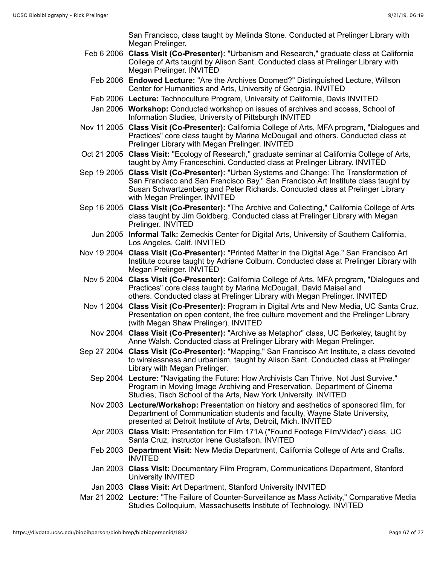San Francisco, class taught by Melinda Stone. Conducted at Prelinger Library with Megan Prelinger.

- Feb 6 2006 **Class Visit (Co-Presenter):** "Urbanism and Research," graduate class at California College of Arts taught by Alison Sant. Conducted class at Prelinger Library with Megan Prelinger. INVITED
- Feb 2006 **Endowed Lecture:** "Are the Archives Doomed?" Distinguished Lecture, Willson Center for Humanities and Arts, University of Georgia. INVITED
- Feb 2006 **Lecture:** Technoculture Program, University of California, Davis INVITED
- Jan 2006 **Workshop:** Conducted workshop on issues of archives and access, School of Information Studies, University of Pittsburgh INVITED
- Nov 11 2005 **Class Visit (Co-Presenter):** California College of Arts, MFA program, "Dialogues and Practices" core class taught by Marina McDougall and others. Conducted class at Prelinger Library with Megan Prelinger. INVITED
- Oct 21 2005 **Class Visit:** "Ecology of Research," graduate seminar at California College of Arts, taught by Amy Franceschini. Conducted class at Prelinger Library. INVITED
- Sep 19 2005 **Class Visit (Co-Presenter):** "Urban Systems and Change: The Transformation of San Francisco and San Francisco Bay," San Francisco Art Institute class taught by Susan Schwartzenberg and Peter Richards. Conducted class at Prelinger Library with Megan Prelinger. INVITED
- Sep 16 2005 **Class Visit (Co-Presenter):** "The Archive and Collecting," California College of Arts class taught by Jim Goldberg. Conducted class at Prelinger Library with Megan Prelinger. INVITED
	- Jun 2005 **Informal Talk:** Zemeckis Center for Digital Arts, University of Southern California, Los Angeles, Calif. INVITED
- Nov 19 2004 **Class Visit (Co-Presenter):** "Printed Matter in the Digital Age." San Francisco Art Institute course taught by Adriane Colburn. Conducted class at Prelinger Library with Megan Prelinger. INVITED
- Nov 5 2004 **Class Visit (Co-Presenter):** California College of Arts, MFA program, "Dialogues and Practices" core class taught by Marina McDougall, David Maisel and others. Conducted class at Prelinger Library with Megan Prelinger. INVITED
- Nov 1 2004 **Class Visit (Co-Presenter):** Program in Digital Arts and New Media, UC Santa Cruz. Presentation on open content, the free culture movement and the Prelinger Library (with Megan Shaw Prelinger). INVITED
- Nov 2004 **Class Visit (Co-Presenter):** "Archive as Metaphor" class, UC Berkeley, taught by Anne Walsh. Conducted class at Prelinger Library with Megan Prelinger.
- Sep 27 2004 **Class Visit (Co-Presenter):** "Mapping," San Francisco Art Institute, a class devoted to wirelessness and urbanism, taught by Alison Sant. Conducted class at Prelinger Library with Megan Prelinger.
	- Sep 2004 **Lecture:** "Navigating the Future: How Archivists Can Thrive, Not Just Survive." Program in Moving Image Archiving and Preservation, Department of Cinema Studies, Tisch School of the Arts, New York University. INVITED
	- Nov 2003 **Lecture/Workshop:** Presentation on history and aesthetics of sponsored film, for Department of Communication students and faculty, Wayne State University, presented at Detroit Institute of Arts, Detroit, Mich. INVITED
	- Apr 2003 **Class Visit:** Presentation for Film 171A ("Found Footage Film/Video") class, UC Santa Cruz, instructor Irene Gustafson. INVITED
	- Feb 2003 **Department Visit:** New Media Department, California College of Arts and Crafts. INVITED
	- Jan 2003 **Class Visit:** Documentary Film Program, Communications Department, Stanford University INVITED
	- Jan 2003 **Class Visit:** Art Department, Stanford University INVITED
- Mar 21 2002 **Lecture:** "The Failure of Counter-Surveillance as Mass Activity," Comparative Media Studies Colloquium, Massachusetts Institute of Technology. INVITED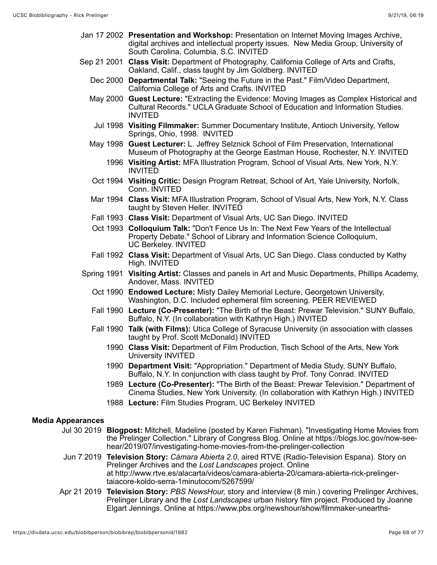- Jan 17 2002 **Presentation and Workshop:** Presentation on Internet Moving Images Archive, digital archives and intellectual property issues. New Media Group, University of South Carolina, Columbia, S.C. INVITED
- Sep 21 2001 **Class Visit:** Department of Photography, California College of Arts and Crafts, Oakland, Calif., class taught by Jim Goldberg. INVITED
	- Dec 2000 **Departmental Talk:** "Seeing the Future in the Past." Film/Video Department, California College of Arts and Crafts. INVITED
	- May 2000 **Guest Lecture:** "Extracting the Evidence: Moving Images as Complex Historical and Cultural Records." UCLA Graduate School of Education and Information Studies. INVITED
		- Jul 1998 **Visiting Filmmaker:** Summer Documentary Institute, Antioch University, Yellow Springs, Ohio, 1998. INVITED
	- May 1998 **Guest Lecturer:** L. Jeffrey Selznick School of Film Preservation, International Museum of Photography at the George Eastman House, Rochester, N.Y. INVITED
		- 1996 **Visiting Artist:** MFA Illustration Program, School of Visual Arts, New York, N.Y. INVITED
	- Oct 1994 **Visiting Critic:** Design Program Retreat, School of Art, Yale University, Norfolk, Conn. INVITED
	- Mar 1994 **Class Visit:** MFA Illustration Program, School of Visual Arts, New York, N.Y. Class taught by Steven Heller. INVITED
	- Fall 1993 **Class Visit:** Department of Visual Arts, UC San Diego. INVITED
	- Oct 1993 **Colloquium Talk:** "Don't Fence Us In: The Next Few Years of the Intellectual Property Debate." School of Library and Information Science Colloquium, UC Berkeley. INVITED
	- Fall 1992 **Class Visit:** Department of Visual Arts, UC San Diego. Class conducted by Kathy High. INVITED
- Spring 1991 **Visiting Artist:** Classes and panels in Art and Music Departments, Phillips Academy, Andover, Mass. INVITED
	- Oct 1990 **Endowed Lecture:** Misty Dailey Memorial Lecture, Georgetown University, Washington, D.C. Included ephemeral film screening. PEER REVIEWED
	- Fall 1990 **Lecture (Co-Presenter):** "The Birth of the Beast: Prewar Television." SUNY Buffalo, Buffalo, N.Y. (In collaboration with Kathryn High.) INVITED
	- Fall 1990 **Talk (with Films):** Utica College of Syracuse University (in association with classes taught by Prof. Scott McDonald) INVITED
		- 1990 **Class Visit:** Department of Film Production, Tisch School of the Arts, New York University INVITED
		- 1990 **Department Visit:** "Appropriation." Department of Media Study, SUNY Buffalo, Buffalo, N.Y. In conjunction with class taught by Prof. Tony Conrad. INVITED
		- 1989 **Lecture (Co-Presenter):** "The Birth of the Beast: Prewar Television." Department of Cinema Studies, New York University. (In collaboration with Kathryn High.) INVITED
		- 1988 **Lecture:** Film Studies Program, UC Berkeley INVITED

# **Media Appearances**

- Jul 30 2019 **Blogpost:** Mitchell, Madeline (posted by Karen Fishman). "Investigating Home Movies from the Prelinger Collection." Library of Congress Blog. Online at https://blogs.loc.gov/now-seehear/2019/07/investigating-home-movies-from-the-prelinger-collection
- Jun 7 2019 **Television Story:** *Cámara Abierta 2.0*, aired RTVE (Radio-Television Espana). Story on Prelinger Archives and the *Lost Landscapes* project. Online at http://www.rtve.es/alacarta/videos/camara-abierta-20/camara-abierta-rick-prelingertaiacore-koldo-serra-1minutocom/5267599/
- Apr 21 2019 **Television Story:** *PBS NewsHour,* story and interview (8 min.) covering Prelinger Archives, Prelinger Library and the *Lost Landscapes* urban history film project. Produced by Joanne Elgart Jennings. Online at https://www.pbs.org/newshour/show/filmmaker-unearths-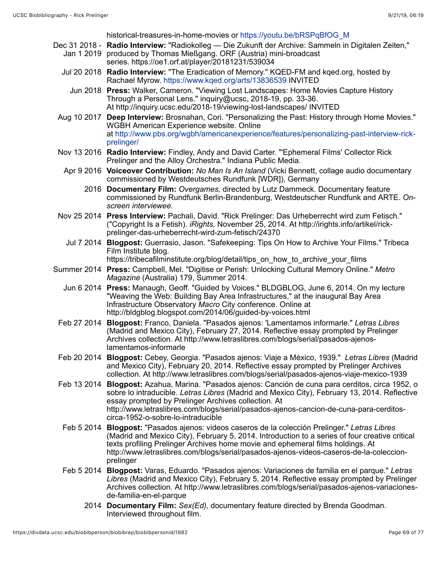historical-treasures-in-home-movies or https://youtu.be/bRSPqBfOG\_M

- Dec 31 2018 **Radio Interview:** "Radiokolleg Die Zukunft der Archive: Sammeln in Digitalen Zeiten," Jan 1 2019 produced by Thomas Mießgang. ORF (Austria) mini-broadcast series. https://oe1.orf.at/player/20181231/539034
	- Jul 20 2018 **Radio Interview:** "The Eradication of Memory." KQED-FM and kqed.org, hosted by Rachael Myrow. https://www.kqed.org/arts/13836539 INVITED
		- Jun 2018 **Press:** Walker, Cameron. "Viewing Lost Landscapes: Home Movies Capture History Through a Personal Lens." inquiry@ucsc, 2018-19, pp. 33-36. At http://inquiry.ucsc.edu/2018-19/viewing-lost-landscapes/ INVITED
- Aug 10 2017 **Deep Interview:** Brosnahan, Cori. "Personalizing the Past: History through Home Movies." WGBH American Experience website. Online at http://www.pbs.org/wgbh/americanexperience/features/personalizing-past-interview-rickprelinger/
- Nov 13 2016 **Radio Interview:** Findley, Andy and David Carter. "'Ephemeral Films' Collector Rick Prelinger and the Alloy Orchestra." Indiana Public Media.
	- Apr 9 2016 **Voiceover Contribution:** *No Man Is An Island* (Vicki Bennett, collage audio documentary commissioned by Westdeutsches Rundfunk [WDR]), Germany
		- 2016 **Documentary Film:** *Overgames,* directed by Lutz Dammeck. Documentary feature commissioned by Rundfunk Berlin-Brandenburg, Westdeutscher Rundfunk and ARTE. *Onscreen interviewee.*
- Nov 25 2014 **Press Interview:** Pachali, David. "Rick Prelinger: Das Urheberrecht wird zum Fetisch." ("Copyright Is a Fetish). *iRights,* November 25, 2014. At http://irights.info/artikel/rickprelinger-das-urheberrecht-wird-zum-fetisch/24370
	- Jul 7 2014 **Blogpost:** Guerrasio, Jason. "Safekeeping: Tips On How to Archive Your Films." Tribeca Film Institute blog.
		- https://tribecafilminstitute.org/blog/detail/tips\_on\_how\_to\_archive\_your\_films
- Summer 2014 **Press:** Campbell, Mel. "Digitise or Perish: Unlocking Cultural Memory Online." *Metro Magazine* (Australia) 179, Summer 2014.
	- Jun 6 2014 **Press:** Manaugh, Geoff. "Guided by Voices." BLDGBLOG, June 6, 2014. On my lecture "Weaving the Web: Building Bay Area Infrastructures," at the inaugural Bay Area Infrastructure Observatory *Macro* City conference. Online at http://bldgblog.blogspot.com/2014/06/guided-by-voices.html
	- Feb 27 2014 **Blogpost:** Franco, Daniela. "Pasados ajenos: 'Lamentamos informarle." *Letras Libres* (Madrid and Mexico City), February 27, 2014. Reflective essay prompted by Prelinger Archives collection. At http://www.letraslibres.com/blogs/serial/pasados-ajenoslamentamos-informarle
	- Feb 20 2014 **Blogpost:** Cebey, Georgia. "Pasados ajenos: Viaje a México, 1939." *Letras Libres* (Madrid and Mexico City), February 20, 2014. Reflective essay prompted by Prelinger Archives collection. At http://www.letraslibres.com/blogs/serial/pasados-ajenos-viaje-mexico-1939
	- Feb 13 2014 **Blogpost:** Azahua, Marina. "Pasados ajenos: Canción de cuna para cerditos, circa 1952, o sobre lo intraducible. *Letras Libres* (Madrid and Mexico City), February 13, 2014. Reflective essay prompted by Prelinger Archives collection. At http://www.letraslibres.com/blogs/serial/pasados-ajenos-cancion-de-cuna-para-cerditoscirca-1952-o-sobre-lo-intraducible
	- Feb 5 2014 **Blogpost:** "Pasados ajenos: videos caseros de la colección Prelinger." *Letras Libres* (Madrid and Mexico City), February 5, 2014. Introduction to a series of four creative critical texts profiling Prelinger Archives home movie and ephemeral films holdings. At http://www.letraslibres.com/blogs/serial/pasados-ajenos-videos-caseros-de-la-coleccionprelinger
	- Feb 5 2014 **Blogpost:** Varas, Eduardo. "Pasados ajenos: Variaciones de familia en el parque." *Letras Libres* (Madrid and Mexico City), February 5, 2014. Reflective essay prompted by Prelinger Archives collection. At http://www.letraslibres.com/blogs/serial/pasados-ajenos-variacionesde-familia-en-el-parque
		- 2014 **Documentary Film:** *Sex(Ed),* documentary feature directed by Brenda Goodman. Interviewed throughout film.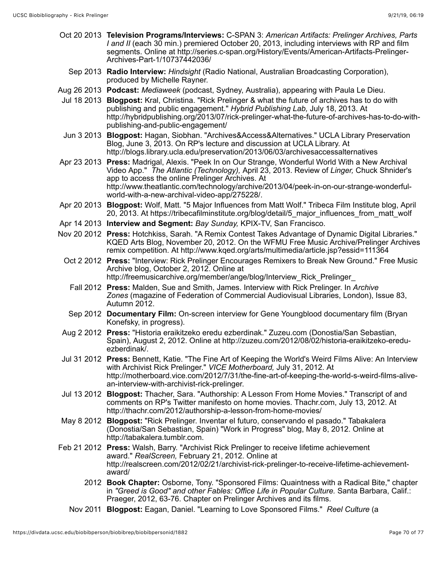- Oct 20 2013 **Television Programs/Interviews:** C-SPAN 3: *American Artifacts: Prelinger Archives, Parts I and II* (each 30 min.) premiered October 20, 2013, including interviews with RP and film segments. Online at http://series.c-span.org/History/Events/American-Artifacts-Prelinger-Archives-Part-1/10737442036/
	- Sep 2013 **Radio Interview:** *Hindsight* (Radio National, Australian Broadcasting Corporation), produced by Michelle Rayner.
- Aug 26 2013 **Podcast:** *Mediaweek* (podcast, Sydney, Australia), appearing with Paula Le Dieu.
- Jul 18 2013 **Blogpost:** Kral, Christina. "Rick Prelinger & what the future of archives has to do with publishing and public engagement." *Hybrid Publishing Lab,* July 18, 2013. At http://hybridpublishing.org/2013/07/rick-prelinger-what-the-future-of-archives-has-to-do-withpublishing-and-public-engagement/
- Jun 3 2013 **Blogpost:** Hagan, Siobhan. "Archives&Access&Alternatives." UCLA Library Preservation Blog, June 3, 2013. On RP's lecture and discussion at UCLA Library. At http://blogs.library.ucla.edu/preservation/2013/06/03/archivesaccessalternatives
- Apr 23 2013 **Press:** Madrigal, Alexis. "Peek In on Our Strange, Wonderful World With a New Archival Video App." *The Atlantic (Technology),* April 23, 2013. Review of *Linger,* Chuck Shnider's app to access the online Prelinger Archives. At http://www.theatlantic.com/technology/archive/2013/04/peek-in-on-our-strange-wonderfulworld-with-a-new-archival-video-app/275228/.
- Apr 20 2013 **Blogpost:** Wolf, Matt. "5 Major Influences from Matt Wolf." Tribeca Film Institute blog, April 20, 2013. At https://tribecafilminstitute.org/blog/detail/5\_major\_influences\_from\_matt\_wolf
- Apr 14 2013 **Interview and Segment:** *Bay Sunday,* KPIX-TV, San Francisco.
- Nov 20 2012 **Press:** Hotchkiss, Sarah. "A Remix Contest Takes Advantage of Dynamic Digital Libraries." KQED Arts Blog, November 20, 2012. On the WFMU Free Music Archive/Prelinger Archives remix competition. At http://www.kqed.org/arts/multimedia/article.jsp?essid=111364
	- Oct 2 2012 **Press:** "Interview: Rick Prelinger Encourages Remixers to Break New Ground." Free Music Archive blog, October 2, 2012. Online at http://freemusicarchive.org/member/ange/blog/Interview\_Rick\_Prelinger\_
		- Fall 2012 **Press:** Malden, Sue and Smith, James. Interview with Rick Prelinger. In *Archive Zones* (magazine of Federation of Commercial Audiovisual Libraries, London), Issue 83, Autumn 2012.
	- Sep 2012 **Documentary Film:** On-screen interview for Gene Youngblood documentary film (Bryan Konefsky, in progress).
- Aug 2 2012 **Press:** "Historia eraikitzeko eredu ezberdinak." Zuzeu.com (Donostia/San Sebastian, Spain), August 2, 2012. Online at http://zuzeu.com/2012/08/02/historia-eraikitzeko-ereduezberdinak/.
- Jul 31 2012 **Press:** Bennett, Katie. "The Fine Art of Keeping the World's Weird Films Alive: An Interview with Archivist Rick Prelinger." *VICE Motherboard,* July 31, 2012. At http://motherboard.vice.com/2012/7/31/the-fine-art-of-keeping-the-world-s-weird-films-alivean-interview-with-archivist-rick-prelinger.
- Jul 13 2012 **Blogpost:** Thacher, Sara. "Authorship: A Lesson From Home Movies." Transcript of and comments on RP's Twitter manifesto on home movies. Thachr.com, July 13, 2012. At http://thachr.com/2012/authorship-a-lesson-from-home-movies/
- May 8 2012 **Blogpost:** "Rick Prelinger. Inventar el futuro, conservando el pasado." Tabakalera (Donostia/San Sebastian, Spain) "Work in Progress" blog, May 8, 2012. Online at http://tabakalera.tumblr.com.
- Feb 21 2012 **Press:** Walsh, Barry. "Archivist Rick Prelinger to receive lifetime achievement award." *RealScreen,* February 21, 2012. Online at http://realscreen.com/2012/02/21/archivist-rick-prelinger-to-receive-lifetime-achievementaward/
	- 2012 **Book Chapter:** Osborne, Tony. "Sponsored Films: Quaintness with a Radical Bite," chapter in *"Greed is Good" and other Fables: Office Life in Popular Culture.* Santa Barbara, Calif.: Praeger, 2012, 63-76. Chapter on Prelinger Archives and its films.
	- Nov 2011 **Blogpost:** Eagan, Daniel. "Learning to Love Sponsored Films." *Reel Culture* (a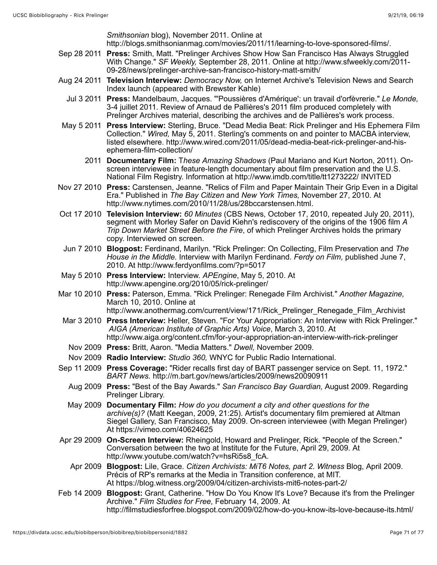*Smithsonian* blog), November 2011. Online at http://blogs.smithsonianmag.com/movies/2011/11/learning-to-love-sponsored-films/.

- Sep 28 2011 **Press:** Smith, Matt. "Prelinger Archives Show How San Francisco Has Always Struggled With Change." *SF Weekly,* September 28, 2011. Online at http://www.sfweekly.com/2011- 09-28/news/prelinger-archive-san-francisco-history-matt-smith/
- Aug 24 2011 **Television Interview:** *Democracy Now,* on Internet Archive's Television News and Search Index launch (appeared with Brewster Kahle)
	- Jul 3 2011 **Press:** Mandelbaum, Jacques. "'Poussières d'Amérique': un travail d'orfèvrerie." *Le Monde,* 3-4 juillet 2011. Review of Arnaud de Pallières's 2011 film produced completely with Prelinger Archives material, describing the archives and de Pallières's work process.
- May 5 2011 **Press Interview:** Sterling, Bruce. "Dead Media Beat: Rick Prelinger and His Ephemera Film Collection." *Wired,* May 5, 2011. Sterling's comments on and pointer to MACBA interview, listed elsewhere. http://www.wired.com/2011/05/dead-media-beat-rick-prelinger-and-hisephemera-film-collection/
	- 2011 **Documentary Film:** T*hese Amazing Shadows* (Paul Mariano and Kurt Norton, 2011). Onscreen interviewee in feature-length documentary about film preservation and the U.S. National Film Registry. Information at http://www.imdb.com/title/tt1273222/ INVITED
- Nov 27 2010 **Press:** Carstensen, Jeanne. "Relics of Film and Paper Maintain Their Grip Even in a Digital Era." Published in *The Bay Citizen* and *New York Times,* November 27, 2010. At http://www.nytimes.com/2010/11/28/us/28bccarstensen.html.
- Oct 17 2010 **Television Interview:** *60 Minutes* (CBS News, October 17, 2010, repeated July 20, 2011), segment with Morley Safer on David Kiehn's rediscovery of the origins of the 1906 film *A Trip Down Market Street Before the Fire*, of which Prelinger Archives holds the primary copy. Interviewed on screen.
- Jun 7 2010 **Blogpost:** Ferdinand, Marilyn. "Rick Prelinger: On Collecting, Film Preservation and *The House in the Middle.* Interview with Marilyn Ferdinand. *Ferdy on Film,* published June 7, 2010. At http://www.ferdyonfilms.com/?p=5017
- May 5 2010 **Press Interview:** Interview. *APEngine*, May 5, 2010. At http://www.apengine.org/2010/05/rick-prelinger/
- Mar 10 2010 **Press:** Paterson, Emma. "Rick Prelinger: Renegade Film Archivist." *Another Magazine,* March 10, 2010. Online at http://www.anothermag.com/current/view/171/Rick\_Prelinger\_Renegade\_Film\_Archivist
- Mar 3 2010 **Press Interview:** Heller, Steven. "For Your Appropriation: An Interview with Rick Prelinger." *AIGA (American Institute of Graphic Arts) Voice*, March 3, 2010. At http://www.aiga.org/content.cfm/for-your-appropriation-an-interview-with-rick-prelinger
- Nov 2009 **Press:** Britt, Aaron. "Media Matters." *Dwell,* November 2009.
- Nov 2009 **Radio Interview:** *Studio 360,* WNYC for Public Radio International.
- Sep 11 2009 **Press Coverage:** "Rider recalls first day of BART passenger service on Sept. 11, 1972." *BART News.* http://m.bart.gov/news/articles/2009/news20090911
	- Aug 2009 **Press:** "Best of the Bay Awards." *San Francisco Bay Guardian,* August 2009. Regarding Prelinger Library.
	- May 2009 **Documentary Film:** *How do you document a city and other questions for the archive(s)?* (Matt Keegan, 2009, 21:25). Artist's documentary film premiered at Altman Siegel Gallery, San Francisco, May 2009. On-screen interviewee (with Megan Prelinger) At https://vimeo.com/40624625
- Apr 29 2009 **On-Screen Interview:** Rheingold, Howard and Prelinger, Rick. "People of the Screen." Conversation between the two at Institute for the Future, April 29, 2009. At http://www.youtube.com/watch?v=hsRi5s8\_fcA.
	- Apr 2009 **Blogpost:** Lile, Grace. *Citizen Archivists: MiT6 Notes, part 2*. *Witness* Blog, April 2009. Précis of RP's remarks at the Media in Transition conference, at MIT. At https://blog.witness.org/2009/04/citizen-archivists-mit6-notes-part-2/
- Feb 14 2009 **Blogpost:** Grant, Catherine. "How Do You Know It's Love? Because it's from the Prelinger Archive." *Film Studies for Free,* February 14, 2009. At http://filmstudiesforfree.blogspot.com/2009/02/how-do-you-know-its-love-because-its.html/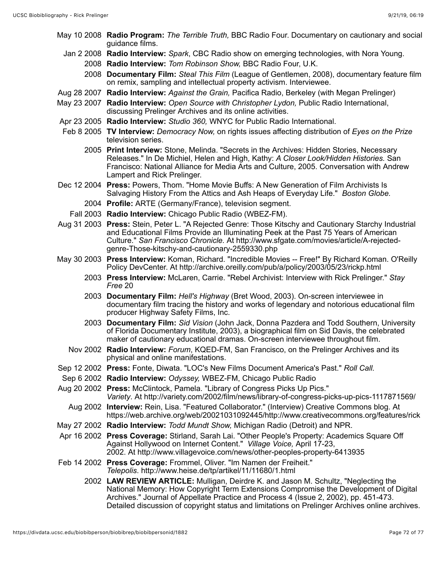- May 10 2008 **Radio Program:** *The Terrible Truth,* BBC Radio Four. Documentary on cautionary and social guidance films.
	- Jan 2 2008 **Radio Interview:** *Spark*, CBC Radio show on emerging technologies, with Nora Young.
		- 2008 **Radio Interview:** *Tom Robinson Show,* BBC Radio Four, U.K.
		- 2008 **Documentary Film:** *Steal This Film* (League of Gentlemen, 2008), documentary feature film on remix, sampling and intellectual property activism. Interviewee.
- Aug 28 2007 **Radio Interview:** *Against the Grain,* Pacifica Radio, Berkeley (with Megan Prelinger)
- May 23 2007 **Radio Interview:** *Open Source with Christopher Lydon,* Public Radio International, discussing Prelinger Archives and its online activities.
- Apr 23 2005 **Radio Interview:** *Studio 360,* WNYC for Public Radio International.
- Feb 8 2005 **TV Interview:** *Democracy Now,* on rights issues affecting distribution of *Eyes on the Prize* television series.
	- 2005 **Print Interview:** Stone, Melinda. "Secrets in the Archives: Hidden Stories, Necessary Releases." In De Michiel, Helen and High, Kathy: *A Closer Look/Hidden Histories.* San Francisco: National Alliance for Media Arts and Culture, 2005. Conversation with Andrew Lampert and Rick Prelinger.
- Dec 12 2004 **Press:** Powers, Thom. "Home Movie Buffs: A New Generation of Film Archivists Is Salvaging History From the Attics and Ash Heaps of Everyday Life." *Boston Globe.*
	- 2004 **Profile:** ARTE (Germany/France), television segment.
	- Fall 2003 **Radio Interview:** Chicago Public Radio (WBEZ-FM).
- Aug 31 2003 **Press:** Stein, Peter L. "A Rejected Genre: Those Kitschy and Cautionary Starchy Industrial and Educational Films Provide an Illuminating Peek at the Past 75 Years of American Culture." *San Francisco Chronicle.* At http://www.sfgate.com/movies/article/A-rejectedgenre-Those-kitschy-and-cautionary-2559330.php
- May 30 2003 **Press Interview:** Koman, Richard. "Incredible Movies -- Free!" By Richard Koman. O'Reilly Policy DevCenter. At http://archive.oreilly.com/pub/a/policy/2003/05/23/rickp.html
	- 2003 **Press Interview:** McLaren, Carrie. "Rebel Archivist: Interview with Rick Prelinger." *Stay Free* 20
	- 2003 **Documentary Film:** *Hell's Highway* (Bret Wood, 2003). On-screen interviewee in documentary film tracing the history and works of legendary and notorious educational film producer Highway Safety Films, Inc.
	- 2003 **Documentary Film:** *Sid Vision* (John Jack, Donna Pazdera and Todd Southern, University of Florida Documentary Institute, 2003), a biographical film on Sid Davis, the celebrated maker of cautionary educational dramas. On-screen interviewee throughout film.
	- Nov 2002 **Radio Interview:** *Forum*, KQED-FM, San Francisco, on the Prelinger Archives and its physical and online manifestations.
- Sep 12 2002 **Press:** Fonte, Diwata. "LOC's New Films Document America's Past." *Roll Call.*
- Sep 6 2002 **Radio Interview:** *Odyssey,* WBEZ-FM, Chicago Public Radio
- Aug 20 2002 **Press:** McClintock, Pamela. "Library of Congress Picks Up Pics." *Variety*. At http://variety.com/2002/film/news/library-of-congress-picks-up-pics-1117871569/
	- Aug 2002 **Interview:** Rein, Lisa. "Featured Collaborator." (Interview) Creative Commons blog. At https://web.archive.org/web/20021031092445/http://www.creativecommons.org/features/rick
- May 27 2002 **Radio Interview:** *Todd Mundt Show,* Michigan Radio (Detroit) and NPR.
- Apr 16 2002 **Press Coverage:** Stirland, Sarah Lai. "Other People's Property: Academics Square Off Against Hollywood on Internet Content." *Village Voice,* April 17-23, 2002. At http://www.villagevoice.com/news/other-peoples-property-6413935
- Feb 14 2002 **Press Coverage:** Frommel, Oliver. "Im Namen der Freiheit." *Telepolis*. http://www.heise.de/tp/artikel/11/11680/1.html
	- 2002 **LAW REVIEW ARTICLE:** Mulligan, Deirdre K. and Jason M. Schultz, "Neglecting the National Memory: How Copyright Term Extensions Compromise the Development of Digital Archives." Journal of Appellate Practice and Process 4 (Issue 2, 2002), pp. 451-473. Detailed discussion of copyright status and limitations on Prelinger Archives online archives.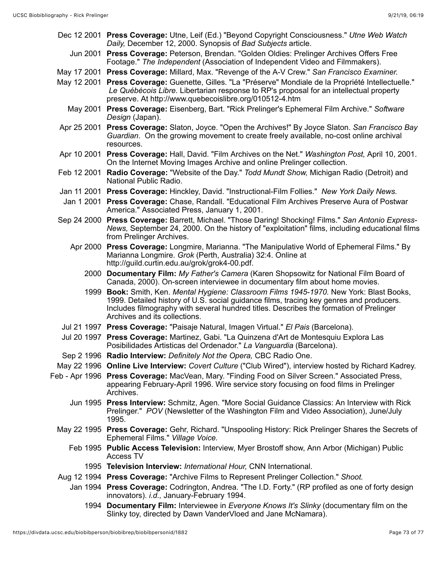- Dec 12 2001 **Press Coverage:** Utne, Leif (Ed.) "Beyond Copyright Consciousness." *Utne Web Watch Daily,* December 12, 2000. Synopsis of *Bad Subjects* article. Jun 2001 **Press Coverage:** Peterson, Brendan. "Golden Oldies: Prelinger Archives Offers Free Footage." *The Independent* (Association of Independent Video and Filmmakers). May 17 2001 **Press Coverage:** Millard, Max. "Revenge of the A-V Crew." *San Francisco Examiner.* May 12 2001 **Press Coverage:** Guenette, Gilles. "La "Préserve" Mondiale de la Propriété Intellectuelle." *Le Québécois Libre.* Libertarian response to RP's proposal for an intellectual property preserve. At http://www.quebecoislibre.org/010512-4.htm May 2001 **Press Coverage:** Eisenberg, Bart. "Rick Prelinger's Ephemeral Film Archive." *Software Design* (Japan). Apr 25 2001 **Press Coverage:** Slaton, Joyce. "Open the Archives!" By Joyce Slaton. *San Francisco Bay Guardian*. On the growing movement to create freely available, no-cost online archival resources. Apr 10 2001 **Press Coverage:** Hall, David. "Film Archives on the Net." *Washington Post,* April 10, 2001. On the Internet Moving Images Archive and online Prelinger collection. Feb 12 2001 **Radio Coverage:** "Website of the Day." *Todd Mundt Show,* Michigan Radio (Detroit) and National Public Radio. Jan 11 2001 **Press Coverage:** Hinckley, David. "Instructional-Film Follies." *New York Daily News.* Jan 1 2001 **Press Coverage:** Chase, Randall. "Educational Film Archives Preserve Aura of Postwar America." Associated Press, January 1, 2001. Sep 24 2000 **Press Coverage:** Barrett, Michael. "Those Daring! Shocking! Films." *San Antonio Express-News,* September 24, 2000. On the history of "exploitation" films, including educational films from Prelinger Archives. Apr 2000 **Press Coverage:** Longmire, Marianna. "The Manipulative World of Ephemeral Films." By Marianna Longmire. *Grok* (Perth, Australia) 32:4. Online at http://guild.curtin.edu.au/grok/grok4-00.pdf. 2000 **Documentary Film:** *My Father's Camera* (Karen Shopsowitz for National Film Board of Canada, 2000). On-screen interviewee in documentary film about home movies. 1999 **Book:** Smith, Ken. *Mental Hygiene: Classroom Films 1945-1970.* New York: Blast Books, 1999. Detailed history of U.S. social guidance films, tracing key genres and producers. Includes filmography with several hundred titles. Describes the formation of Prelinger Archives and its collections. Jul 21 1997 **Press Coverage:** "Paisaje Natural, Imagen Virtual." *El Pais* (Barcelona). Jul 20 1997 **Press Coverage:** Martinez, Gabi. "La Quinzena d'Art de Montesquiu Explora Las Posibilidades Artisticas del Ordenador." *La Vanguardia* (Barcelona). Sep 2 1996 **Radio Interview:** *Definitely Not the Opera,* CBC Radio One. May 22 1996 **Online Live Interview:** *Covert Culture* ("Club Wired"), interview hosted by Richard Kadrey. Feb - Apr 1996 **Press Coverage:** MacVean, Mary. "Finding Food on Silver Screen." Associated Press, appearing February-April 1996. Wire service story focusing on food films in Prelinger Archives. Jun 1995 **Press Interview:** Schmitz, Agen. "More Social Guidance Classics: An Interview with Rick Prelinger." *POV* (Newsletter of the Washington Film and Video Association), June/July 1995. May 22 1995 **Press Coverage:** Gehr, Richard. "Unspooling History: Rick Prelinger Shares the Secrets of Ephemeral Films." *Village Voice.* Feb 1995 **Public Access Television:** Interview, Myer Brostoff show, Ann Arbor (Michigan) Public Access TV 1995 **Television Interview:** *International Hour,* CNN International. Aug 12 1994 **Press Coverage:** "Archive Films to Represent Prelinger Collection." *Shoot.* Jan 1994 **Press Coverage:** Codrington, Andrea. "The I.D. Forty." (RP profiled as one of forty design innovators). *i.d.,* January-February 1994.
	- 1994 **Documentary Film:** Interviewee in *Everyone Knows It's Slinky* (documentary film on the Slinky toy, directed by Dawn VanderVloed and Jane McNamara).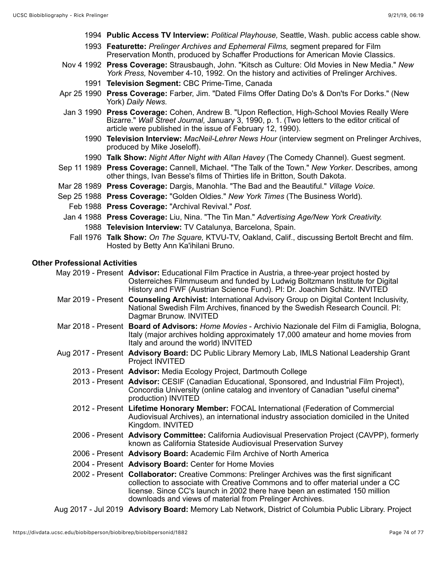- 1994 **Public Access TV Interview:** *Political Playhouse,* Seattle, Wash. public access cable show.
- 1993 **Featurette:** *Prelinger Archives and Ephemeral Films,* segment prepared for Film Preservation Month, produced by Schaffer Productions for American Movie Classics.
- Nov 4 1992 **Press Coverage:** Strausbaugh, John. "Kitsch as Culture: Old Movies in New Media." *New York Press,* November 4-10, 1992. On the history and activities of Prelinger Archives.
	- 1991 **Television Segment:** CBC Prime-Time, Canada
- Apr 25 1990 **Press Coverage:** Farber, Jim. "Dated Films Offer Dating Do's & Don'ts For Dorks." (New York) *Daily News.*
- Jan 3 1990 **Press Coverage:** Cohen, Andrew B. "Upon Reflection, High-School Movies Really Were Bizarre." *Wall Street Journal,* January 3, 1990, p. 1. (Two letters to the editor critical of article were published in the issue of February 12, 1990).
	- 1990 **Television Interview:** *MacNeil-Lehrer News Hour* (interview segment on Prelinger Archives, produced by Mike Joseloff).
	- 1990 **Talk Show:** *Night After Night with Allan Havey* (The Comedy Channel). Guest segment.
- Sep 11 1989 **Press Coverage:** Cannell, Michael. "The Talk of the Town." *New Yorker*. Describes, among other things, Ivan Besse's films of Thirties life in Britton, South Dakota.
- Mar 28 1989 **Press Coverage:** Dargis, Manohla. "The Bad and the Beautiful." *Village Voice.*
- Sep 25 1988 **Press Coverage:** "Golden Oldies." *New York Times* (The Business World)*.*
	- Feb 1988 **Press Coverage:** "Archival Revival." *Post.*
- Jan 4 1988 **Press Coverage:** Liu, Nina. "The Tin Man." *Advertising Age/New York Creativity.* 1988 **Television Interview:** TV Catalunya, Barcelona, Spain.
	- Fall 1976 **Talk Show:** *On The Square,* KTVU-TV, Oakland, Calif., discussing Bertolt Brecht and film. Hosted by Betty Ann Ka'ihilani Bruno.

## **Other Professional Activities**

May 2019 - Present **Advisor:** Educational Film Practice in Austria, a three-year project hosted by Osterreiches Filmmuseum and funded by Ludwig Boltzmann Institute for Digital History and FWF (Austrian Science Fund). PI: Dr. Joachim Schätz. INVITED

- Mar 2019 Present **Counseling Archivist:** International Advisory Group on Digital Content Inclusivity, National Swedish Film Archives, financed by the Swedish Research Council. PI: Dagmar Brunow. INVITED
- Mar 2018 Present **Board of Advisors:** *Home Movies* Archivio Nazionale del Film di Famiglia, Bologna, Italy (major archives holding approximately 17,000 amateur and home movies from Italy and around the world) INVITED
- Aug 2017 Present **Advisory Board:** DC Public Library Memory Lab, IMLS National Leadership Grant Project INVITED
	- 2013 Present **Advisor:** Media Ecology Project, Dartmouth College
	- 2013 Present **Advisor:** CESIF (Canadian Educational, Sponsored, and Industrial Film Project), Concordia University (online catalog and inventory of Canadian "useful cinema" production) INVITED
	- 2012 Present **Lifetime Honorary Member:** FOCAL International (Federation of Commercial Audiovisual Archives), an international industry association domiciled in the United Kingdom. INVITED
	- 2006 Present **Advisory Committee:** California Audiovisual Preservation Project (CAVPP), formerly known as California Stateside Audiovisual Preservation Survey
	- 2006 Present **Advisory Board:** Academic Film Archive of North America
	- 2004 Present **Advisory Board:** Center for Home Movies
	- 2002 Present **Collaborator:** Creative Commons: Prelinger Archives was the first significant collection to associate with Creative Commons and to offer material under a CC license. Since CC's launch in 2002 there have been an estimated 150 million downloads and views of material from Prelinger Archives.
- Aug 2017 Jul 2019 **Advisory Board:** Memory Lab Network, District of Columbia Public Library. Project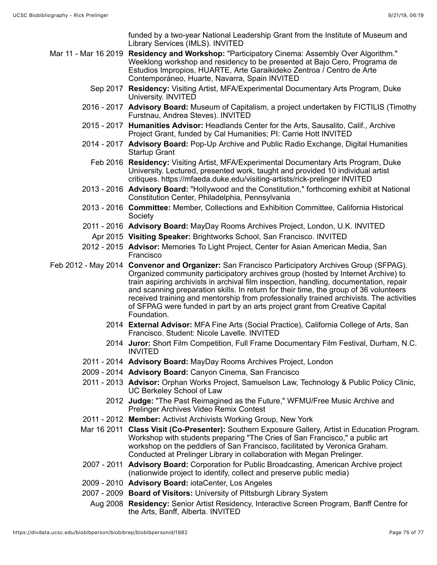|                      | funded by a two-year National Leadership Grant from the Institute of Museum and<br>Library Services (IMLS). INVITED                                                                                                                                                                                                                                                                                                                                                                                                                                             |
|----------------------|-----------------------------------------------------------------------------------------------------------------------------------------------------------------------------------------------------------------------------------------------------------------------------------------------------------------------------------------------------------------------------------------------------------------------------------------------------------------------------------------------------------------------------------------------------------------|
| Mar 11 - Mar 16 2019 | Residency and Workshop: "Participatory Cinema: Assembly Over Algorithm."<br>Weeklong workshop and residency to be presented at Bajo Cero, Programa de<br>Estudios Impropios, HUARTE, Arte Garaikideko Zentroa / Centro de Arte<br>Contemporáneo, Huarte, Navarra, Spain INVITED                                                                                                                                                                                                                                                                                 |
|                      | Sep 2017 Residency: Visiting Artist, MFA/Experimental Documentary Arts Program, Duke<br>University. INVITED                                                                                                                                                                                                                                                                                                                                                                                                                                                     |
|                      | 2016 - 2017 Advisory Board: Museum of Capitalism, a project undertaken by FICTILIS (Timothy<br>Furstnau, Andrea Steves). INVITED                                                                                                                                                                                                                                                                                                                                                                                                                                |
|                      | 2015 - 2017 Humanities Advisor: Headlands Center for the Arts, Sausalito, Calif., Archive<br>Project Grant, funded by Cal Humanities; PI: Carrie Hott INVITED                                                                                                                                                                                                                                                                                                                                                                                                   |
|                      | 2014 - 2017 Advisory Board: Pop-Up Archive and Public Radio Exchange, Digital Humanities<br><b>Startup Grant</b>                                                                                                                                                                                                                                                                                                                                                                                                                                                |
|                      | Feb 2016 Residency: Visiting Artist, MFA/Experimental Documentary Arts Program, Duke<br>University. Lectured, presented work, taught and provided 10 individual artist<br>critiques. https://mfaeda.duke.edu/visiting-artists/rick-prelinger INVITED                                                                                                                                                                                                                                                                                                            |
|                      | 2013 - 2016 Advisory Board: "Hollywood and the Constitution," forthcoming exhibit at National<br>Constitution Center, Philadelphia, Pennsylvania                                                                                                                                                                                                                                                                                                                                                                                                                |
|                      | 2013 - 2016 Committee: Member, Collections and Exhibition Committee, California Historical<br>Society                                                                                                                                                                                                                                                                                                                                                                                                                                                           |
|                      | 2011 - 2016 Advisory Board: MayDay Rooms Archives Project, London, U.K. INVITED                                                                                                                                                                                                                                                                                                                                                                                                                                                                                 |
|                      | Apr 2015 Visiting Speaker: Brightworks School, San Francisco. INVITED                                                                                                                                                                                                                                                                                                                                                                                                                                                                                           |
|                      | 2012 - 2015 Advisor: Memories To Light Project, Center for Asian American Media, San<br>Francisco                                                                                                                                                                                                                                                                                                                                                                                                                                                               |
|                      | Feb 2012 - May 2014 Convenor and Organizer: San Francisco Participatory Archives Group (SFPAG).<br>Organized community participatory archives group (hosted by Internet Archive) to<br>train aspiring archivists in archival film inspection, handling, documentation, repair<br>and scanning preparation skills. In return for their time, the group of 36 volunteers<br>received training and mentorship from professionally trained archivists. The activities<br>of SFPAG were funded in part by an arts project grant from Creative Capital<br>Foundation. |
|                      | 2014 External Advisor: MFA Fine Arts (Social Practice), California College of Arts, San<br>Francisco, Student: Nicole Lavelle, INVITED                                                                                                                                                                                                                                                                                                                                                                                                                          |
|                      | 2014 Juror: Short Film Competition, Full Frame Documentary Film Festival, Durham, N.C.<br>INVIIED                                                                                                                                                                                                                                                                                                                                                                                                                                                               |
|                      | 2011 - 2014 Advisory Board: MayDay Rooms Archives Project, London                                                                                                                                                                                                                                                                                                                                                                                                                                                                                               |
|                      | 2009 - 2014 Advisory Board: Canyon Cinema, San Francisco                                                                                                                                                                                                                                                                                                                                                                                                                                                                                                        |
|                      | 2011 - 2013 Advisor: Orphan Works Project, Samuelson Law, Technology & Public Policy Clinic,<br>UC Berkeley School of Law                                                                                                                                                                                                                                                                                                                                                                                                                                       |
|                      | 2012 Judge: "The Past Reimagined as the Future," WFMU/Free Music Archive and<br><b>Prelinger Archives Video Remix Contest</b>                                                                                                                                                                                                                                                                                                                                                                                                                                   |
|                      | 2011 - 2012 Member: Activist Archivists Working Group, New York                                                                                                                                                                                                                                                                                                                                                                                                                                                                                                 |
|                      | Mar 16 2011 Class Visit (Co-Presenter): Southern Exposure Gallery, Artist in Education Program.<br>Workshop with students preparing "The Cries of San Francisco," a public art<br>workshop on the peddlers of San Francisco, facilitated by Veronica Graham.<br>Conducted at Prelinger Library in collaboration with Megan Prelinger.                                                                                                                                                                                                                           |
|                      | 2007 - 2011 Advisory Board: Corporation for Public Broadcasting, American Archive project<br>(nationwide project to identify, collect and preserve public media)                                                                                                                                                                                                                                                                                                                                                                                                |
|                      | 2009 - 2010 Advisory Board: iotaCenter, Los Angeles                                                                                                                                                                                                                                                                                                                                                                                                                                                                                                             |
|                      | 2007 - 2009 Board of Visitors: University of Pittsburgh Library System                                                                                                                                                                                                                                                                                                                                                                                                                                                                                          |
|                      | Aug 2008 Residency: Senior Artist Residency, Interactive Screen Program, Banff Centre for<br>the Arts, Banff, Alberta. INVITED                                                                                                                                                                                                                                                                                                                                                                                                                                  |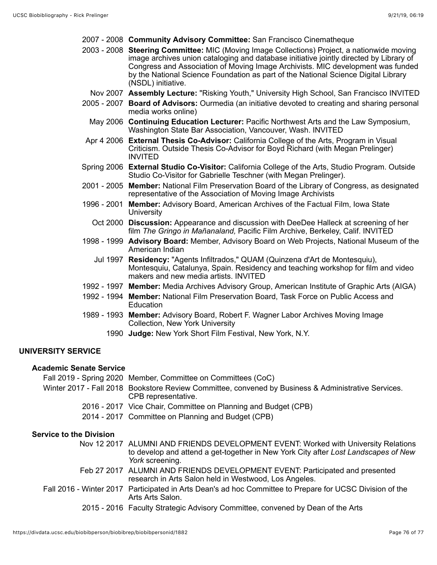- 2007 2008 **Community Advisory Committee:** San Francisco Cinematheque
- 2003 2008 **Steering Committee:** MIC (Moving Image Collections) Project, a nationwide moving image archives union cataloging and database initiative jointly directed by Library of Congress and Association of Moving Image Archivists. MIC development was funded by the National Science Foundation as part of the National Science Digital Library (NSDL) initiative.
	- Nov 2007 **Assembly Lecture:** "Risking Youth," University High School, San Francisco INVITED
- 2005 2007 **Board of Advisors:** Ourmedia (an initiative devoted to creating and sharing personal media works online)
	- May 2006 **Continuing Education Lecturer:** Pacific Northwest Arts and the Law Symposium, Washington State Bar Association, Vancouver, Wash. INVITED
- Apr 4 2006 **External Thesis Co-Advisor:** California College of the Arts, Program in Visual Criticism. Outside Thesis Co-Advisor for Boyd Richard (with Megan Prelinger) INVITED
- Spring 2006 **External Studio Co-Visitor:** California College of the Arts, Studio Program. Outside Studio Co-Visitor for Gabrielle Teschner (with Megan Prelinger).
- 2001 2005 **Member:** National Film Preservation Board of the Library of Congress, as designated representative of the Association of Moving Image Archivists
- 1996 2001 **Member:** Advisory Board, American Archives of the Factual Film, Iowa State **University** 
	- Oct 2000 **Discussion:** Appearance and discussion with DeeDee Halleck at screening of her film *The Gringo in Mañanaland,* Pacific Film Archive, Berkeley, Calif. INVITED
- 1998 1999 **Advisory Board:** Member, Advisory Board on Web Projects, National Museum of the American Indian
	- Jul 1997 **Residency:** "Agents Infiltrados," QUAM (Quinzena d'Art de Montesquiu), Montesquiu, Catalunya, Spain. Residency and teaching workshop for film and video makers and new media artists. INVITED
- 1992 1997 **Member:** Media Archives Advisory Group, American Institute of Graphic Arts (AIGA)
- 1992 1994 **Member:** National Film Preservation Board, Task Force on Public Access and **Education**
- 1989 1993 **Member:** Advisory Board, Robert F. Wagner Labor Archives Moving Image Collection, New York University
	- 1990 **Judge:** New York Short Film Festival, New York, N.Y.

## **UNIVERSITY SERVICE**

## **Academic Senate Service**

Fall 2019 - Spring 2020 Member, Committee on Committees (CoC) Winter 2017 - Fall 2018 Bookstore Review Committee, convened by Business & Administrative Services. CPB representative. 2016 - 2017 Vice Chair, Committee on Planning and Budget (CPB) 2014 - 2017 Committee on Planning and Budget (CPB)

## **Service to the Division**

- Nov 12 2017 ALUMNI AND FRIENDS DEVELOPMENT EVENT: Worked with University Relations to develop and attend a get-together in New York City after *Lost Landscapes of New York* screening.
- Feb 27 2017 ALUMNI AND FRIENDS DEVELOPMENT EVENT: Participated and presented research in Arts Salon held in Westwood, Los Angeles.
- Fall 2016 Winter 2017 Participated in Arts Dean's ad hoc Committee to Prepare for UCSC Division of the Arts Arts Salon.
	- 2015 2016 Faculty Strategic Advisory Committee, convened by Dean of the Arts